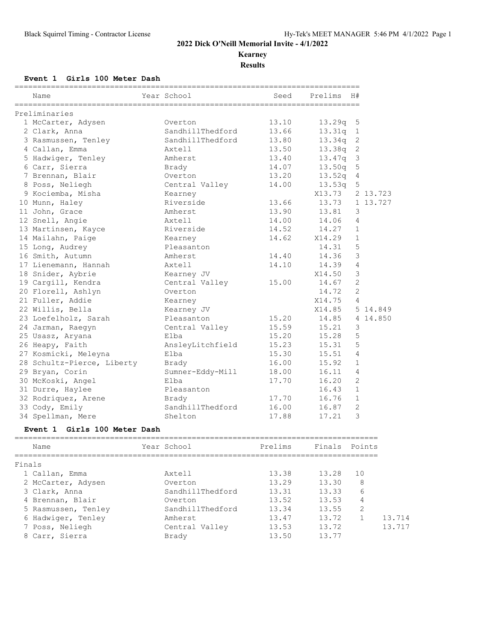**Kearney**

**Results**

### **Event 1 Girls 100 Meter Dash**

| Name                       | Year School      | Seed  | Prelims            | H#             |          |
|----------------------------|------------------|-------|--------------------|----------------|----------|
| Preliminaries              |                  |       |                    |                |          |
| 1 McCarter, Adysen         | Overton          | 13.10 | 13.29q             | 5              |          |
| 2 Clark, Anna              | SandhillThedford | 13.66 | 13.31q             | $\mathbf{1}$   |          |
| 3 Rasmussen, Tenley        | SandhillThedford | 13.80 | 13.34q             | 2              |          |
| 4 Callan, Emma             | Axtell           | 13.50 | 13.38a             | 2              |          |
| 5 Hadwiger, Tenley         | Amherst          | 13.40 | 13.47q             | 3              |          |
| 6 Carr, Sierra             | Brady            | 14.07 | 13.50q             | 5              |          |
| 7 Brennan, Blair           | Overton          | 13.20 | 13.52 <sub>q</sub> | 4              |          |
| 8 Poss, Neliegh            | Central Valley   | 14.00 | 13.53q             | 5              |          |
| 9 Kociemba, Misha          | Kearney          |       | X13.73             |                | 2 13.723 |
| 10 Munn, Haley             | Riverside        | 13.66 | 13.73              |                | 1 13.727 |
| 11 John, Grace             | Amherst          | 13.90 | 13.81              | 3              |          |
| 12 Snell, Angie            | Axtell           | 14.00 | 14.06              | 4              |          |
| 13 Martinsen, Kayce        | Riverside        | 14.52 | 14.27              | $\mathbf{1}$   |          |
| 14 Mailahn, Paige          | Kearney          | 14.62 | X14.29             | $\mathbf{1}$   |          |
| 15 Long, Audrey            | Pleasanton       |       | 14.31              | 5              |          |
| 16 Smith, Autumn           | Amherst          | 14.40 | 14.36              | 3              |          |
| 17 Lienemann, Hannah       | Axtell           | 14.10 | 14.39              | 4              |          |
| 18 Snider, Aybrie          | Kearney JV       |       | X14.50             | 3              |          |
| 19 Cargill, Kendra         | Central Valley   | 15.00 | 14.67              | $\overline{c}$ |          |
| 20 Florell, Ashlyn         | Overton          |       | 14.72              | $\overline{2}$ |          |
| 21 Fuller, Addie           | Kearney          |       | X14.75             | 4              |          |
| 22 Willis, Bella           | Kearney JV       |       | X14.85             |                | 5 14.849 |
| 23 Loefelholz, Sarah       | Pleasanton       | 15.20 | 14.85              |                | 4 14.850 |
| 24 Jarman, Raegyn          | Central Valley   | 15.59 | 15.21              | 3              |          |
| 25 Usasz, Aryana           | Elba             | 15.20 | 15.28              | 5              |          |
| 26 Heapy, Faith            | AnsleyLitchfield | 15.23 | 15.31              | 5              |          |
| 27 Kosmicki, Meleyna       | Elba             | 15.30 | 15.51              | 4              |          |
| 28 Schultz-Pierce, Liberty | Brady            | 16.00 | 15.92              | $\mathbf{1}$   |          |
| 29 Bryan, Corin            | Sumner-Eddy-Mill | 18.00 | 16.11              | 4              |          |
| 30 McKoski, Angel          | Elba             | 17.70 | 16.20              | $\overline{2}$ |          |
| 31 Durre, Haylee           | Pleasanton       |       | 16.43              | $\mathbf{1}$   |          |
| 32 Rodriquez, Arene        | Brady            | 17.70 | 16.76              | $\,1\,$        |          |
| 33 Cody, Emily             | SandhillThedford | 16.00 | 16.87              | $\overline{c}$ |          |
| 34 Spellman, Mere          | Shelton          | 17.88 | 17.21              | 3              |          |

### **Event 1 Girls 100 Meter Dash**

| Name                | Year School      | Prelims |       | Finals Points |
|---------------------|------------------|---------|-------|---------------|
| Finals              |                  |         |       |               |
| 1 Callan, Emma      | Axtell           | 13.38   | 13.28 | 1 O           |
| 2 McCarter, Adysen  | Overton          | 13.29   | 13.30 | 8             |
| 3 Clark, Anna       | SandhillThedford | 13.31   | 13.33 | 6             |
| 4 Brennan, Blair    | Overton          | 13.52   | 13.53 | 4             |
| 5 Rasmussen, Tenley | SandhillThedford | 13.34   | 13.55 | 2             |
| 6 Hadwiger, Tenley  | Amherst          | 13.47   | 13.72 |               |
| 7 Poss, Neliegh     | Central Valley   | 13.53   | 13.72 |               |
| 8 Carr, Sierra      | Brady            | 13.50   | 13.77 |               |
|                     |                  |         |       |               |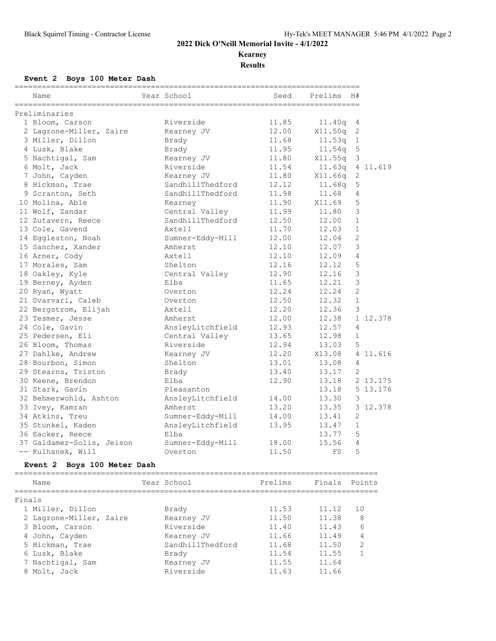**Kearney**

**Results**

# **Event 2 Boys 100 Meter Dash**

|        | Name                        | Year School      | Seed    | Prelims       | H#             |          |
|--------|-----------------------------|------------------|---------|---------------|----------------|----------|
|        | Preliminaries               |                  |         |               |                |          |
|        | 1 Bloom, Carson             | Riverside        | 11.85   | 11.40q        | 4              |          |
|        | 2 Lagrone-Miller, Zaire     | Kearney JV       | 12.00   | X11.50q       | $\mathbf{2}$   |          |
|        | 3 Miller, Dillon            | Brady            | 11.68   | 11.53q        | $\mathbf{1}$   |          |
|        | 4 Lusk, Blake               | Brady            | 11.95   | 11.54q        | $\mathsf S$    |          |
|        | 5 Nachtigal, Sam            | Kearney JV       | 11.80   | X11.55q       | 3              |          |
|        | 6 Molt, Jack                | Riverside        | 11.54   | 11.63q        |                | 4 11.619 |
|        | 7 John, Cayden              | Kearney JV       | 11.80   | X11.66q       | $\mathbf{2}$   |          |
|        | 8 Hickman, Trae             | SandhillThedford | 12.12   | 11.68q        | 5              |          |
|        | 9 Scranton, Seth            | SandhillThedford | 11.98   | 11.68         | $\overline{4}$ |          |
|        | 10 Molina, Able             | Kearney          | 11.90   | X11.69        | 5              |          |
|        | 11 Wolf, Zandar             | Central Valley   | 11.99   | 11.80         | $\mathcal{S}$  |          |
|        | 12 Zutavern, Reece          | SandhillThedford | 12.50   | 12.00         | $\mathbf{1}$   |          |
|        | 13 Cole, Gavend             | Axtell           | 11.70   | 12.03         | $\mathbf{1}$   |          |
|        | 14 Eggleston, Noah          | Sumner-Eddy-Mill | 12.00   | 12.04         | $\mathbf{2}$   |          |
|        | 15 Sanchez, Xander          | Amherst          | 12.10   | 12.07         | 3              |          |
|        | 16 Arner, Cody              | Axtell           | 12.10   | 12.09         | $\overline{4}$ |          |
|        | 17 Morales, Sam             | Shelton          | 12.16   | 12.12         | 5              |          |
|        | 18 Oakley, Kyle             | Central Valley   | 12.90   | 12.16         | $\mathfrak{Z}$ |          |
|        | 19 Berney, Ayden            | Elba             | 11.65   | 12.21         | $\mathfrak{Z}$ |          |
|        | 20 Ryan, Wyatt              | Overton          | 12.24   | 12.24         | $\overline{c}$ |          |
|        | 21 Svarvari, Caleb          | Overton          | 12.50   | 12.32         | $\mathbf{1}$   |          |
|        | 22 Bergstrom, Elijah        | Axtell           | 12.20   | 12.36         | 3              |          |
|        | 23 Tesmer, Jesse            | Amherst          | 12.00   | 12.38         |                | 1 12.378 |
|        | 24 Cole, Gavin              | AnsleyLitchfield | 12.93   | 12.57         | $\overline{4}$ |          |
|        | 25 Pedersen, Eli            | Central Valley   | 13.65   | 12.98         | $\mathbf{1}$   |          |
|        | 26 Bloom, Thomas            | Riverside        | 12.94   | 13.03         | 5              |          |
|        | 27 Dahlke, Andrew           | Kearney JV       | 12.20   | X13.08        |                | 4 11.616 |
|        | 28 Bourbon, Simon           | Shelton          | 13.01   | 13.08         | 4              |          |
|        | 29 Stearns, Triston         | Brady            | 13.40   | 13.17         | 2              |          |
|        | 30 Keene, Brendon           | Elba             | 12.90   | 13.18         |                | 2 13.175 |
|        | 31 Stark, Gavin             | Pleasanton       |         | 13.18         |                | 5 13.176 |
|        | 32 Behmerwohld, Ashton      | AnsleyLitchfield | 14.00   | 13.30         | 3              |          |
|        | 33 Ivey, Kamran             | Amherst          | 13.20   | 13.35         |                | 3 12.378 |
|        | 34 Atkins, Treu             | Sumner-Eddy-Mill | 14.00   | 13.41         | 2              |          |
|        | 35 Stunkel, Kaden           | AnsleyLitchfield | 13.95   | 13.47         | $\mathbf{1}$   |          |
|        | 36 Eacker, Reece            | Elba             |         | 13.77         | 5              |          |
|        | 37 Galdamez-Solis, Jeison   | Sumner-Eddy-Mill | 18.00   | 15.56         | $\overline{4}$ |          |
|        | -- Kulhanek, Will           | Overton          | 11.50   | FS            | 5              |          |
|        | Event 2 Boys 100 Meter Dash |                  |         |               |                |          |
|        | Name                        | Year School      | Prelims | Finals Points |                |          |
| Finals |                             |                  |         |               |                |          |
|        | 1 Miller, Dillon            | Brady            | 11.53   | 11.12         | 10             |          |
|        | 2 Lagrone-Miller, Zaire     | Kearney JV       | 11.50   | 11.38         |                | 8        |
|        | 3 Bloom, Carson             | Riverside        | 11.40   | 11.43         |                | 6        |
|        | 4 John, Cayden              | Kearney JV       | 11.66   | 11.49         |                | 4        |
|        | 5 Hickman, Trae             | SandhillThedford | 11.68   | 11.50         |                | 2        |
|        | 6 Lusk, Blake               | Brady            | 11.54   | 11.55         |                | 1        |
|        | 7 Nachtigal, Sam            | Kearney JV       | 11.55   | 11.64         |                |          |
|        | 8 Molt, Jack                | Riverside        | 11.63   | 11.66         |                |          |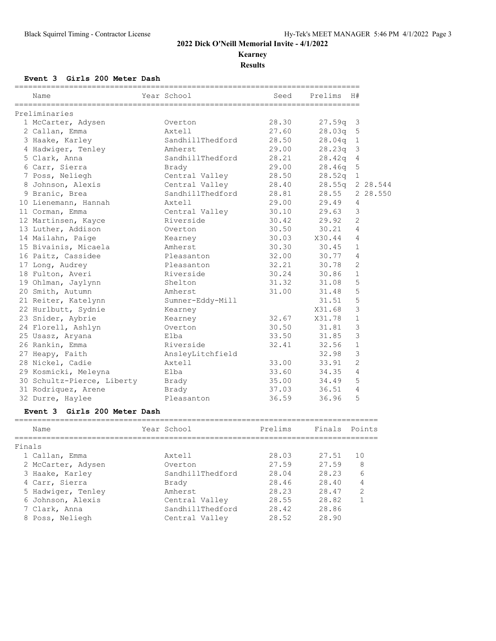## **Kearney**

**Results**

### **Event 3 Girls 200 Meter Dash**

|        | Name<br>======================  | Year School      | Seed    | Prelims | H#             |          |
|--------|---------------------------------|------------------|---------|---------|----------------|----------|
|        | Preliminaries                   |                  |         |         |                |          |
|        | 1 McCarter, Adysen              | Overton          | 28.30   | 27.59q  | 3              |          |
|        | 2 Callan, Emma                  | Axtell           | 27.60   | 28.03q  | 5              |          |
|        | 3 Haake, Karley                 | SandhillThedford | 28.50   | 28.04q  | $\mathbf{1}$   |          |
|        | 4 Hadwiger, Tenley              | Amherst          | 29.00   | 28.23q  | 3              |          |
|        | 5 Clark, Anna                   | SandhillThedford | 28.21   | 28.42q  | $\overline{4}$ |          |
|        | 6 Carr, Sierra                  | Brady            | 29.00   | 28.46q  | 5              |          |
|        | 7 Poss, Neliegh                 | Central Valley   | 28.50   | 28.52q  | $\mathbf 1$    |          |
|        | 8 Johnson, Alexis               | Central Valley   | 28.40   | 28.55q  |                | 2 28.544 |
|        | 9 Branic, Brea                  | SandhillThedford | 28.81   | 28.55   |                | 2 28.550 |
|        | 10 Lienemann, Hannah            | Axtell           | 29.00   | 29.49   | 4              |          |
|        | 11 Corman, Emma                 | Central Valley   | 30.10   | 29.63   | 3              |          |
|        | 12 Martinsen, Kayce             | Riverside        | 30.42   | 29.92   | $\overline{2}$ |          |
|        | 13 Luther, Addison              | Overton          | 30.50   | 30.21   | 4              |          |
|        | 14 Mailahn, Paige               | Kearney          | 30.03   | X30.44  | 4              |          |
|        | 15 Bivainis, Micaela            | Amherst          | 30.30   | 30.45   | $\mathbf 1$    |          |
|        | 16 Paitz, Cassidee              | Pleasanton       | 32.00   | 30.77   | 4              |          |
|        | 17 Long, Audrey                 | Pleasanton       | 32.21   | 30.78   | 2              |          |
|        | 18 Fulton, Averi                | Riverside        | 30.24   | 30.86   | $\mathbf{1}$   |          |
|        | 19 Ohlman, Jaylynn              | Shelton          | 31.32   | 31.08   | 5              |          |
|        | 20 Smith, Autumn                | Amherst          | 31.00   | 31.48   | 5              |          |
|        | 21 Reiter, Katelynn             | Sumner-Eddy-Mill |         | 31.51   | 5              |          |
|        | 22 Hurlbutt, Sydnie             | Kearney          |         | X31.68  | 3              |          |
|        | 23 Snider, Aybrie               | Kearney          | 32.67   | X31.78  | $\mathbf{1}$   |          |
|        | 24 Florell, Ashlyn              | Overton          | 30.50   | 31.81   | 3              |          |
|        | 25 Usasz, Aryana                | Elba             | 33.50   | 31.85   | 3              |          |
|        | 26 Rankin, Emma                 | Riverside        | 32.41   | 32.56   | $\mathbf{1}$   |          |
|        | 27 Heapy, Faith                 | AnsleyLitchfield |         | 32.98   | 3              |          |
|        | 28 Nickel, Cadie                | Axtell           | 33.00   | 33.91   | 2              |          |
|        | 29 Kosmicki, Meleyna            | Elba             | 33.60   | 34.35   | $\overline{4}$ |          |
|        | 30 Schultz-Pierce, Liberty      | Brady            | 35.00   | 34.49   | 5              |          |
|        | 31 Rodriquez, Arene             | Brady            | 37.03   | 36.51   | $\overline{4}$ |          |
|        | 32 Durre, Haylee                | Pleasanton       | 36.59   | 36.96   | 5              |          |
|        | Girls 200 Meter Dash<br>Event 3 |                  |         |         |                |          |
|        | Name                            | Year School      | Prelims | Finals  |                | Points   |
| Finals |                                 |                  |         |         |                |          |
|        | 1 Callan, Emma                  | Axtell           | 28.03   | 27.51   | 10             |          |
|        | 2 McCarter, Adysen              | Overton          | 27.59   | 27.59   | 8              |          |
|        | 3 Haake, Karley                 | SandhillThedford | 28.04   | 28.23   | 6              |          |

| 3 Haake, Karley    | SandhillThedford | 28.04 | 28.23 | h              |
|--------------------|------------------|-------|-------|----------------|
| 4 Carr, Sierra     | Brady            | 28.46 | 28.40 | $\overline{4}$ |
| 5 Hadwiger, Tenley | Amherst          | 28.23 | 28.47 | -2             |
| 6 Johnson, Alexis  | Central Valley   | 28.55 | 28.82 |                |
| 7 Clark, Anna      | SandhillThedford | 28.42 | 28.86 |                |
| 8 Poss, Neliegh    | Central Valley   | 28.52 | 28.90 |                |
|                    |                  |       |       |                |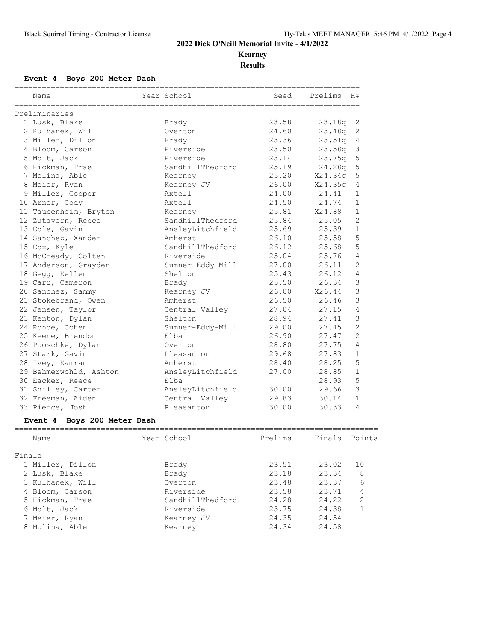**Kearney**

**Results**

## **Event 4 Boys 200 Meter Dash**

| Name                   | Year School      | Seed  | Prelims | H#             |
|------------------------|------------------|-------|---------|----------------|
| Preliminaries          |                  |       |         |                |
| 1 Lusk, Blake          | Brady            | 23.58 | 23.18q  | 2              |
| 2 Kulhanek, Will       | Overton          | 24.60 | 23.48q  | $\overline{c}$ |
| 3 Miller, Dillon       | Brady            | 23.36 | 23.51q  | $\overline{4}$ |
| 4 Bloom, Carson        | Riverside        | 23.50 | 23.58q  | $\mathcal{S}$  |
| 5 Molt, Jack           | Riverside        | 23.14 | 23.75q  | 5              |
| 6 Hickman, Trae        | SandhillThedford | 25.19 | 24.28q  | 5              |
| 7 Molina, Able         | Kearney          | 25.20 | X24.34q | 5              |
| 8 Meier, Ryan          | Kearney JV       | 26.00 | X24.35q | $\overline{4}$ |
| 9 Miller, Cooper       | Axtell           | 24.00 | 24.41   | $\mathbf{1}$   |
| 10 Arner, Cody         | Axtell           | 24.50 | 24.74   | $\mathbf{1}$   |
| 11 Taubenheim, Bryton  | Kearney          | 25.81 | X24.88  | $\mathbf{1}$   |
| 12 Zutavern, Reece     | SandhillThedford | 25.84 | 25.05   | $\overline{2}$ |
| 13 Cole, Gavin         | AnsleyLitchfield | 25.69 | 25.39   | $\mathbf{1}$   |
| 14 Sanchez, Xander     | Amherst          | 26.10 | 25.58   | 5              |
| 15 Cox, Kyle           | SandhillThedford | 26.12 | 25.68   | 5              |
| 16 McCready, Colten    | Riverside        | 25.04 | 25.76   | $\overline{4}$ |
| 17 Anderson, Grayden   | Sumner-Eddy-Mill | 27.00 | 26.11   | $\overline{2}$ |
| 18 Gegg, Kellen        | Shelton          | 25.43 | 26.12   | $\overline{4}$ |
| 19 Carr, Cameron       | Brady            | 25.50 | 26.34   | $\mathcal{S}$  |
| 20 Sanchez, Sammy      | Kearney JV       | 26.00 | X26.44  | 3              |
| 21 Stokebrand, Owen    | Amherst          | 26.50 | 26.46   | 3              |
| 22 Jensen, Taylor      | Central Valley   | 27.04 | 27.15   | $\overline{4}$ |
| 23 Kenton, Dylan       | Shelton          | 28.94 | 27.41   | 3              |
| 24 Rohde, Cohen        | Sumner-Eddy-Mill | 29.00 | 27.45   | $\overline{2}$ |
| 25 Keene, Brendon      | Elba             | 26.90 | 27.47   | 2              |
| 26 Pooschke, Dylan     | Overton          | 28.80 | 27.75   | $\overline{4}$ |
| 27 Stark, Gavin        | Pleasanton       | 29.68 | 27.83   | $\mathbf{1}$   |
| 28 Ivey, Kamran        | Amherst          | 28.40 | 28.25   | 5              |
| 29 Behmerwohld, Ashton | AnsleyLitchfield | 27.00 | 28.85   | $\mathbf{1}$   |
| 30 Eacker, Reece       | Elba             |       | 28.93   | 5              |
| 31 Shilley, Carter     | AnsleyLitchfield | 30.00 | 29.66   | 3              |
| 32 Freeman, Aiden      | Central Valley   | 29.83 | 30.14   | $\mathbf{1}$   |
| 33 Pierce, Josh        | Pleasanton       | 30.00 | 30.33   | 4              |

# **Event 4 Boys 200 Meter Dash**

|        | Name             | Year School      | Prelims | Finals Points |                |
|--------|------------------|------------------|---------|---------------|----------------|
| Finals |                  |                  |         |               |                |
|        | 1 Miller, Dillon | Brady            | 23.51   | 23.02         | 1 O            |
|        | 2 Lusk, Blake    | Brady            | 23.18   | 23.34         | 8              |
|        | 3 Kulhanek, Will | Overton          | 23.48   | 23.37         | 6              |
|        | 4 Bloom, Carson  | Riverside        | 23.58   | 23.71         | 4              |
|        | 5 Hickman, Trae  | SandhillThedford | 24.28   | 24.22         | $\mathfrak{D}$ |
|        | 6 Molt, Jack     | Riverside        | 23.75   | 24.38         |                |
|        | 7 Meier, Ryan    | Kearney JV       | 24.35   | 24.54         |                |
|        | 8 Molina, Able   | Kearney          | 24.34   | 24.58         |                |
|        |                  |                  |         |               |                |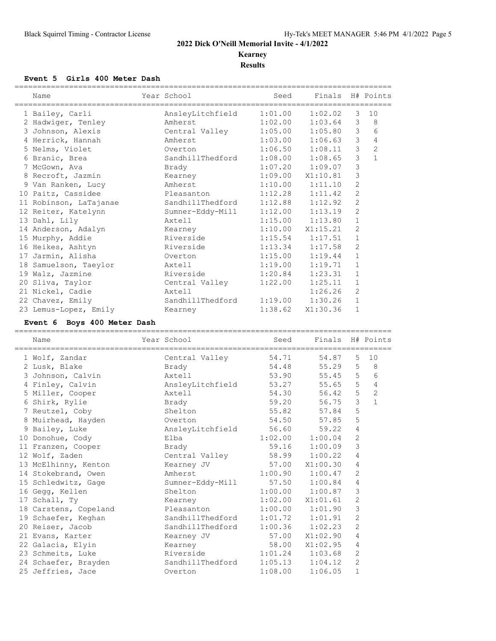# **Kearney**

**Results**

### **Event 5 Girls 400 Meter Dash**

|    | Name                   | Year School                      | Seed                 | Finals H# Points    |                |              |
|----|------------------------|----------------------------------|----------------------|---------------------|----------------|--------------|
|    | 1 Bailey, Carli        | AnsleyLitchfield                 | 1:01.00              | 1:02.02             | 3              | 10           |
|    | 2 Hadwiger, Tenley     | Amherst                          | 1:02.00              | 1:03.64             | 3              | 8            |
|    | 3 Johnson, Alexis      | Central Valley 1:05.00 1:05.80   |                      |                     | 3              | 6            |
|    | 4 Herrick, Hannah      | Amherst                          | 1:03.00              | 1:06.63             | 3              | 4            |
|    | 5 Nelms, Violet        | Overton                          |                      | $1:06.50$ $1:08.11$ | $\mathfrak{Z}$ | $\mathbf{2}$ |
|    | 6 Branic, Brea         | SandhillThedford 1:08.00 1:08.65 |                      |                     | 3              | $\mathbf{1}$ |
|    | 7 McGown, Ava          | Brady                            |                      | $1:07.20$ $1:09.07$ | 3              |              |
|    | 8 Recroft, Jazmin      | Kearney                          | $1:09.00$ $X1:10.81$ |                     | 3              |              |
|    | 9 Van Ranken, Lucy     | Amherst                          | 1:10.00              | 1:11.10             | $\overline{c}$ |              |
|    | 10 Paitz, Cassidee     | Pleasanton                       | $1:12.28$ $1:11.42$  |                     | $\overline{c}$ |              |
|    | 11 Robinson, LaTajanae | SandhillThedford                 | 1:12.88              | 1:12.92             | $\overline{c}$ |              |
|    | 12 Reiter, Katelynn    | Sumner-Eddy-Mill 1:12.00 1:13.19 |                      |                     | $\overline{2}$ |              |
|    | 13 Dahl, Lily          | Axtell                           | 1:15.00              | 1:13.80             | $\mathbf 1$    |              |
|    | 14 Anderson, Adalyn    | Kearney                          | $1:10.00$ $X1:15.21$ |                     | $\mathbf{2}$   |              |
|    | 15 Murphy, Addie       | Riverside                        |                      | $1:15.54$ $1:17.51$ | $\mathbf 1$    |              |
|    | 16 Heikes, Ashtyn      | Riverside                        | 1:13.34              | 1:17.58             | $\overline{2}$ |              |
| 17 | Jarmin, Alisha         | Overton                          | 1:15.00              | 1:19.44             | $\mathbf{1}$   |              |
| 18 | Samuelson, Taeylor     | Axtell                           | 1:19.00              | 1:19.71             | $\mathbf 1$    |              |
|    | 19 Walz, Jazmine       | Riverside                        | 1:20.84              | 1:23.31             | $\mathbf{1}$   |              |
|    | 20 Sliva, Taylor       | Central Valley                   | 1:22.00              | 1:25.11             | $\mathbf 1$    |              |
|    | 21 Nickel, Cadie       | Axtell                           |                      | 1:26.26             | $\overline{2}$ |              |
|    | 22 Chavez, Emily       | SandhillThedford                 | 1:19.00              | 1:30.26             | $\mathbf 1$    |              |
|    | 23 Lemus-Lopez, Emily  | Kearney                          | 1:38.62              | X1:30.36            | $\mathbf{1}$   |              |

#### **Event 6 Boys 400 Meter Dash**

| Name                                                  | Year School                      | Seed    | Finals H# Points     |                |                |
|-------------------------------------------------------|----------------------------------|---------|----------------------|----------------|----------------|
| 1 Wolf, Zandar                                        | Central Valley 54.71 54.87       |         |                      | 5              | 10             |
| 2 Lusk, Blake                                         | Brady                            |         | 54.48 55.29          | 5              | 8              |
| 3 Johnson, Calvin                                     | Axtell                           | 53.90   | 55.45                | 5              | 6              |
| 4 Finley, Calvin                                      | AnsleyLitchfield 53.27 55.65     |         |                      | 5              | $\overline{4}$ |
| 5 Miller, Cooper                                      | Axtell                           | 54.30   | 56.42                | 5              | $\overline{c}$ |
| 6 Shirk, Rylie                                        | <b>Brady</b>                     | 59.20   | 56.75                | 3              | $\mathbf{1}$   |
| 7 Reutzel, Coby                                       | Shelton                          |         | 55.82 57.84          | 5              |                |
| 8 Muirhead, Hayden                                    | Overton                          |         | 54.50 57.85          | 5              |                |
| 9 Bailey, Luke                                        | AnsleyLitchfield 56.60 59.22     |         |                      | 4              |                |
| 10 Donohue, Cody                                      | Elba                             |         | $1:02.00$ $1:00.04$  | $\mathbf{2}$   |                |
| 11 Franzen, Cooper                                    | Brady                            |         | 59.16 1:00.09        | 3              |                |
| 12 Wolf, Zaden                                        | Central Valley 58.99 1:00.22     |         |                      | 4              |                |
| 13 McElhinny, Kenton Kearney JV                       |                                  |         | 57.00 X1:00.30       | 4              |                |
| 14 Stokebrand, Owen                                   | Amherst                          |         | $1:00.90$ $1:00.47$  | $\overline{2}$ |                |
| 15 Schledwitz, Gage Sumner-Eddy-Mill 57.50 1:00.84    |                                  |         |                      | 4              |                |
| 16 Gegg, Kellen                                       | Shelton 1:00.00 1:00.87          |         |                      | 3              |                |
| 17 Schall, Ty                                         | Kearney                          |         | $1:02.00$ $X1:01.61$ | $\overline{c}$ |                |
| 18 Carstens, Copeland                                 | Pleasanton 1:00.00 1:01.90       |         |                      | $\mathsf 3$    |                |
| 19 Schaefer, Keghan                                   | SandhillThedford 1:01.72 1:01.91 |         |                      | $\mathbf{2}$   |                |
| 20 Reiser, Jacob                                      | SandhillThedford 1:00.36 1:02.23 |         |                      | $\overline{2}$ |                |
| 21 Evans, Karter                                      | Kearney JV                       | 57.00   | X1:02.90             | 4              |                |
| 22 Galacia, Elyin                                     | Kearney                          |         | 58.00 X1:02.95       | 4              |                |
| 23 Schmeits, Luke                                     | Riverside 1:01.24 1:03.68        |         |                      | $\overline{2}$ |                |
| 24 Schaefer, Brayden SandhillThedford 1:05.13 1:04.12 |                                  |         |                      | $\overline{2}$ |                |
| 25 Jeffries, Jace                                     | Overton                          | 1:08.00 | 1:06.05              | $\mathbf{1}$   |                |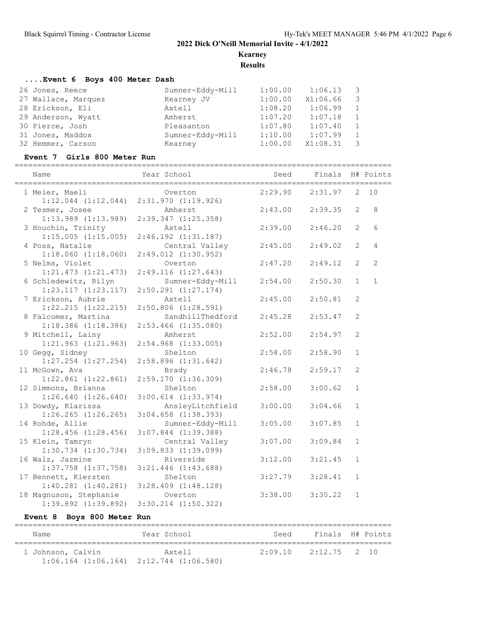**Kearney**

**Results**

## **....Event 6 Boys 400 Meter Dash**

|                  | 1:00.00                        | 1:06.13  | $\overline{\mathbf{3}}$ |
|------------------|--------------------------------|----------|-------------------------|
|                  | 1:00.00                        | X1:06.66 | $\overline{\mathbf{3}}$ |
| Axtell           | 1:08.20                        | 1:06.99  | -1                      |
| Amherst          | 1:07.20                        | 1:07.18  | $\overline{1}$          |
| Pleasanton       | 1:07.80                        | 1:07.40  | $\mathbf{1}$            |
| Sumner-Eddy-Mill | 1:10.00                        | 1:07.99  | -1                      |
| Kearney          | 1:00.00                        | X1:08.31 | - 3                     |
|                  | Sumner-Eddy-Mill<br>Kearney JV |          |                         |

#### **Event 7 Girls 800 Meter Run**

| Name                                              | Year School                                 | Seed    | Finals H# Points |                |                 |
|---------------------------------------------------|---------------------------------------------|---------|------------------|----------------|-----------------|
| 1 Meier, Maeli<br>$1:12.044$ $(1:12.044)$         | Overton<br>2:31.970(1:19.926)               | 2:29.90 | 2:31.97          | 2              | 10              |
| 2 Tesmer, Josee<br>$1:13.989$ $(1:13.989)$        | Amherst<br>2:39.347(1:25.358)               | 2:43.00 | 2:39.35          | 2              | 8               |
| 3 Houchin, Trinity<br>1:15.005(1:15.005)          | Axtell<br>$2:46.192$ $(1:31.187)$           | 2:39.00 | 2:46.20          | $\overline{2}$ | $6\overline{6}$ |
| 4 Poss, Natalie                                   | Central Valley                              | 2:45.00 | 2:49.02          | $\overline{2}$ | $\overline{4}$  |
| 1:18.060(1:18.060)<br>5 Nelms, Violet             | $2:49.012$ $(1:30.952)$<br>Overton          | 2:47.20 | 2:49.12          | $\overline{2}$ | 2               |
| 1:21.473(1:21.473)<br>6 Schledewitz, Rilyn        | 2:49.116(1:27.643)<br>Sumner-Eddy-Mill      | 2:54.00 | 2:50.30          | $\mathbf{1}$   | $\mathbf{1}$    |
| 1:23.117(1:23.117)<br>7 Erickson, Aubrie          | $2:50.291$ $(1:27.174)$<br>Axtell           | 2:45.00 | 2:50.81          | 2              |                 |
| $1:22.215$ $(1:22.215)$<br>8 Falcomer, Martina    | $2:50.806$ $(1:28.591)$<br>SandhillThedford | 2:45.28 | 2:53.47          | 2              |                 |
| $1:18.386$ $(1:18.386)$<br>9 Mitchell, Lainy      | $2:53.466$ $(1:35.080)$<br>Amherst          | 2:52.00 | 2:54.97          | $\overline{c}$ |                 |
| $1:21.963$ $(1:21.963)$<br>10 Gegg, Sidney        | $2:54.968$ $(1:33.005)$<br>Shelton          | 2:58.00 | 2:58.90          | $\mathbf{1}$   |                 |
| $1:27.254$ $(1:27.254)$<br>11 McGown, Ava         | $2:58.896$ $(1:31.642)$<br>Brady            | 2:46.78 | 2:59.17          | 2              |                 |
| $1:22.861$ $(1:22.861)$<br>12 Simmons, Brianna    | 2:59.170(1:36.309)<br>Shelton               | 2:58.00 | 3:00.62          | $\mathbf{1}$   |                 |
| 1:26.640(1:26.640)<br>13 Dowdy, Klarissa          | $3:00.614$ $(1:33.974)$<br>AnsleyLitchfield | 3:00.00 | 3:04.66          | $\mathbf{1}$   |                 |
| $1:26.265$ $(1:26.265)$<br>14 Rohde, Allie        | $3:04.658$ $(1:38.393)$<br>Sumner-Eddy-Mill | 3:05.00 | 3:07.85          | $\mathbf{1}$   |                 |
| $1:28.456$ $(1:28.456)$                           | $3:07.844$ $(1:39.388)$                     | 3:07.00 | 3:09.84          | $\mathbf{1}$   |                 |
| 15 Klein, Tamryn<br>$1:30.734$ $(1:30.734)$       | Central Valley<br>$3:09.833$ $(1:39.099)$   |         |                  |                |                 |
| 16 Walz, Jazmine<br>$1:37.758$ $(1:37.758)$       | Riverside<br>$3:21.446$ $(1:43.688)$        | 3:12.00 | 3:21.45          | $\mathbf{1}$   |                 |
| 17 Bennett, Kiersten<br>$1:40.281$ $(1:40.281)$   | Shelton<br>$3:28.409$ $(1:48.128)$          | 3:27.79 | 3:28.41          | $\mathbf{1}$   |                 |
| 18 Magnuson, Stephanie<br>$1:39.892$ $(1:39.892)$ | Overton<br>$3:30.214$ $(1:50.322)$          | 3:38.00 | 3:30.22          | $\mathbf{1}$   |                 |

#### **Event 8 Boys 800 Meter Run**

| Name                                            | Year School | Seed                     | Finals H# Points |
|-------------------------------------------------|-------------|--------------------------|------------------|
| 1 Johnson, Calvin                               | Axtell      | $2:09.10$ $2:12.75$ 2 10 |                  |
| $1:06.164$ $(1:06.164)$ $2:12.744$ $(1:06.580)$ |             |                          |                  |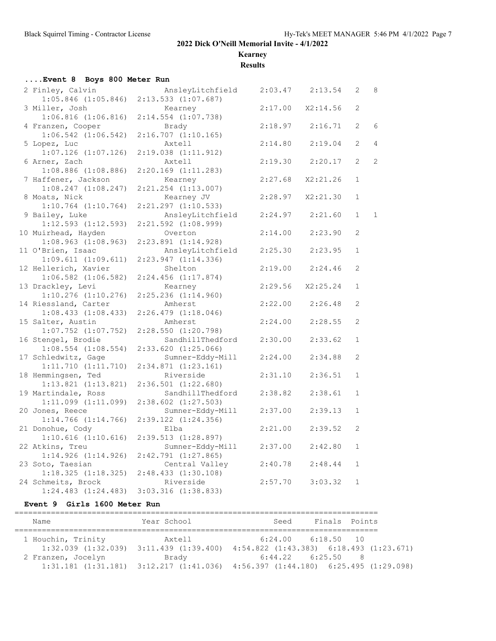**Kearney**

**Results**

| Event 8 Boys 800 Meter Run                   |                                             |         |          |                |                |  |  |  |  |  |  |
|----------------------------------------------|---------------------------------------------|---------|----------|----------------|----------------|--|--|--|--|--|--|
| 2 Finley, Calvin                             | AnsleyLitchfield                            | 2:03.47 | 2:13.54  | $\overline{2}$ | 8              |  |  |  |  |  |  |
| $1:05.846$ $(1:05.846)$                      | $2:13.533$ $(1:07.687)$                     |         |          |                |                |  |  |  |  |  |  |
| 3 Miller, Josh                               | Kearney                                     | 2:17.00 | X2:14.56 | $\mathcal{L}$  |                |  |  |  |  |  |  |
| $1:06.816$ $(1:06.816)$                      | $2:14.554$ $(1:07.738)$                     |         |          |                |                |  |  |  |  |  |  |
| 4 Franzen, Cooper                            | Brady                                       | 2:18.97 | 2:16.71  | 2              | 6              |  |  |  |  |  |  |
| $1:06.542$ $(1:06.542)$                      | $2:16.707$ $(1:10.165)$                     |         |          |                |                |  |  |  |  |  |  |
| 5 Lopez, Luc                                 | Axtell                                      | 2:14.80 | 2:19.04  | 2              | 4              |  |  |  |  |  |  |
| $1:07.126$ $(1:07.126)$                      | $2:19.038$ $(1:11.912)$                     |         |          |                |                |  |  |  |  |  |  |
| 6 Arner, Zach                                | Axtell                                      | 2:19.30 | 2:20.17  | $\overline{2}$ | $\overline{c}$ |  |  |  |  |  |  |
| $1:08.886$ $(1:08.886)$                      | $2:20.169$ $(1:11.283)$                     |         |          |                |                |  |  |  |  |  |  |
| 7 Haffener, Jackson                          | Kearney                                     | 2:27.68 | X2:21.26 | $\mathbf{1}$   |                |  |  |  |  |  |  |
| $1:08.247$ $(1:08.247)$                      | $2:21.254$ $(1:13.007)$                     |         |          |                |                |  |  |  |  |  |  |
| 8 Moats, Nick                                | Kearney JV                                  | 2:28.97 | X2:21.30 | $\mathbf{1}$   |                |  |  |  |  |  |  |
| $1:10.764$ $(1:10.764)$                      | $2:21.297$ $(1:10.533)$                     |         |          |                |                |  |  |  |  |  |  |
| 9 Bailey, Luke                               | AnsleyLitchfield                            | 2:24.97 | 2:21.60  | $\mathbf{1}$   | $\mathbf{1}$   |  |  |  |  |  |  |
| $1:12.593$ $(1:12.593)$                      | $2:21.592$ $(1:08.999)$                     |         |          |                |                |  |  |  |  |  |  |
| 10 Muirhead, Hayden                          | Overton                                     | 2:14.00 | 2:23.90  | 2              |                |  |  |  |  |  |  |
| $1:08.963$ $(1:08.963)$<br>11 O'Brien, Isaac | $2:23.891$ $(1:14.928)$<br>AnsleyLitchfield | 2:25.30 | 2:23.95  | $\mathbf{1}$   |                |  |  |  |  |  |  |
| 1:09.611(1:09.611)                           | 2:23.947(1:14.336)                          |         |          |                |                |  |  |  |  |  |  |
| 12 Hellerich, Xavier                         | Shelton                                     | 2:19.00 | 2:24.46  | 2              |                |  |  |  |  |  |  |
| $1:06.582$ $(1:06.582)$                      | $2:24.456$ $(1:17.874)$                     |         |          |                |                |  |  |  |  |  |  |
| 13 Drackley, Levi                            | Kearney                                     | 2:29.56 | X2:25.24 | $\mathbf{1}$   |                |  |  |  |  |  |  |
| $1:10.276$ $(1:10.276)$                      | $2:25.236$ $(1:14.960)$                     |         |          |                |                |  |  |  |  |  |  |
| 14 Riessland, Carter                         | Amherst                                     | 2:22.00 | 2:26.48  | 2              |                |  |  |  |  |  |  |
| 1:08.433(1:08.433)                           | $2:26.479$ $(1:18.046)$                     |         |          |                |                |  |  |  |  |  |  |
| 15 Salter, Austin                            | Amherst                                     | 2:24.00 | 2:28.55  | 2              |                |  |  |  |  |  |  |
| $1:07.752$ $(1:07.752)$                      | 2:28.550(1:20.798)                          |         |          |                |                |  |  |  |  |  |  |
| 16 Stengel, Brodie                           | SandhillThedford                            | 2:30.00 | 2:33.62  | $\mathbf{1}$   |                |  |  |  |  |  |  |
| $1:08.554$ $(1:08.554)$                      | $2:33.620$ $(1:25.066)$                     |         |          |                |                |  |  |  |  |  |  |
| 17 Schledwitz, Gage                          | Sumner-Eddy-Mill                            | 2:24.00 | 2:34.88  | 2              |                |  |  |  |  |  |  |
| 1:11.710(1:11.710)                           | 2:34.871(1:23.161)                          |         |          |                |                |  |  |  |  |  |  |
| 18 Hemmingsen, Ted                           | Riverside                                   | 2:31.10 | 2:36.51  | $\mathbf{1}$   |                |  |  |  |  |  |  |
| $1:13.821$ $(1:13.821)$                      | $2:36.501$ $(1:22.680)$                     |         |          |                |                |  |  |  |  |  |  |
| 19 Martindale, Ross                          | SandhillThedford                            | 2:38.82 | 2:38.61  | $\mathbf{1}$   |                |  |  |  |  |  |  |
| $1:11.099$ $(1:11.099)$                      | $2:38.602$ $(1:27.503)$                     |         |          |                |                |  |  |  |  |  |  |
| 20 Jones, Reece                              | Sumner-Eddy-Mill                            | 2:37.00 | 2:39.13  | $\mathbf{1}$   |                |  |  |  |  |  |  |
| $1:14.766$ $(1:14.766)$                      | $2:39.122$ $(1:24.356)$                     |         |          |                |                |  |  |  |  |  |  |
| 21 Donohue, Cody                             | Elba                                        | 2:21.00 | 2:39.52  | 2              |                |  |  |  |  |  |  |
| $1:10.616$ $(1:10.616)$                      | 2:39.513 (1:28.897)                         |         |          |                |                |  |  |  |  |  |  |
| 22 Atkins, Treu                              | Sumner-Eddy-Mill                            | 2:37.00 | 2:42.80  | $\mathbf{1}$   |                |  |  |  |  |  |  |
| $1:14.926$ $(1:14.926)$                      | $2:42.791$ $(1:27.865)$                     |         |          |                |                |  |  |  |  |  |  |
| 23 Soto, Taesian                             | Central Valley                              | 2:40.78 | 2:48.44  | $\mathbf{1}$   |                |  |  |  |  |  |  |
| 1:18.325(1:18.325)                           | 2:48.433(1:30.108)                          |         |          |                |                |  |  |  |  |  |  |
| 24 Schmeits, Brock                           | Riverside                                   | 2:57.70 | 3:03.32  | $\mathbf{1}$   |                |  |  |  |  |  |  |
| $1:24.483$ $(1:24.483)$                      | 3:03.316 (1:38.833)                         |         |          |                |                |  |  |  |  |  |  |

#### **Event 9 Girls 1600 Meter Run**

| Name                                            | Year School             | Seed                                            | Finals Points          |    |
|-------------------------------------------------|-------------------------|-------------------------------------------------|------------------------|----|
| 1 Houchin, Trinity                              | Axtell                  |                                                 | $6:24.00$ $6:18.50$ 10 |    |
| $1:32.039$ $(1:32.039)$                         | $3:11.439$ $(1:39.400)$ | $4:54.822$ $(1:43.383)$ $6:18.493$ $(1:23.671)$ |                        |    |
| 2 Franzen, Jocelyn                              | Brady                   |                                                 | $6:44.22$ $6:25.50$    | -8 |
| $1:31.181$ $(1:31.181)$ $3:12.217$ $(1:41.036)$ |                         | $4:56.397$ $(1:44.180)$ $6:25.495$ $(1:29.098)$ |                        |    |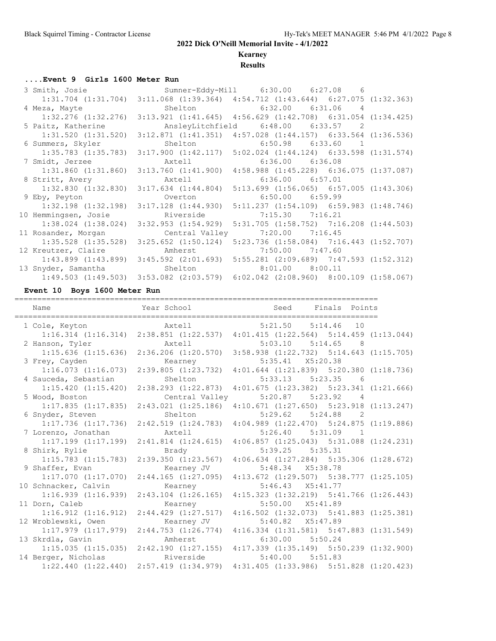## **Kearney**

### **Results**

#### **....Event 9 Girls 1600 Meter Run**

| 3 Smith, Josie                                         | Sumner-Eddy-Mill 6:30.00 6:27.08 6                                                                                                                                                                                             |                       |  |
|--------------------------------------------------------|--------------------------------------------------------------------------------------------------------------------------------------------------------------------------------------------------------------------------------|-----------------------|--|
|                                                        | $1:31.704$ $(1:31.704)$ $3:11.068$ $(1:39.364)$ $4:54.712$ $(1:43.644)$ $6:27.075$ $(1:32.363)$                                                                                                                                |                       |  |
| 4 Meza, Mayte                                          | Shelton 6:32.00 6:31.06 4                                                                                                                                                                                                      |                       |  |
|                                                        | $1:32.276$ $(1:32.276)$ $3:13.921$ $(1:41.645)$ $4:56.629$ $(1:42.708)$ $6:31.054$ $(1:34.425)$                                                                                                                                |                       |  |
| 5 Paitz, Katherine                                     | AnsleyLitchfield 6:48.00 6:33.57 2                                                                                                                                                                                             |                       |  |
|                                                        | $1:31.520$ $(1:31.520)$ $3:12.871$ $(1:41.351)$ $4:57.028$ $(1:44.157)$ $6:33.564$ $(1:36.536)$                                                                                                                                |                       |  |
| 6 Summers, Skyler                                      | Shelton                                                                                                                                                                                                                        | $6:50.98$ $6:33.60$ 1 |  |
|                                                        | $1:35.783$ $(1:35.783)$ $3:17.900$ $(1:42.117)$ $5:02.024$ $(1:44.124)$ $6:33.598$ $(1:31.574)$                                                                                                                                |                       |  |
| 7 Smidt, Jerzee                                        | Axtell and the state of the state of the state of the state of the state of the state of the state of the state of the state of the state of the state of the state of the state of the state of the state of the state of the | $6:36.00$ $6:36.08$   |  |
|                                                        | $1:31.860$ $(1:31.860)$ $3:13.760$ $(1:41.900)$ $4:58.988$ $(1:45.228)$ $6:36.075$ $(1:37.087)$                                                                                                                                |                       |  |
| 8 Stritt, Avery                                        | Axtell                                                                                                                                                                                                                         | $6:36.00$ $6:57.01$   |  |
|                                                        | $1:32.830$ $(1:32.830)$ $3:17.634$ $(1:44.804)$ $5:13.699$ $(1:56.065)$ $6:57.005$ $(1:43.306)$                                                                                                                                |                       |  |
| 9 Eby, Peyton                                          | Overton                                                                                                                                                                                                                        | $6:50.00$ $6:59.99$   |  |
|                                                        | $1:32.198$ $(1:32.198)$ $3:17.128$ $(1:44.930)$ $5:11.237$ $(1:54.109)$ $6:59.983$ $(1:48.746)$                                                                                                                                |                       |  |
| 10 Hemmingsen, Josie                                   | Riverside                                                                                                                                                                                                                      | $7:15.30$ $7:16.21$   |  |
| $1:38.024$ $(1:38.024)$                                | 3:32.953 (1:54.929) 5:31.705 (1:58.752) 7:16.208 (1:44.503)                                                                                                                                                                    |                       |  |
| 11 Rosander, Morgan                                    | Central Valley 7:20.00 7:16.45                                                                                                                                                                                                 |                       |  |
|                                                        | 1:35.528 (1:35.528) 3:25.652 (1:50.124) 5:23.736 (1:58.084) 7:16.443 (1:52.707)                                                                                                                                                |                       |  |
| 12 Kreutzer, Claire                                    | Amherst                                                                                                                                                                                                                        | $7:50.00$ $7:47.60$   |  |
|                                                        | $1:43.899$ $(1:43.899)$ $3:45.592$ $(2:01.693)$ $5:55.281$ $(2:09.689)$ $7:47.593$ $(1:52.312)$                                                                                                                                |                       |  |
| 13 Snyder, Samantha (1997) Shelton (1998:00.00 8:00.11 |                                                                                                                                                                                                                                |                       |  |
|                                                        | $1:49.503$ $(1:49.503)$ $3:53.082$ $(2:03.579)$ $6:02.042$ $(2:08.960)$ $8:00.109$ $(1:58.067)$                                                                                                                                |                       |  |

#### **Event 10 Boys 1600 Meter Run**

| Name                    | Year School                                                                     |                                                 | Seed                 | Finals Points          |                |  |
|-------------------------|---------------------------------------------------------------------------------|-------------------------------------------------|----------------------|------------------------|----------------|--|
| 1 Cole, Keyton          | Axtell                                                                          |                                                 |                      | $5:21.50$ $5:14.46$ 10 |                |  |
|                         | 1:16.314 (1:16.314) 2:38.851 (1:22.537) 4:01.415 (1:22.564) 5:14.459 (1:13.044) |                                                 |                      |                        |                |  |
| 2 Hanson, Tyler         | Axtell                                                                          |                                                 |                      | $5:03.10$ $5:14.65$ 8  |                |  |
|                         | 1:15.636 (1:15.636) 2:36.206 (1:20.570) 3:58.938 (1:22.732) 5:14.643 (1:15.705) |                                                 |                      |                        |                |  |
| 3 Frey, Cayden          | Kearney                                                                         |                                                 |                      | 5:35.41 X5:20.38       |                |  |
| 1:16.073(1:16.073)      | 2:39.805 (1:23.732) 4:01.644 (1:21.839) 5:20.380 (1:18.736)                     |                                                 |                      |                        |                |  |
| 4 Sauceda, Sebastian    | Shelton                                                                         |                                                 |                      | 5:33.13 5:23.35 6      |                |  |
| 1:15.420(1:15.420)      | 2:38.293(1:22.873)                                                              | $4:01.675$ $(1:23.382)$ $5:23.341$ $(1:21.666)$ |                      |                        |                |  |
| 5 Wood, Boston          | Central Valley                                                                  |                                                 |                      | $5:20.87$ $5:23.92$ 4  |                |  |
| $1:17.835$ $(1:17.835)$ | $2:43.021$ (1:25.186) $4:10.671$ (1:27.650) 5:23.918 (1:13.247)                 |                                                 |                      |                        |                |  |
| 6 Snyder, Steven        | Shelton                                                                         |                                                 |                      | $5:29.62$ $5:24.88$    | $\overline{2}$ |  |
| $1:17.736$ $(1:17.736)$ | 2:42.519 (1:24.783) 4:04.989 (1:22.470) 5:24.875 (1:19.886)                     |                                                 |                      |                        |                |  |
| 7 Lorenzo, Jonathan     | Axtell                                                                          |                                                 |                      | $5:26.40$ $5:31.09$    | $\sim$ 1       |  |
| $1:17.199$ $(1:17.199)$ | 2:41.814 (1:24.615) 4:06.857 (1:25.043) 5:31.088 (1:24.231)                     |                                                 |                      |                        |                |  |
| 8 Shirk, Rylie          | Brady                                                                           |                                                 |                      | $5:39.25$ $5:35.31$    |                |  |
| $1:15.783$ $(1:15.783)$ | $2:39.350$ $(1:23.567)$                                                         | $4:06.634$ $(1:27.284)$ $5:35.306$ $(1:28.672)$ |                      |                        |                |  |
| 9 Shaffer, Evan         | Kearney JV                                                                      |                                                 | 5:48.34 X5:38.78     |                        |                |  |
| $1:17.070$ $(1:17.070)$ | 2:44.165(1:27.095)                                                              | 4:13.672 (1:29.507) 5:38.777 (1:25.105)         |                      |                        |                |  |
| 10 Schnacker, Calvin    | Kearney                                                                         |                                                 |                      | $5:46.43$ $X5:41.77$   |                |  |
| 1:16.939(1:16.939)      | $2:43.104$ $(1:26.165)$                                                         | $4:15.323$ $(1:32.219)$ $5:41.766$ $(1:26.443)$ |                      |                        |                |  |
| 11 Dorn, Caleb          | Kearney                                                                         |                                                 | $5:50.00$ $X5:41.89$ |                        |                |  |
| $1:16.912$ $(1:16.912)$ | 2:44.429 (1:27.517) 4:16.502 (1:32.073) 5:41.883 (1:25.381)                     |                                                 |                      |                        |                |  |
| 12 Wroblewski, Owen     | Kearney JV                                                                      |                                                 |                      | 5:40.82 X5:47.89       |                |  |
| $1:17.979$ $(1:17.979)$ | 2:44.753 (1:26.774) 4:16.334 (1:31.581) 5:47.883 (1:31.549)                     |                                                 |                      |                        |                |  |
| 13 Skrdla, Gavin        | Amherst                                                                         |                                                 | $6:30.00$ $5:50.24$  |                        |                |  |
| $1:15.035$ $(1:15.035)$ | 2:42.190 (1:27.155) 4:17.339 (1:35.149) 5:50.239 (1:32.900)                     |                                                 |                      |                        |                |  |
| 14 Berger, Nicholas     | Riverside                                                                       |                                                 |                      | $5:40.00$ $5:51.83$    |                |  |
| 1:22.440(1:22.440)      | $2:57.419$ $(1:34.979)$ $4:31.405$ $(1:33.986)$ $5:51.828$ $(1:20.423)$         |                                                 |                      |                        |                |  |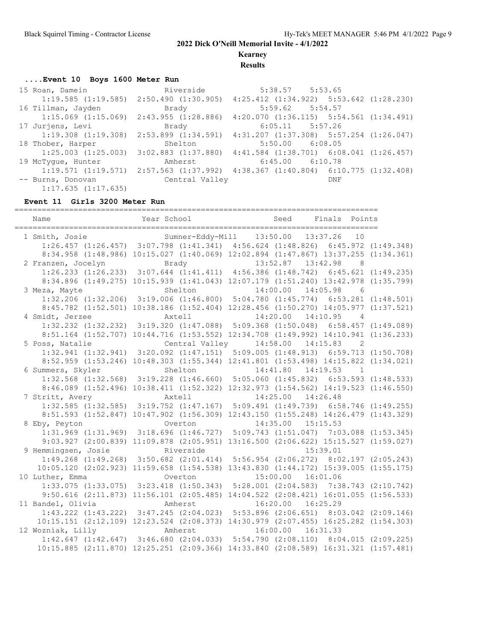**Kearney**

**Results**

#### **....Event 10 Boys 1600 Meter Run**

| 15 Roan, Damein                                 | Riverside      | $5:38.57$ $5:53.65$                                                                             |  |
|-------------------------------------------------|----------------|-------------------------------------------------------------------------------------------------|--|
|                                                 |                | $1:19.585$ $(1:19.585)$ $2:50.490$ $(1:30.905)$ $4:25.412$ $(1:34.922)$ $5:53.642$ $(1:28.230)$ |  |
| 16 Tillman, Jayden                              | Brady          | $5:59.62$ $5:54.57$                                                                             |  |
| $1:15.069$ $(1:15.069)$ $2:43.955$ $(1:28.886)$ |                | $4:20.070$ $(1:36.115)$ $5:54.561$ $(1:34.491)$                                                 |  |
| 17 Jurjens, Levi                                | Brady          | $6:05.11$ $5:57.26$                                                                             |  |
|                                                 |                | $1:19.308$ $(1:19.308)$ $2:53.899$ $(1:34.591)$ $4:31.207$ $(1:37.308)$ $5:57.254$ $(1:26.047)$ |  |
| 18 Thober, Harper                               | Shelton        | $5:50.00$ $6:08.05$                                                                             |  |
| $1:25.003$ $(1:25.003)$                         |                | $3:02.883$ $(1:37.880)$ $4:41.584$ $(1:38.701)$ $6:08.041$ $(1:26.457)$                         |  |
| 19 McTyque, Hunter                              | Amherst        | $6:45.00$ $6:10.78$                                                                             |  |
|                                                 |                | $1:19.571$ $(1:19.571)$ $2:57.563$ $(1:37.992)$ $4:38.367$ $(1:40.804)$ $6:10.775$ $(1:32.408)$ |  |
| -- Burns, Donovan                               | Central Valley | DNF                                                                                             |  |
| 1:17.635(1:17.635)                              |                |                                                                                                 |  |

#### **Event 11 Girls 3200 Meter Run**

================================================================================ Name Year School Seed Finals Points ================================================================================ 1 Smith, Josie Sumner-Eddy-Mill 13:50.00 13:37.26 10 1:26.457 (1:26.457) 3:07.798 (1:41.341) 4:56.624 (1:48.826) 6:45.972 (1:49.348) 8:34.958 (1:48.986) 10:15.027 (1:40.069) 12:02.894 (1:47.867) 13:37.255 (1:34.361) 2 Franzen, Jocelyn Brady 13:52.87 13:42.98 8 1:26.233 (1:26.233) 3:07.644 (1:41.411) 4:56.386 (1:48.742) 6:45.621 (1:49.235) 8:34.896 (1:49.275) 10:15.939 (1:41.043) 12:07.179 (1:51.240) 13:42.978 (1:35.799) 3 Meza, Mayte Shelton 14:00.00 14:05.98 6 1:32.206 (1:32.206) 3:19.006 (1:46.800) 5:04.780 (1:45.774) 6:53.281 (1:48.501) 8:45.782 (1:52.501) 10:38.186 (1:52.404) 12:28.456 (1:50.270) 14:05.977 (1:37.521) 4 Smidt, Jerzee Axtell 14:20.00 14:10.95 4 1:32.232 (1:32.232) 3:19.320 (1:47.088) 5:09.368 (1:50.048) 6:58.457 (1:49.089) 8:51.164 (1:52.707) 10:44.716 (1:53.552) 12:34.708 (1:49.992) 14:10.941 (1:36.233) 5 Poss, Natalie Central Valley 14:58.00 14:15.83 2 1:32.941 (1:32.941) 3:20.092 (1:47.151) 5:09.005 (1:48.913) 6:59.713 (1:50.708) 8:52.959 (1:53.246) 10:48.303 (1:55.344) 12:41.801 (1:53.498) 14:15.822 (1:34.021) 6 Summers, Skyler Shelton 14:41.80 14:19.53 1 1:32.568 (1:32.568) 3:19.228 (1:46.660) 5:05.060 (1:45.832) 6:53.593 (1:48.533) 8:46.089 (1:52.496) 10:38.411 (1:52.322) 12:32.973 (1:54.562) 14:19.523 (1:46.550)<br>ritt, Avery **hxtell** 14:25.00 14:26.48 7 Stritt, Avery Axtell 14:25.00 14:26.48 1:32.585 (1:32.585) 3:19.752 (1:47.167) 5:09.491 (1:49.739) 6:58.746 (1:49.255) 8:51.593 (1:52.847) 10:47.902 (1:56.309) 12:43.150 (1:55.248) 14:26.479 (1:43.329) 8 Eby, Peyton Overton 14:35.00 15:15.53 1:31.969 (1:31.969) 3:18.696 (1:46.727) 5:09.743 (1:51.047) 7:03.088 (1:53.345) 9:03.927 (2:00.839) 11:09.878 (2:05.951) 13:16.500 (2:06.622) 15:15.527 (1:59.027) 9 Hemmingsen, Josie Riverside 15:39.01 1:49.268 (1:49.268) 3:50.682 (2:01.414) 5:56.954 (2:06.272) 8:02.197 (2:05.243) 10:05.120 (2:02.923) 11:59.658 (1:54.538) 13:43.830 (1:44.172) 15:39.005 (1:55.175) 10 Luther, Emma Overton 15:00.00 16:01.06 1:33.075 (1:33.075) 3:23.418 (1:50.343) 5:28.001 (2:04.583) 7:38.743 (2:10.742) 9:50.616 (2:11.873) 11:56.101 (2:05.485) 14:04.522 (2:08.421) 16:01.055 (1:56.533) 11 Bandel, Olivia Amherst 16:20.00 16:25.29 1:43.222 (1:43.222) 3:47.245 (2:04.023) 5:53.896 (2:06.651) 8:03.042 (2:09.146) 10:15.151 (2:12.109) 12:23.524 (2:08.373) 14:30.979 (2:07.455) 16:25.282 (1:54.303) Amherst 16:00.00 16:31.33 1:42.647 (1:42.647) 3:46.680 (2:04.033) 5:54.790 (2:08.110) 8:04.015 (2:09.225) 10:15.885 (2:11.870) 12:25.251 (2:09.366) 14:33.840 (2:08.589) 16:31.321 (1:57.481)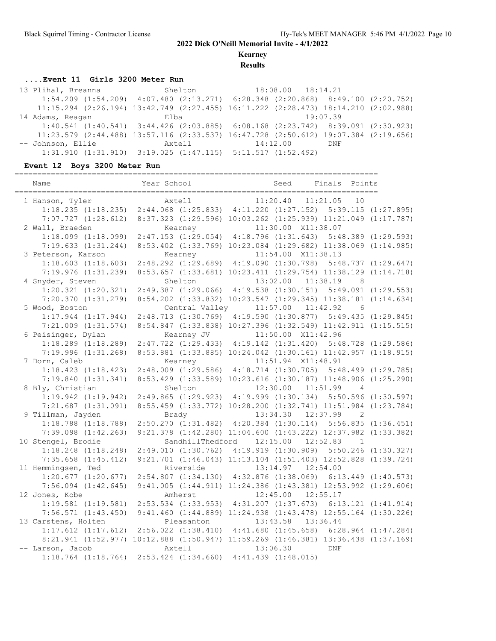**Kearney**

**Results**

### **....Event 11 Girls 3200 Meter Run**

 13 Plihal, Breanna Shelton 18:08.00 18:14.21 1:54.209 (1:54.209) 4:07.480 (2:13.271) 6:28.348 (2:20.868) 8:49.100 (2:20.752) 11:15.294 (2:26.194) 13:42.749 (2:27.455) 16:11.222 (2:28.473) 18:14.210 (2:02.988) 14 Adams, Reagan Elba 19:07.39 1:40.541 (1:40.541) 3:44.426 (2:03.885) 6:08.168 (2:23.742) 8:39.091 (2:30.923) 11:23.579 (2:44.488) 13:57.116 (2:33.537) 16:47.728 (2:50.612) 19:07.384 (2:19.656) Axtell 14:12.00 DNF 1:31.910 (1:31.910) 3:19.025 (1:47.115) 5:11.517 (1:52.492)

#### **Event 12 Boys 3200 Meter Run**

| Year School | Seed                                                                                                                                                                                                                                                                                                                                                                                                                                                                                                                                                                                                                                                                                                                                               | Finals Points                                                                 |                                                                                                                                                                                                                                                                                                                                                                                                                                                                                                                                                                                                                                                                                                                                                                                                                                                                                                                                                                                                                                                                                                                                                                                                                                                                                                                                                                                                                                                                                                                                                                                                                                                                                                                                                                                                                                                                                                                                                                                                                                                                                                                                  |
|-------------|----------------------------------------------------------------------------------------------------------------------------------------------------------------------------------------------------------------------------------------------------------------------------------------------------------------------------------------------------------------------------------------------------------------------------------------------------------------------------------------------------------------------------------------------------------------------------------------------------------------------------------------------------------------------------------------------------------------------------------------------------|-------------------------------------------------------------------------------|----------------------------------------------------------------------------------------------------------------------------------------------------------------------------------------------------------------------------------------------------------------------------------------------------------------------------------------------------------------------------------------------------------------------------------------------------------------------------------------------------------------------------------------------------------------------------------------------------------------------------------------------------------------------------------------------------------------------------------------------------------------------------------------------------------------------------------------------------------------------------------------------------------------------------------------------------------------------------------------------------------------------------------------------------------------------------------------------------------------------------------------------------------------------------------------------------------------------------------------------------------------------------------------------------------------------------------------------------------------------------------------------------------------------------------------------------------------------------------------------------------------------------------------------------------------------------------------------------------------------------------------------------------------------------------------------------------------------------------------------------------------------------------------------------------------------------------------------------------------------------------------------------------------------------------------------------------------------------------------------------------------------------------------------------------------------------------------------------------------------------------|
| Axtell      |                                                                                                                                                                                                                                                                                                                                                                                                                                                                                                                                                                                                                                                                                                                                                    |                                                                               | 10                                                                                                                                                                                                                                                                                                                                                                                                                                                                                                                                                                                                                                                                                                                                                                                                                                                                                                                                                                                                                                                                                                                                                                                                                                                                                                                                                                                                                                                                                                                                                                                                                                                                                                                                                                                                                                                                                                                                                                                                                                                                                                                               |
|             |                                                                                                                                                                                                                                                                                                                                                                                                                                                                                                                                                                                                                                                                                                                                                    |                                                                               |                                                                                                                                                                                                                                                                                                                                                                                                                                                                                                                                                                                                                                                                                                                                                                                                                                                                                                                                                                                                                                                                                                                                                                                                                                                                                                                                                                                                                                                                                                                                                                                                                                                                                                                                                                                                                                                                                                                                                                                                                                                                                                                                  |
|             |                                                                                                                                                                                                                                                                                                                                                                                                                                                                                                                                                                                                                                                                                                                                                    |                                                                               |                                                                                                                                                                                                                                                                                                                                                                                                                                                                                                                                                                                                                                                                                                                                                                                                                                                                                                                                                                                                                                                                                                                                                                                                                                                                                                                                                                                                                                                                                                                                                                                                                                                                                                                                                                                                                                                                                                                                                                                                                                                                                                                                  |
|             |                                                                                                                                                                                                                                                                                                                                                                                                                                                                                                                                                                                                                                                                                                                                                    |                                                                               |                                                                                                                                                                                                                                                                                                                                                                                                                                                                                                                                                                                                                                                                                                                                                                                                                                                                                                                                                                                                                                                                                                                                                                                                                                                                                                                                                                                                                                                                                                                                                                                                                                                                                                                                                                                                                                                                                                                                                                                                                                                                                                                                  |
|             |                                                                                                                                                                                                                                                                                                                                                                                                                                                                                                                                                                                                                                                                                                                                                    |                                                                               |                                                                                                                                                                                                                                                                                                                                                                                                                                                                                                                                                                                                                                                                                                                                                                                                                                                                                                                                                                                                                                                                                                                                                                                                                                                                                                                                                                                                                                                                                                                                                                                                                                                                                                                                                                                                                                                                                                                                                                                                                                                                                                                                  |
|             |                                                                                                                                                                                                                                                                                                                                                                                                                                                                                                                                                                                                                                                                                                                                                    |                                                                               |                                                                                                                                                                                                                                                                                                                                                                                                                                                                                                                                                                                                                                                                                                                                                                                                                                                                                                                                                                                                                                                                                                                                                                                                                                                                                                                                                                                                                                                                                                                                                                                                                                                                                                                                                                                                                                                                                                                                                                                                                                                                                                                                  |
| Kearney     |                                                                                                                                                                                                                                                                                                                                                                                                                                                                                                                                                                                                                                                                                                                                                    |                                                                               |                                                                                                                                                                                                                                                                                                                                                                                                                                                                                                                                                                                                                                                                                                                                                                                                                                                                                                                                                                                                                                                                                                                                                                                                                                                                                                                                                                                                                                                                                                                                                                                                                                                                                                                                                                                                                                                                                                                                                                                                                                                                                                                                  |
|             |                                                                                                                                                                                                                                                                                                                                                                                                                                                                                                                                                                                                                                                                                                                                                    |                                                                               |                                                                                                                                                                                                                                                                                                                                                                                                                                                                                                                                                                                                                                                                                                                                                                                                                                                                                                                                                                                                                                                                                                                                                                                                                                                                                                                                                                                                                                                                                                                                                                                                                                                                                                                                                                                                                                                                                                                                                                                                                                                                                                                                  |
|             |                                                                                                                                                                                                                                                                                                                                                                                                                                                                                                                                                                                                                                                                                                                                                    |                                                                               |                                                                                                                                                                                                                                                                                                                                                                                                                                                                                                                                                                                                                                                                                                                                                                                                                                                                                                                                                                                                                                                                                                                                                                                                                                                                                                                                                                                                                                                                                                                                                                                                                                                                                                                                                                                                                                                                                                                                                                                                                                                                                                                                  |
| Shelton     |                                                                                                                                                                                                                                                                                                                                                                                                                                                                                                                                                                                                                                                                                                                                                    |                                                                               | 8 <sup>8</sup>                                                                                                                                                                                                                                                                                                                                                                                                                                                                                                                                                                                                                                                                                                                                                                                                                                                                                                                                                                                                                                                                                                                                                                                                                                                                                                                                                                                                                                                                                                                                                                                                                                                                                                                                                                                                                                                                                                                                                                                                                                                                                                                   |
|             |                                                                                                                                                                                                                                                                                                                                                                                                                                                                                                                                                                                                                                                                                                                                                    |                                                                               |                                                                                                                                                                                                                                                                                                                                                                                                                                                                                                                                                                                                                                                                                                                                                                                                                                                                                                                                                                                                                                                                                                                                                                                                                                                                                                                                                                                                                                                                                                                                                                                                                                                                                                                                                                                                                                                                                                                                                                                                                                                                                                                                  |
|             |                                                                                                                                                                                                                                                                                                                                                                                                                                                                                                                                                                                                                                                                                                                                                    |                                                                               |                                                                                                                                                                                                                                                                                                                                                                                                                                                                                                                                                                                                                                                                                                                                                                                                                                                                                                                                                                                                                                                                                                                                                                                                                                                                                                                                                                                                                                                                                                                                                                                                                                                                                                                                                                                                                                                                                                                                                                                                                                                                                                                                  |
|             |                                                                                                                                                                                                                                                                                                                                                                                                                                                                                                                                                                                                                                                                                                                                                    |                                                                               | $6\overline{6}$                                                                                                                                                                                                                                                                                                                                                                                                                                                                                                                                                                                                                                                                                                                                                                                                                                                                                                                                                                                                                                                                                                                                                                                                                                                                                                                                                                                                                                                                                                                                                                                                                                                                                                                                                                                                                                                                                                                                                                                                                                                                                                                  |
|             |                                                                                                                                                                                                                                                                                                                                                                                                                                                                                                                                                                                                                                                                                                                                                    |                                                                               |                                                                                                                                                                                                                                                                                                                                                                                                                                                                                                                                                                                                                                                                                                                                                                                                                                                                                                                                                                                                                                                                                                                                                                                                                                                                                                                                                                                                                                                                                                                                                                                                                                                                                                                                                                                                                                                                                                                                                                                                                                                                                                                                  |
|             |                                                                                                                                                                                                                                                                                                                                                                                                                                                                                                                                                                                                                                                                                                                                                    |                                                                               |                                                                                                                                                                                                                                                                                                                                                                                                                                                                                                                                                                                                                                                                                                                                                                                                                                                                                                                                                                                                                                                                                                                                                                                                                                                                                                                                                                                                                                                                                                                                                                                                                                                                                                                                                                                                                                                                                                                                                                                                                                                                                                                                  |
|             |                                                                                                                                                                                                                                                                                                                                                                                                                                                                                                                                                                                                                                                                                                                                                    |                                                                               |                                                                                                                                                                                                                                                                                                                                                                                                                                                                                                                                                                                                                                                                                                                                                                                                                                                                                                                                                                                                                                                                                                                                                                                                                                                                                                                                                                                                                                                                                                                                                                                                                                                                                                                                                                                                                                                                                                                                                                                                                                                                                                                                  |
|             |                                                                                                                                                                                                                                                                                                                                                                                                                                                                                                                                                                                                                                                                                                                                                    |                                                                               |                                                                                                                                                                                                                                                                                                                                                                                                                                                                                                                                                                                                                                                                                                                                                                                                                                                                                                                                                                                                                                                                                                                                                                                                                                                                                                                                                                                                                                                                                                                                                                                                                                                                                                                                                                                                                                                                                                                                                                                                                                                                                                                                  |
|             |                                                                                                                                                                                                                                                                                                                                                                                                                                                                                                                                                                                                                                                                                                                                                    |                                                                               |                                                                                                                                                                                                                                                                                                                                                                                                                                                                                                                                                                                                                                                                                                                                                                                                                                                                                                                                                                                                                                                                                                                                                                                                                                                                                                                                                                                                                                                                                                                                                                                                                                                                                                                                                                                                                                                                                                                                                                                                                                                                                                                                  |
|             |                                                                                                                                                                                                                                                                                                                                                                                                                                                                                                                                                                                                                                                                                                                                                    |                                                                               |                                                                                                                                                                                                                                                                                                                                                                                                                                                                                                                                                                                                                                                                                                                                                                                                                                                                                                                                                                                                                                                                                                                                                                                                                                                                                                                                                                                                                                                                                                                                                                                                                                                                                                                                                                                                                                                                                                                                                                                                                                                                                                                                  |
|             |                                                                                                                                                                                                                                                                                                                                                                                                                                                                                                                                                                                                                                                                                                                                                    |                                                                               |                                                                                                                                                                                                                                                                                                                                                                                                                                                                                                                                                                                                                                                                                                                                                                                                                                                                                                                                                                                                                                                                                                                                                                                                                                                                                                                                                                                                                                                                                                                                                                                                                                                                                                                                                                                                                                                                                                                                                                                                                                                                                                                                  |
|             |                                                                                                                                                                                                                                                                                                                                                                                                                                                                                                                                                                                                                                                                                                                                                    |                                                                               |                                                                                                                                                                                                                                                                                                                                                                                                                                                                                                                                                                                                                                                                                                                                                                                                                                                                                                                                                                                                                                                                                                                                                                                                                                                                                                                                                                                                                                                                                                                                                                                                                                                                                                                                                                                                                                                                                                                                                                                                                                                                                                                                  |
| Shelton     |                                                                                                                                                                                                                                                                                                                                                                                                                                                                                                                                                                                                                                                                                                                                                    |                                                                               | $\overline{4}$                                                                                                                                                                                                                                                                                                                                                                                                                                                                                                                                                                                                                                                                                                                                                                                                                                                                                                                                                                                                                                                                                                                                                                                                                                                                                                                                                                                                                                                                                                                                                                                                                                                                                                                                                                                                                                                                                                                                                                                                                                                                                                                   |
|             |                                                                                                                                                                                                                                                                                                                                                                                                                                                                                                                                                                                                                                                                                                                                                    |                                                                               |                                                                                                                                                                                                                                                                                                                                                                                                                                                                                                                                                                                                                                                                                                                                                                                                                                                                                                                                                                                                                                                                                                                                                                                                                                                                                                                                                                                                                                                                                                                                                                                                                                                                                                                                                                                                                                                                                                                                                                                                                                                                                                                                  |
|             |                                                                                                                                                                                                                                                                                                                                                                                                                                                                                                                                                                                                                                                                                                                                                    |                                                                               |                                                                                                                                                                                                                                                                                                                                                                                                                                                                                                                                                                                                                                                                                                                                                                                                                                                                                                                                                                                                                                                                                                                                                                                                                                                                                                                                                                                                                                                                                                                                                                                                                                                                                                                                                                                                                                                                                                                                                                                                                                                                                                                                  |
|             |                                                                                                                                                                                                                                                                                                                                                                                                                                                                                                                                                                                                                                                                                                                                                    |                                                                               |                                                                                                                                                                                                                                                                                                                                                                                                                                                                                                                                                                                                                                                                                                                                                                                                                                                                                                                                                                                                                                                                                                                                                                                                                                                                                                                                                                                                                                                                                                                                                                                                                                                                                                                                                                                                                                                                                                                                                                                                                                                                                                                                  |
|             |                                                                                                                                                                                                                                                                                                                                                                                                                                                                                                                                                                                                                                                                                                                                                    |                                                                               |                                                                                                                                                                                                                                                                                                                                                                                                                                                                                                                                                                                                                                                                                                                                                                                                                                                                                                                                                                                                                                                                                                                                                                                                                                                                                                                                                                                                                                                                                                                                                                                                                                                                                                                                                                                                                                                                                                                                                                                                                                                                                                                                  |
|             |                                                                                                                                                                                                                                                                                                                                                                                                                                                                                                                                                                                                                                                                                                                                                    |                                                                               |                                                                                                                                                                                                                                                                                                                                                                                                                                                                                                                                                                                                                                                                                                                                                                                                                                                                                                                                                                                                                                                                                                                                                                                                                                                                                                                                                                                                                                                                                                                                                                                                                                                                                                                                                                                                                                                                                                                                                                                                                                                                                                                                  |
|             |                                                                                                                                                                                                                                                                                                                                                                                                                                                                                                                                                                                                                                                                                                                                                    |                                                                               | $\sim$ 1                                                                                                                                                                                                                                                                                                                                                                                                                                                                                                                                                                                                                                                                                                                                                                                                                                                                                                                                                                                                                                                                                                                                                                                                                                                                                                                                                                                                                                                                                                                                                                                                                                                                                                                                                                                                                                                                                                                                                                                                                                                                                                                         |
|             |                                                                                                                                                                                                                                                                                                                                                                                                                                                                                                                                                                                                                                                                                                                                                    |                                                                               |                                                                                                                                                                                                                                                                                                                                                                                                                                                                                                                                                                                                                                                                                                                                                                                                                                                                                                                                                                                                                                                                                                                                                                                                                                                                                                                                                                                                                                                                                                                                                                                                                                                                                                                                                                                                                                                                                                                                                                                                                                                                                                                                  |
|             |                                                                                                                                                                                                                                                                                                                                                                                                                                                                                                                                                                                                                                                                                                                                                    |                                                                               |                                                                                                                                                                                                                                                                                                                                                                                                                                                                                                                                                                                                                                                                                                                                                                                                                                                                                                                                                                                                                                                                                                                                                                                                                                                                                                                                                                                                                                                                                                                                                                                                                                                                                                                                                                                                                                                                                                                                                                                                                                                                                                                                  |
|             |                                                                                                                                                                                                                                                                                                                                                                                                                                                                                                                                                                                                                                                                                                                                                    |                                                                               |                                                                                                                                                                                                                                                                                                                                                                                                                                                                                                                                                                                                                                                                                                                                                                                                                                                                                                                                                                                                                                                                                                                                                                                                                                                                                                                                                                                                                                                                                                                                                                                                                                                                                                                                                                                                                                                                                                                                                                                                                                                                                                                                  |
|             |                                                                                                                                                                                                                                                                                                                                                                                                                                                                                                                                                                                                                                                                                                                                                    |                                                                               |                                                                                                                                                                                                                                                                                                                                                                                                                                                                                                                                                                                                                                                                                                                                                                                                                                                                                                                                                                                                                                                                                                                                                                                                                                                                                                                                                                                                                                                                                                                                                                                                                                                                                                                                                                                                                                                                                                                                                                                                                                                                                                                                  |
|             |                                                                                                                                                                                                                                                                                                                                                                                                                                                                                                                                                                                                                                                                                                                                                    |                                                                               |                                                                                                                                                                                                                                                                                                                                                                                                                                                                                                                                                                                                                                                                                                                                                                                                                                                                                                                                                                                                                                                                                                                                                                                                                                                                                                                                                                                                                                                                                                                                                                                                                                                                                                                                                                                                                                                                                                                                                                                                                                                                                                                                  |
|             |                                                                                                                                                                                                                                                                                                                                                                                                                                                                                                                                                                                                                                                                                                                                                    |                                                                               |                                                                                                                                                                                                                                                                                                                                                                                                                                                                                                                                                                                                                                                                                                                                                                                                                                                                                                                                                                                                                                                                                                                                                                                                                                                                                                                                                                                                                                                                                                                                                                                                                                                                                                                                                                                                                                                                                                                                                                                                                                                                                                                                  |
|             |                                                                                                                                                                                                                                                                                                                                                                                                                                                                                                                                                                                                                                                                                                                                                    |                                                                               |                                                                                                                                                                                                                                                                                                                                                                                                                                                                                                                                                                                                                                                                                                                                                                                                                                                                                                                                                                                                                                                                                                                                                                                                                                                                                                                                                                                                                                                                                                                                                                                                                                                                                                                                                                                                                                                                                                                                                                                                                                                                                                                                  |
|             |                                                                                                                                                                                                                                                                                                                                                                                                                                                                                                                                                                                                                                                                                                                                                    |                                                                               |                                                                                                                                                                                                                                                                                                                                                                                                                                                                                                                                                                                                                                                                                                                                                                                                                                                                                                                                                                                                                                                                                                                                                                                                                                                                                                                                                                                                                                                                                                                                                                                                                                                                                                                                                                                                                                                                                                                                                                                                                                                                                                                                  |
|             |                                                                                                                                                                                                                                                                                                                                                                                                                                                                                                                                                                                                                                                                                                                                                    |                                                                               |                                                                                                                                                                                                                                                                                                                                                                                                                                                                                                                                                                                                                                                                                                                                                                                                                                                                                                                                                                                                                                                                                                                                                                                                                                                                                                                                                                                                                                                                                                                                                                                                                                                                                                                                                                                                                                                                                                                                                                                                                                                                                                                                  |
|             |                                                                                                                                                                                                                                                                                                                                                                                                                                                                                                                                                                                                                                                                                                                                                    |                                                                               |                                                                                                                                                                                                                                                                                                                                                                                                                                                                                                                                                                                                                                                                                                                                                                                                                                                                                                                                                                                                                                                                                                                                                                                                                                                                                                                                                                                                                                                                                                                                                                                                                                                                                                                                                                                                                                                                                                                                                                                                                                                                                                                                  |
|             |                                                                                                                                                                                                                                                                                                                                                                                                                                                                                                                                                                                                                                                                                                                                                    |                                                                               |                                                                                                                                                                                                                                                                                                                                                                                                                                                                                                                                                                                                                                                                                                                                                                                                                                                                                                                                                                                                                                                                                                                                                                                                                                                                                                                                                                                                                                                                                                                                                                                                                                                                                                                                                                                                                                                                                                                                                                                                                                                                                                                                  |
|             |                                                                                                                                                                                                                                                                                                                                                                                                                                                                                                                                                                                                                                                                                                                                                    |                                                                               |                                                                                                                                                                                                                                                                                                                                                                                                                                                                                                                                                                                                                                                                                                                                                                                                                                                                                                                                                                                                                                                                                                                                                                                                                                                                                                                                                                                                                                                                                                                                                                                                                                                                                                                                                                                                                                                                                                                                                                                                                                                                                                                                  |
|             |                                                                                                                                                                                                                                                                                                                                                                                                                                                                                                                                                                                                                                                                                                                                                    |                                                                               |                                                                                                                                                                                                                                                                                                                                                                                                                                                                                                                                                                                                                                                                                                                                                                                                                                                                                                                                                                                                                                                                                                                                                                                                                                                                                                                                                                                                                                                                                                                                                                                                                                                                                                                                                                                                                                                                                                                                                                                                                                                                                                                                  |
|             | $1:18.235$ $(1:18.235)$<br>$7:07.727$ $(1:28.612)$<br>$1:18.099$ $(1:18.099)$<br>7:19.633(1:31.244)<br>$1:18.603$ $(1:18.603)$<br>7:19.976(1:31.239)<br>$1:20.321$ $(1:20.321)$<br>7:20.370(1:31.279)<br>$1:17.944$ $(1:17.944)$<br>$7:21.009$ $(1:31.574)$<br>$1:18.289$ $(1:18.289)$<br>7:19.996(1:31.268)<br>Kearney<br>$1:18.423$ $(1:18.423)$<br>7:19.840(1:31.341)<br>$1:19.942$ $(1:19.942)$<br>$7:21.687$ $(1:31.091)$<br>Brady<br>$1:18.788$ $(1:18.788)$<br>$7:39.098$ $(1:42.263)$<br>$1:18.248$ $(1:18.248)$<br>$7:35.658$ $(1:45.412)$<br>Riverside<br>$1:20.677$ $(1:20.677)$<br>$7:56.094$ $(1:42.645)$<br>Amherst<br>$1:19.581$ $(1:19.581)$<br>7:56.571(1:43.450)<br>Axtell<br>$1:18.764$ $(1:18.764)$<br>$2:53.424$ $(1:34.660)$ | Kearney<br>Central Valley<br>Kearney JV<br>12:45.00<br>Pleasanton<br>13:06.30 | 11:20.40  11:21.05<br>$2:44.068$ $(1:25.833)$ $4:11.220$ $(1:27.152)$ $5:39.115$ $(1:27.895)$<br>8:37.323 (1:29.596) 10:03.262 (1:25.939) 11:21.049 (1:17.787)<br>11:30.00 X11:38.07<br>2:47.153 (1:29.054) 4:18.796 (1:31.643) 5:48.389 (1:29.593)<br>8:53.402 (1:33.769) 10:23.084 (1:29.682) 11:38.069 (1:14.985)<br>11:54.00 X11:38.13<br>2:48.292 (1:29.689) 4:19.090 (1:30.798) 5:48.737 (1:29.647)<br>8:53.657 (1:33.681) 10:23.411 (1:29.754) 11:38.129 (1:14.718)<br>13:02.00 11:38.19<br>2:49.387 (1:29.066) 4:19.538 (1:30.151) 5:49.091 (1:29.553)<br>8:54.202 (1:33.832) 10:23.547 (1:29.345) 11:38.181 (1:14.634)<br>$11:57.00$ $11:42.92$<br>2:48.713 (1:30.769) 4:19.590 (1:30.877) 5:49.435 (1:29.845)<br>8:54.847 (1:33.838) 10:27.396 (1:32.549) 11:42.911 (1:15.515)<br>11:50.00 X11:42.96<br>2:47.722 (1:29.433) 4:19.142 (1:31.420) 5:48.728 (1:29.586)<br>8:53.881 (1:33.885) 10:24.042 (1:30.161) 11:42.957 (1:18.915)<br>11:51.94 X11:48.91<br>2:48.009 (1:29.586) 4:18.714 (1:30.705) 5:48.499 (1:29.785)<br>8:53.429 (1:33.589) 10:23.616 (1:30.187) 11:48.906 (1:25.290)<br>12:30.00 11:51.99<br>2:49.865 (1:29.923) 4:19.999 (1:30.134) 5:50.596 (1:30.597)<br>8:55.459 (1:33.772) 10:28.200 (1:32.741) 11:51.984 (1:23.784)<br>13:34.30 12:37.99 2<br>2:50.270 (1:31.482) 4:20.384 (1:30.114) 5:56.835 (1:36.451)<br>9:21.378 (1:42.280) 11:04.600 (1:43.222) 12:37.982 (1:33.382)<br>SandhillThedford 12:15.00 12:52.83<br>2:49.010 (1:30.762) 4:19.919 (1:30.909) 5:50.246 (1:30.327)<br>9:21.701 (1:46.043) 11:13.104 (1:51.403) 12:52.828 (1:39.724)<br>13:14.97  12:54.00<br>2:54.807 (1:34.130) 4:32.876 (1:38.069) 6:13.449 (1:40.573)<br>9:41.005 (1:44.911) 11:24.386 (1:43.381) 12:53.992 (1:29.606)<br>12:55.17<br>2:53.534 (1:33.953) 4:31.207 (1:37.673) 6:13.121 (1:41.914)<br>9:41.460 (1:44.889) 11:24.938 (1:43.478) 12:55.164 (1:30.226)<br>13:43.58  13:36.44<br>1:17.612 (1:17.612) 2:56.022 (1:38.410) 4:41.680 (1:45.658) 6:28.964 (1:47.284)<br>8:21.941 (1:52.977) 10:12.888 (1:50.947) 11:59.269 (1:46.381) 13:36.438 (1:37.169)<br><b>DNF</b><br>$4:41.439$ $(1:48.015)$ |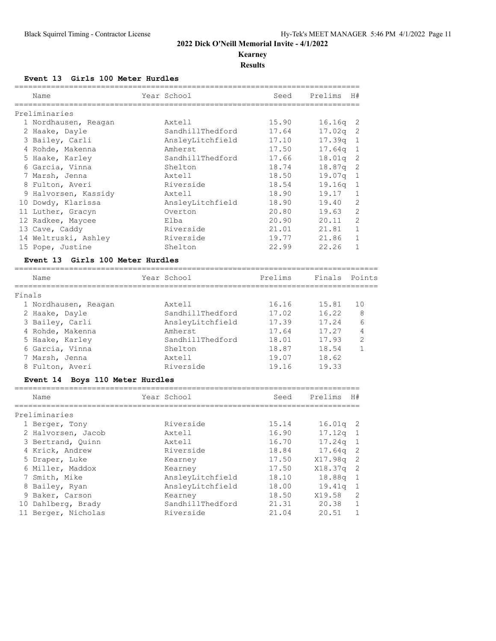# **Kearney**

**Results**

### **Event 13 Girls 100 Meter Hurdles**

|        | Name                                         |                     | Year School             | Seed                                         | Prelims | H#                       |
|--------|----------------------------------------------|---------------------|-------------------------|----------------------------------------------|---------|--------------------------|
|        | Preliminaries                                |                     |                         |                                              |         |                          |
|        | 1 Nordhausen, Reagan                         |                     | Axtell                  | 15.90                                        | 16.16q  | $\overline{\mathcal{L}}$ |
|        | 2 Haake, Dayle                               |                     | SandhillThedford        | 17.64                                        | 17.02q  | 2                        |
|        | 3 Bailey, Carli                              |                     | AnsleyLitchfield        | 17.10                                        | 17.39q  | 1                        |
|        | 4 Rohde, Makenna                             |                     | Amherst                 | 17.50                                        | 17.64q  | 1                        |
|        | 5 Haake, Karley                              |                     | SandhillThedford        | 17.66                                        | 18.01q  | 2                        |
|        | 6 Garcia, Vinna                              |                     | Shelton                 | 18.74                                        | 18.87q  | 2                        |
|        | 7 Marsh, Jenna                               |                     | Axtell                  | 18.50                                        | 19.07q  | $\mathbf{1}$             |
|        | 8 Fulton, Averi                              |                     | Riverside               | 18.54                                        | 19.16q  | 1                        |
|        | 9 Halvorsen, Kassidy                         |                     | Axtell                  | 18.90                                        | 19.17   | $\mathbf{1}$             |
|        | 10 Dowdy, Klarissa                           |                     | AnsleyLitchfield        | 18.90                                        | 19.40   | 2                        |
|        | 11 Luther, Gracyn                            |                     | Overton                 | 20.80                                        | 19.63   | 2                        |
|        | 12 Radkee, Maycee                            |                     | Elba                    | 20.90                                        | 20.11   | $\overline{2}$           |
|        | 13 Cave, Caddy                               |                     | Riverside               | 21.01                                        | 21.81   | $\mathbf 1$              |
|        | 14 Weltruski, Ashley                         |                     | Riverside               | 19.77                                        | 21.86   | 1                        |
|        | 15 Pope, Justine                             |                     | Shelton                 | 22.99                                        | 22.26   | $\mathbf{1}$             |
|        | Event 13<br>Girls 100 Meter Hurdles          |                     |                         |                                              |         |                          |
|        | Name                                         |                     | Year School             | Prelims                                      | Finals  | Points                   |
| Finals | =======================                      |                     | ======================= | -----------------------------------          |         |                          |
|        | 1 Nordhausen, Reagan                         |                     | Axtell                  | 16.16                                        | 15.81   | 10                       |
|        | 2 Haake, Dayle                               |                     | SandhillThedford        | 17.02                                        | 16.22   | 8                        |
|        | 3 Bailey, Carli                              |                     | AnsleyLitchfield        | 17.39                                        | 17.24   | 6                        |
|        | 4 Rohde, Makenna                             |                     | Amherst                 | 17.64                                        | 17.27   | 4                        |
|        | 5 Haake, Karley                              |                     | SandhillThedford        | 18.01                                        | 17.93   | $\overline{2}$           |
|        | 6 Garcia, Vinna                              |                     | Shelton                 | 18.87                                        | 18.54   | $\mathbf{1}$             |
|        | 7 Marsh, Jenna                               |                     | Axtell                  | 19.07                                        | 18.62   |                          |
|        | 8 Fulton, Averi                              |                     | Riverside               | 19.16                                        | 19.33   |                          |
|        |                                              |                     |                         |                                              |         |                          |
|        | Boys 110 Meter Hurdles<br><b>Event 14</b>    | =================== |                         |                                              |         |                          |
|        | Name<br>==================================== |                     | Year School             | Seed<br>==================================== | Prelims | H#                       |
|        | Preliminaries                                |                     |                         |                                              |         |                          |
|        | 1 Berger, Tony                               |                     | Riverside               | 15.14                                        | 16.01q  | 2                        |
|        | 2 Halvorsen, Jacob                           |                     | Axtell                  | 16.90                                        | 17.12q  | 1                        |
|        | 3 Bertrand, Quinn                            |                     | Axtell                  | 16.70                                        | 17.24q  | 1                        |
|        | 4 Krick, Andrew                              |                     | Riverside               | 18.84                                        | 17.64q  | $\overline{\mathcal{L}}$ |
|        | 5 Draper, Luke                               |                     | Kearney                 | 17.50                                        | X17.98q | 2                        |
|        | 6 Miller, Maddox                             |                     | Kearney                 | 17.50                                        | X18.37q | $\mathbf{2}$             |
|        | 7 Smith, Mike                                |                     | AnsleyLitchfield        | 18.10                                        | 18.88q  | $\mathbf{1}$             |
|        | 8 Bailey, Ryan                               |                     | AnsleyLitchfield        | 18.00                                        | 19.41q  | $\mathbf{1}$             |
|        | 9 Baker, Carson                              |                     | Kearney                 | 18.50                                        | X19.58  | $\sqrt{2}$               |
|        | 10 Dahlberg, Brady                           |                     | SandhillThedford        | 21.31                                        | 20.38   | 1                        |
|        | 11 Berger, Nicholas                          |                     |                         |                                              |         |                          |
|        |                                              |                     | Riverside               | 21.04                                        | 20.51   | 1                        |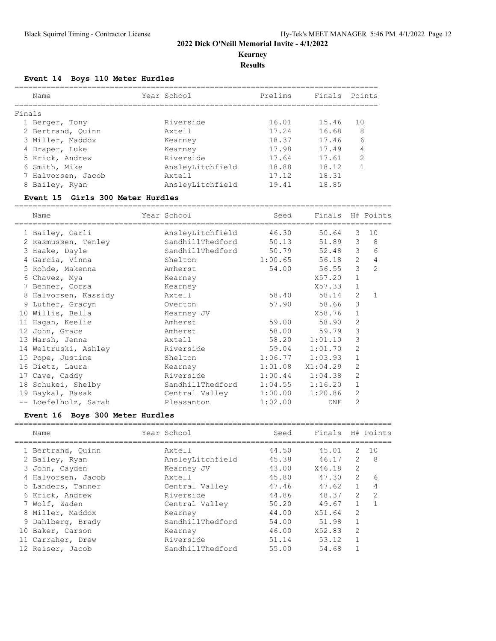### **Kearney**

**Results**

#### **Event 14 Boys 110 Meter Hurdles**

|        | Name               | Year School      | Prelims | Finals | Points         |
|--------|--------------------|------------------|---------|--------|----------------|
| Finals |                    |                  |         |        |                |
|        | 1 Berger, Tony     | Riverside        | 16.01   | 15.46  | 10             |
|        | 2 Bertrand, Quinn  | Axtell           | 17.24   | 16.68  | 8              |
|        | 3 Miller, Maddox   | Kearney          | 18.37   | 17.46  | 6              |
|        | 4 Draper, Luke     | Kearney          | 17.98   | 17.49  | 4              |
|        | 5 Krick, Andrew    | Riverside        | 17.64   | 17.61  | $\mathfrak{D}$ |
|        | 6 Smith, Mike      | AnsleyLitchfield | 18.88   | 18.12  |                |
|        | 7 Halvorsen, Jacob | Axtell           | 17.12   | 18.31  |                |
|        | 8 Bailey, Ryan     | AnsleyLitchfield | 19.41   | 18.85  |                |

#### **Event 15 Girls 300 Meter Hurdles**

=================================================================================== Name Year School Seed Finals H# Points =================================================================================== 1 Bailey, Carli AnsleyLitchfield 46.30 50.64 3 10 2 Rasmussen, Tenley SandhillThedford 50.13 51.89 3 8 3 Haake, Dayle SandhillThedford 50.79 52.48 3 6 4 Garcia, Vinna Shelton 1:00.65 56.18 2 4 5 Rohde, Makenna Amherst 54.00 56.55 3 2 6 Chavez, Mya Kearney X57.20 1 7 Benner, Corsa Kearney X57.33 1 8 Halvorsen, Kassidy Axtell 58.40 58.14 2 1 9 Luther, Gracyn Overton 57.90 58.66 3 10 Willis, Bella Kearney JV X58.76 1 11 Hagan, Keelie Amherst 59.00 58.90 2 12 John, Grace Amherst 58.00 59.79 3 13 Marsh, Jenna Axtell 58.20 1:01.10 3 14 Weltruski, Ashley Riverside 59.04 1:01.70 2 15 Pope, Justine Shelton 1:06.77 1:03.93 1 16 Dietz, Laura Kearney 1:01.08 X1:04.29 2 17 Cave, Caddy Riverside 1:00.44 1:04.38 2 18 Schukei, Shelby SandhillThedford 1:04.55 1:16.20 1 19 Baykal, Basak Central Valley 1:00.00 1:20.86 2 -- Loefelholz, Sarah Pleasanton 1:02.00 DNF 2

#### **Event 16 Boys 300 Meter Hurdles**

| Name               | Year School      | Seed  | Finals |                | H# Points      |
|--------------------|------------------|-------|--------|----------------|----------------|
|                    |                  |       |        |                |                |
| 1 Bertrand, Quinn  | Axtell           | 44.50 | 45.01  | 2              | 1 O            |
| 2 Bailey, Ryan     | AnsleyLitchfield | 45.38 | 46.17  | $\mathcal{L}$  | 8              |
| 3 John, Cayden     | Kearney JV       | 43.00 | X46.18 | $\mathfrak{D}$ |                |
| 4 Halvorsen, Jacob | Axtell           | 45.80 | 47.30  | 2              | 6              |
| 5 Landers, Tanner  | Central Valley   | 47.46 | 47.62  | $\mathbf{1}$   | 4              |
| 6 Krick, Andrew    | Riverside        | 44.86 | 48.37  | $\mathcal{L}$  | $\overline{2}$ |
| 7 Wolf, Zaden      | Central Valley   | 50.20 | 49.67  |                | 1              |
| 8 Miller, Maddox   | Kearney          | 44.00 | X51.64 | $\mathfrak{D}$ |                |
| 9 Dahlberg, Brady  | SandhillThedford | 54.00 | 51.98  | $\mathbf{1}$   |                |
| 10 Baker, Carson   | Kearney          | 46.00 | X52.83 | $\mathfrak{D}$ |                |
| 11 Carraher, Drew  | Riverside        | 51.14 | 53.12  | $\mathbf{1}$   |                |
| 12 Reiser, Jacob   | SandhillThedford | 55.00 | 54.68  |                |                |
|                    |                  |       |        |                |                |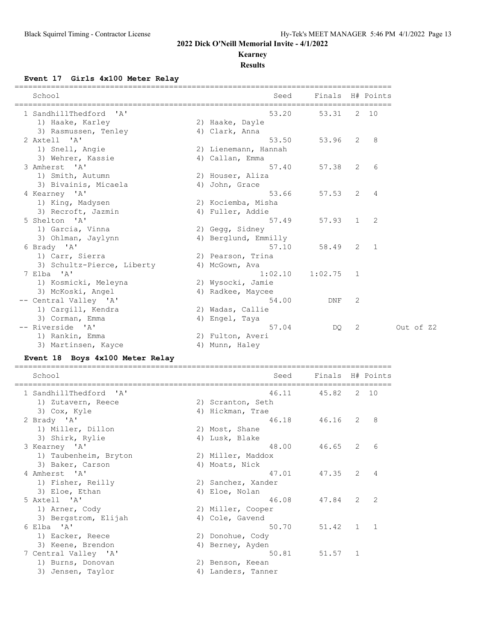### **Kearney**

#### **Results**

#### **Event 17 Girls 4x100 Meter Relay**

| School                     | Seed                 | Finals H# Points |   |   |
|----------------------------|----------------------|------------------|---|---|
| 1 SandhillThedford 'A'     | 53.20                | 53.31 2 10       |   |   |
| 1) Haake, Karley           | 2) Haake, Dayle      |                  |   |   |
| 3) Rasmussen, Tenley       | 4) Clark, Anna       |                  |   |   |
| 2 Axtell 'A'               | 53.50                | 53.96 2          |   | 8 |
| 1) Snell, Angie            | 2) Lienemann, Hannah |                  |   |   |
| 3) Wehrer, Kassie          | 4) Callan, Emma      |                  |   |   |
| 3 Amherst 'A'              | 57.40                | 57.38 2          |   | 6 |
| 1) Smith, Autumn           | 2) Houser, Aliza     |                  |   |   |
| 3) Bivainis, Micaela       | 4) John, Grace       |                  |   |   |
| 4 Kearney 'A'              | 53.66                | 57.53            | 2 | 4 |
| 1) King, Madysen           | 2) Kociemba, Misha   |                  |   |   |
| 3) Recroft, Jazmin         | 4) Fuller, Addie     |                  |   |   |
| 5 Shelton 'A'              | 57.49                | $57.93$ 1        |   | 2 |
| 1) Garcia, Vinna           | 2) Gegg, Sidney      |                  |   |   |
| 3) Ohlman, Jaylynn         | 4) Berglund, Emmilly |                  |   |   |
| 6 Brady 'A'                | 57.10                | 58.49 2          |   | 1 |
| 1) Carr, Sierra            | 2) Pearson, Trina    |                  |   |   |
| 3) Schultz-Pierce, Liberty | 4) McGown, Ava       |                  |   |   |
| 7 Elba 'A'                 | 1:02.10              | 1:02.75          | 1 |   |
| 1) Kosmicki, Meleyna       | 2) Wysocki, Jamie    |                  |   |   |
| 3) McKoski, Angel          | 4) Radkee, Maycee    |                  |   |   |
| -- Central Valley 'A'      | 54.00                | DNF              | 2 |   |
| 1) Cargill, Kendra         | 2) Wadas, Callie     |                  |   |   |
| 3) Corman, Emma            | 4) Engel, Taya       |                  |   |   |
| -- Riverside 'A'           | 57.04                | DO.              | 2 |   |
| 1) Rankin, Emma            | 2) Fulton, Averi     |                  |   |   |
| 3) Martinsen, Kayce        | 4) Munn, Haley       |                  |   |   |

## **Event 18 Boys 4x100 Meter Relay**

| School                 | Seed               | Finals H# Points |               |                |
|------------------------|--------------------|------------------|---------------|----------------|
| 1 SandhillThedford 'A' | 46.11              | 45.82            |               | $2 \quad 10$   |
| 1) Zutavern, Reece     | 2) Scranton, Seth  |                  |               |                |
| 3) Cox, Kyle           | 4) Hickman, Trae   |                  |               |                |
| 2 Brady 'A'            | 46.18              | 46.16            | 2             | 8              |
| 1) Miller, Dillon      | 2) Most, Shane     |                  |               |                |
| 3) Shirk, Rylie        | 4) Lusk, Blake     |                  |               |                |
| 3 Kearney 'A'          | 48.00              | 46.65            | 2             | 6              |
| 1) Taubenheim, Bryton  | 2) Miller, Maddox  |                  |               |                |
| 3) Baker, Carson       | 4) Moats, Nick     |                  |               |                |
| 4 Amherst 'A'          | 47.01              | 47.35            | 2             | 4              |
| 1) Fisher, Reilly      | 2) Sanchez, Xander |                  |               |                |
| 3) Eloe, Ethan         | 4) Eloe, Nolan     |                  |               |                |
| 5 Axtell 'A'           | 46.08              | 47.84            | $\mathcal{L}$ | $\mathcal{L}$  |
| 1) Arner, Cody         | 2) Miller, Cooper  |                  |               |                |
| 3) Bergstrom, Elijah   | 4) Cole, Gavend    |                  |               |                |
| 6 Elba 'A'             | 50.70              | 51.42            | $\mathbf{1}$  | $\overline{1}$ |
| 1) Eacker, Reece       | 2) Donohue, Cody   |                  |               |                |
| 3) Keene, Brendon      | 4) Berney, Ayden   |                  |               |                |
| 7 Central Valley 'A'   | 50.81              | 51.57            | 1             |                |
| 1) Burns, Donovan      | 2) Benson, Keean   |                  |               |                |
| 3) Jensen, Taylor      | 4) Landers, Tanner |                  |               |                |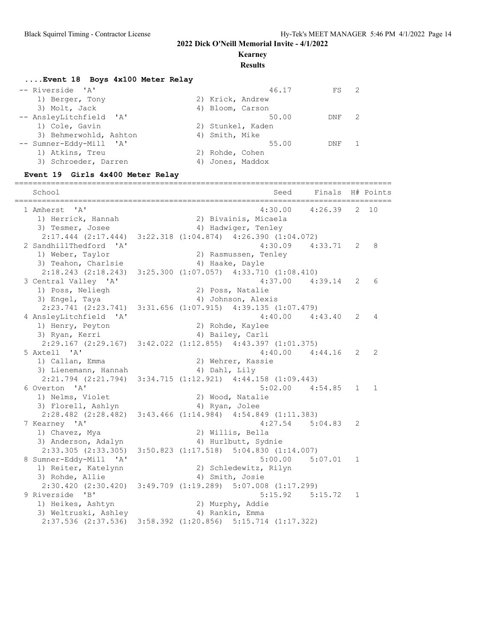#### **Kearney**

#### **Results**

#### **....Event 18 Boys 4x100 Meter Relay**

| -- Riverside 'A'        | 46.17             | $\overline{2}$<br>FS |    |
|-------------------------|-------------------|----------------------|----|
| 1) Berger, Tony         | 2) Krick, Andrew  |                      |    |
| 3) Molt, Jack           | 4) Bloom, Carson  |                      |    |
| -- AnsleyLitchfield 'A' | 50.00             | DNF                  | -2 |
| 1) Cole, Gavin          | 2) Stunkel, Kaden |                      |    |
| 3) Behmerwohld, Ashton  | 4) Smith, Mike    |                      |    |
| -- Sumner-Eddy-Mill 'A' | 55.00             | DNF                  |    |
| 1) Atkins, Treu         | 2) Rohde, Cohen   |                      |    |
| 3) Schroeder, Darren    | 4) Jones, Maddox  |                      |    |

#### **Event 19 Girls 4x400 Meter Relay**

=================================================================================== School Seed Finals H# Points =================================================================================== 4:30.00 4:26.39 2 10<br>2) Bivainis, Micaela 1) Herrick, Hannah 2) Bivainis, Micaela 3) Tesmer, Josee 1988 (2008) 4) Hadwiger, Tenley 2:17.444 (2:17.444) 3:22.318 (1:04.874) 4:26.390 (1:04.072) 2 SandhillThedford 'A' 4:30.09 4:33.71 2 8 1) Weber, Taylor 2) Rasmussen, Tenley 3) Teahon, Charlsie (4) Haake, Dayle 2:18.243 (2:18.243) 3:25.300 (1:07.057) 4:33.710 (1:08.410)<br>entral Valley 'A' 4:37.00 4:39.14 2 6 3 Central Valley 'A' 4:37.00 4:39.14 2 6 1) Poss, Neliegh 2) Poss, Natalie 3) Engel, Taya (4) Johnson, Alexis 2:23.741 (2:23.741) 3:31.656 (1:07.915) 4:39.135 (1:07.479) 4 AnsleyLitchfield 'A' 4:40.00 4:43.40 2 4 1) Henry, Peyton 2) Rohde, Kaylee 3) Ryan, Kerri 1988 (1988) 4) Bailey, Carli 2:29.167 (2:29.167) 3:42.022 (1:12.855) 4:43.397 (1:01.375) 5 Axtell 'A' 4:40.00 4:44.16 2 2 1) Callan, Emma 2) Wehrer, Kassie 3) Lienemann, Hannah 4) Dahl, Lily 2:21.794 (2:21.794) 3:34.715 (1:12.921) 4:44.158 (1:09.443)<br>6 Overton 'A' 5:02.00 4:54.85 1 1 6 Overton 'A' 5:02.00 4:54.85 1 1 1) Nelms, Violet 2) Wood, Natalie 3) Florell, Ashlyn (4) Ryan, Jolee 2:28.482 (2:28.482) 3:43.466 (1:14.984) 4:54.849 (1:11.383) 7 Kearney 'A' 4:27.54 5:04.83 2 1) Chavez, Mya 2) Willis, Bella 3) Anderson, Adalyn 1988 (4) Hurlbutt, Sydnie 2:33.305 (2:33.305) 3:50.823 (1:17.518) 5:04.830 (1:14.007) 8 Sumner-Eddy-Mill 'A' 5:00.00 5:07.01 1 1) Reiter, Katelynn 2) Schledewitz, Rilyn 3) Rohde, Allie 4) Smith, Josie 2:30.420 (2:30.420) 3:49.709 (1:19.289) 5:07.008 (1:17.299)<br>9 Riverside 'B' 5:15.92 5: 5:15.92 5:15.72 1 1) Heikes, Ashtyn 2) Murphy, Addie 3) Weltruski, Ashley (4) Rankin, Emma 2:37.536 (2:37.536) 3:58.392 (1:20.856) 5:15.714 (1:17.322)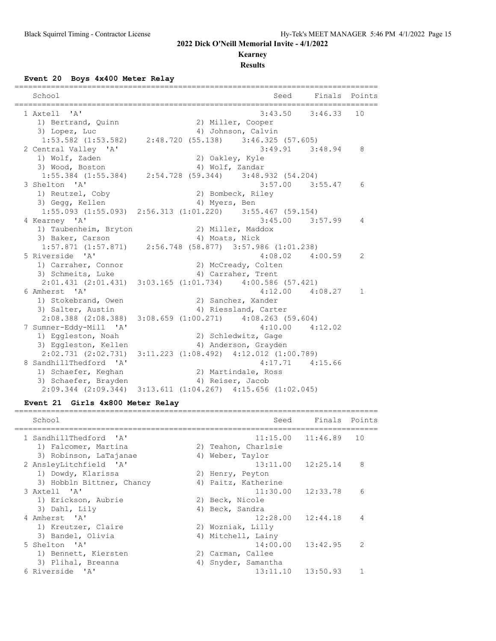#### **Kearney**

**Results**

# **Event 20 Boys 4x400 Meter Relay**

|                        | ==================                                                      |              |
|------------------------|-------------------------------------------------------------------------|--------------|
| School                 | Seed Finals Points                                                      |              |
| 1 Axtell 'A'           | $3:43.50$ $3:46.33$ 10                                                  |              |
| 1) Bertrand, Quinn     | 2) Miller, Cooper                                                       |              |
| 3) Lopez, Luc          | 4) Johnson, Calvin                                                      |              |
|                        | $1:53.582$ (1:53.582) $2:48.720$ (55.138) $3:46.325$ (57.605)           |              |
| 2 Central Valley 'A'   | $3:49.91$ $3:48.94$                                                     | 8            |
| 1) Wolf, Zaden         | 2) Oakley, Kyle                                                         |              |
| 3) Wood, Boston        | 4) Wolf, Zandar                                                         |              |
|                        | 1:55.384 (1:55.384) 2:54.728 (59.344) 3:48.932 (54.204)                 |              |
| 3 Shelton 'A'          | $3:57.00$ $3:55.47$                                                     | 6            |
| 1) Reutzel, Coby       | 2) Bombeck, Riley                                                       |              |
| 3) Gegg, Kellen        | 4) Myers, Ben                                                           |              |
|                        | $1:55.093$ $(1:55.093)$ $2:56.313$ $(1:01.220)$ $3:55.467$ $(59.154)$   |              |
| 4 Kearney 'A'          | $3:45.00$ $3:57.99$                                                     | 4            |
|                        | 1) Taubenheim, Bryton and 2) Miller, Maddox                             |              |
| 3) Baker, Carson       | 4) Moats, Nick                                                          |              |
|                        | 1:57.871 (1:57.871) 2:56.748 (58.877) 3:57.986 (1:01.238)               |              |
| 5 Riverside 'A'        | $4:08.02$ $4:00.59$                                                     | 2            |
| 1) Carraher, Connor    | 2) McCready, Colten                                                     |              |
| 3) Schmeits, Luke      | 4) Carraher, Trent                                                      |              |
|                        | $2:01.431$ $(2:01.431)$ $3:03.165$ $(1:01.734)$ $4:00.586$ $(57.421)$   |              |
| 6 Amherst 'A'          | $4:12.00$ $4:08.27$                                                     | $\mathbf{1}$ |
| 1) Stokebrand, Owen    | 2) Sanchez, Xander                                                      |              |
| 3) Salter, Austin      | 4) Riessland, Carter                                                    |              |
|                        | 2:08.388 (2:08.388) 3:08.659 (1:00.271) 4:08.263 (59.604)               |              |
| 7 Sumner-Eddy-Mill 'A' | $4:10.00$ $4:12.02$                                                     |              |
| 1) Eggleston, Noah     | 2) Schledwitz, Gage                                                     |              |
| 3) Eggleston, Kellen   | 4) Anderson, Grayden                                                    |              |
|                        | $2:02.731$ $(2:02.731)$ $3:11.223$ $(1:08.492)$ $4:12.012$ $(1:00.789)$ |              |
| 8 SandhillThedford 'A' | $4:17.71$ $4:15.66$                                                     |              |
| 1) Schaefer, Keghan    | 2) Martindale, Ross                                                     |              |
|                        | 3) Schaefer, Brayden (4) Reiser, Jacob                                  |              |
|                        | 2:09.344 (2:09.344) 3:13.611 (1:04.267) 4:15.656 (1:02.045)             |              |

## **Event 21 Girls 4x800 Meter Relay**

| School                    |    | Seed                | Finals                | Points        |
|---------------------------|----|---------------------|-----------------------|---------------|
| 1 SandhillThedford 'A'    |    |                     | $11:15.00$ $11:46.89$ | 10            |
| 1) Falcomer, Martina      |    | 2) Teahon, Charlsie |                       |               |
| 3) Robinson, LaTajanae    | 4) | Weber, Taylor       |                       |               |
| 2 AnsleyLitchfield 'A'    |    |                     | $13:11.00$ $12:25.14$ | 8             |
| 1) Dowdy, Klarissa        |    | 2) Henry, Peyton    |                       |               |
| 3) Hobbln Bittner, Chancy |    | 4) Paitz, Katherine |                       |               |
| 3 Axtell 'A'              |    |                     | $11:30.00$ $12:33.78$ | 6             |
| 1) Erickson, Aubrie       |    | 2) Beck, Nicole     |                       |               |
| 3) Dahl, Lily             |    | 4) Beck, Sandra     |                       |               |
| 4 Amherst 'A'             |    |                     | $12:28.00$ $12:44.18$ | 4             |
| 1) Kreutzer, Claire       |    | 2) Wozniak, Lilly   |                       |               |
| 3) Bandel, Olivia         | 4) | Mitchell, Lainy     |                       |               |
| 5 Shelton 'A'             |    |                     | $14:00.00$ $13:42.95$ | $\mathcal{L}$ |
| 1) Bennett, Kiersten      |    | 2) Carman, Callee   |                       |               |
| 3) Plihal, Breanna        | 4) | Snyder, Samantha    |                       |               |
| 6 Riverside 'A'           |    |                     | $13:11.10$ $13:50.93$ |               |
|                           |    |                     |                       |               |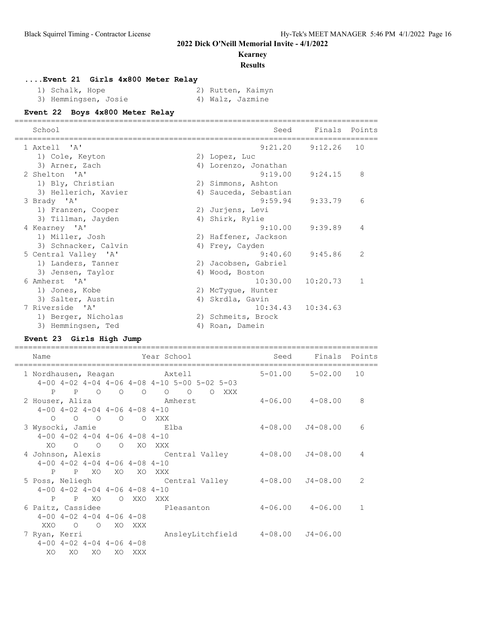### **Kearney**

**Results**

#### **....Event 21 Girls 4x800 Meter Relay**

| 1) Schalk, Hope      |  | 2) Rutten, Kaimyn |
|----------------------|--|-------------------|
| 3) Hemmingsen, Josie |  | 4) Walz, Jazmine  |

#### **Event 22 Boys 4x800 Meter Relay**

| School               | Seed                  | Finals                | Points       |
|----------------------|-----------------------|-----------------------|--------------|
| 1 Axtell 'A'         | 9:21.20               | 9:12.26               | 10           |
| 1) Cole, Keyton      | 2) Lopez, Luc         |                       |              |
| 3) Arner, Zach       | 4) Lorenzo, Jonathan  |                       |              |
| 2 Shelton 'A'        | 9:19.00               | 9:24.15               | 8            |
| 1) Bly, Christian    | 2) Simmons, Ashton    |                       |              |
| 3) Hellerich, Xavier | 4) Sauceda, Sebastian |                       |              |
| 3 Brady 'A'          | 9:59.94               | 9:33.79               | 6            |
| 1) Franzen, Cooper   | 2) Jurjens, Levi      |                       |              |
| 3) Tillman, Jayden   | 4) Shirk, Rylie       |                       |              |
| 4 Kearney 'A'        | 9:10.00               | 9:39.89               | 4            |
| 1) Miller, Josh      | 2) Haffener, Jackson  |                       |              |
| 3) Schnacker, Calvin | 4) Frey, Cayden       |                       |              |
| 5 Central Valley 'A' | 9:40.60               | 9:45.86               | 2            |
| 1) Landers, Tanner   | 2) Jacobsen, Gabriel  |                       |              |
| 3) Jensen, Taylor    | 4) Wood, Boston       |                       |              |
| 6 Amherst 'A'        | 10:30.00              | 10:20.73              | $\mathbf{1}$ |
| 1) Jones, Kobe       | 2) McTyque, Hunter    |                       |              |
| 3) Salter, Austin    | 4) Skrdla, Gavin      |                       |              |
| 7 Riverside 'A'      |                       | $10:34.43$ $10:34.63$ |              |
| 1) Berger, Nicholas  | 2) Schmeits, Brock    |                       |              |
| 3) Hemmingsen, Ted   | 4) Roan, Damein       |                       |              |

#### **Event 23 Girls High Jump**

================================================================================ Name **Year School** Seed Finals Points ================================================================================ 1 Nordhausen, Reagan Axtell 5-01.00 5-02.00 10 4-00 4-02 4-04 4-06 4-08 4-10 5-00 5-02 5-03 P P O O O O O O XXX<br>1992 - Interst Amherst 2 Houser, Aliza 2 2 Amherst 4-06.00 4-08.00 8 4-00 4-02 4-04 4-06 4-08 4-10 O O O O O XXX 3 Wysocki, Jamie Elba 4-08.00 J4-08.00 6 4-00 4-02 4-04 4-06 4-08 4-10 XO O O O XO XXX 4 Johnson, Alexis Central Valley 4-08.00 J4-08.00 4 4-00 4-02 4-04 4-06 4-08 4-10 P P XO XO XO XXX 5 Poss, Neliegh Central Valley 4-08.00 J4-08.00 2 4-00 4-02 4-04 4-06 4-08 4-10 P P XO O XXO XXX<br>6 Paitz, Cassidee P Pleasanton 4-06.00 4-06.00 1 4-00 4-02 4-04 4-06 4-08 XXO O O XO XXX 7 Ryan, Kerri AnsleyLitchfield 4-08.00 J4-06.00 4-00 4-02 4-04 4-06 4-08 XO XO XO XO XXX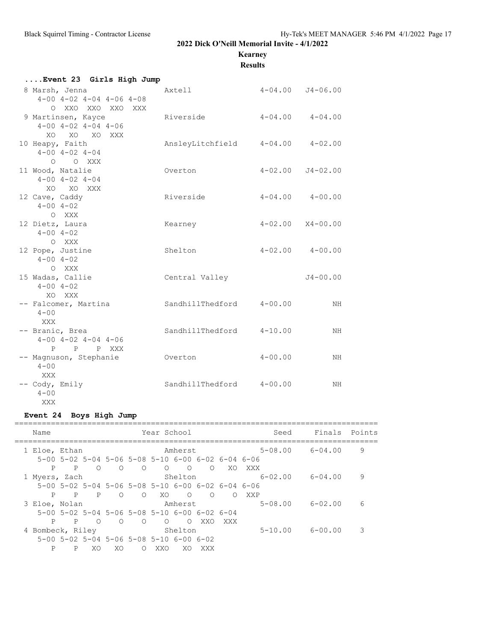## **Kearney**

**Results**

| Event 23 Girls High Jump                                      |                  |                      |                      |
|---------------------------------------------------------------|------------------|----------------------|----------------------|
| 8 Marsh, Jenna<br>$4-00$ $4-02$ $4-04$ $4-06$ $4-08$          | Axtell           | $4-04.00$ $J4-06.00$ |                      |
| O XXO XXO XXO XXX<br>9 Martinsen, Kayce                       | Riverside        | $4-04.00$ $4-04.00$  |                      |
| $4 - 00$ $4 - 02$ $4 - 04$ $4 - 06$<br>XO XO XO XXX           |                  |                      |                      |
| 10 Heapy, Faith<br>$4 - 00$ $4 - 02$ $4 - 04$                 | AnsleyLitchfield | $4 - 04.00$          | $4 - 02.00$          |
| O O XXX<br>11 Wood, Natalie                                   | Overton          |                      | $4-02.00$ $J4-02.00$ |
| $4 - 00$ $4 - 02$ $4 - 04$<br>XO XO XXX<br>12 Cave, Caddy     | Riverside        |                      | $4-04.00$ $4-00.00$  |
| $4 - 00$ $4 - 02$<br>O XXX                                    |                  |                      |                      |
| 12 Dietz, Laura<br>$4 - 00$ $4 - 02$                          | Kearney          |                      | $4-02.00$ $X4-00.00$ |
| O XXX<br>12 Pope, Justine<br>$4 - 00$ $4 - 02$                | Shelton          |                      | $4-02.00$ $4-00.00$  |
| O XXX<br>15 Wadas, Callie<br>$4 - 00$ $4 - 02$                | Central Valley   |                      | $J4 - 00.00$         |
| XO XXX<br>-- Falcomer, Martina<br>$4 - 00$                    | SandhillThedford | $4 - 00.00$          | NH                   |
| XXX<br>-- Branic, Brea<br>$4 - 00$ $4 - 02$ $4 - 04$ $4 - 06$ | SandhillThedford | $4 - 10.00$          | NH                   |
| P<br>P P XXX<br>-- Magnuson, Stephanie                        | Overton          | $4 - 00.00$          | NH                   |
| $4 - 00$<br>XXX<br>-- Cody, Emily                             | SandhillThedford | $4 - 00.00$          | NH                   |
| $4 - 00$<br>XXX                                               |                  |                      |                      |

## **Event 24 Boys High Jump**

|  | Name             |   |         |            |         | Year School                                                           |            |          |            | Seed        | Finals      | Points |
|--|------------------|---|---------|------------|---------|-----------------------------------------------------------------------|------------|----------|------------|-------------|-------------|--------|
|  | 1 Eloe, Ethan    |   |         |            |         |                                                                       | Amherst    |          |            | $5 - 08.00$ | 6-04.00     | 9      |
|  |                  |   |         |            |         | $5-00$ $5-02$ $5-04$ $5-06$ $5-08$ $5-10$ $6-00$ $6-02$ $6-04$ $6-06$ |            |          |            |             |             |        |
|  | P                | P | ∩       | $\bigcirc$ | $\circ$ | $\bigcirc$                                                            | $\bigcirc$ | $\Omega$ | XO         | XXX         |             |        |
|  | 1 Myers, Zach    |   |         |            |         |                                                                       | Shelton    |          |            | $6 - 02.00$ | 6-04.00     | 9      |
|  |                  |   |         |            |         | $5-00$ $5-02$ $5-04$ $5-06$ $5-08$ $5-10$ $6-00$ $6-02$ $6-04$ $6-06$ |            |          |            |             |             |        |
|  | P                | P | P       | $\bigcirc$ | $\circ$ | XO.                                                                   | $\circ$    | $\Omega$ | $\bigcirc$ | XXP         |             |        |
|  | 3 Eloe, Nolan    |   |         |            |         |                                                                       | Amherst    |          |            | $5 - 08.00$ | $6 - 02.00$ | 6      |
|  |                  |   |         |            |         | $5-00$ $5-02$ $5-04$ $5-06$ $5-08$ $5-10$ $6-00$ $6-02$ $6-04$        |            |          |            |             |             |        |
|  | P                | P | $\circ$ | $\bigcirc$ | $\circ$ | $\Omega$                                                              | $\bigcirc$ | XXO      | XXX        |             |             |        |
|  | 4 Bombeck, Riley |   |         |            |         |                                                                       | Shelton    |          |            | $5 - 10.00$ | 6-00.00     | 3      |
|  |                  |   |         |            |         | $5-00$ $5-02$ $5-04$ $5-06$ $5-08$ $5-10$ $6-00$ $6-02$               |            |          |            |             |             |        |
|  | P                | P | XO      | XO         | ∩       | XXO                                                                   | XO         | XXX      |            |             |             |        |
|  |                  |   |         |            |         |                                                                       |            |          |            |             |             |        |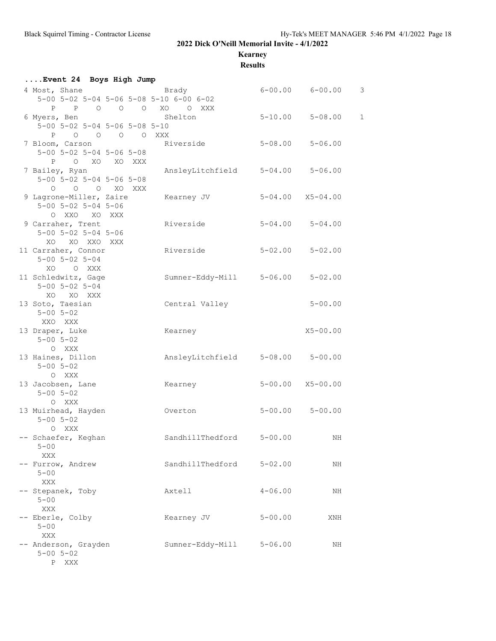**Kearney**

**Results**

| Event 24 Boys High Jump                                                                   |                                  |                         |                          |              |
|-------------------------------------------------------------------------------------------|----------------------------------|-------------------------|--------------------------|--------------|
| 4 Most, Shane<br>5-00 5-02 5-04 5-06 5-08 5-10 6-00 6-02                                  | <b>Brady</b>                     |                         | $6 - 00.00$ $6 - 00.00$  | 3            |
| P P O O O XO O XXX<br>6 Myers, Ben<br>$5-00$ $5-02$ $5-04$ $5-06$ $5-08$ $5-10$           | Shelton                          |                         | $5 - 10.00$ $5 - 08.00$  | $\mathbf{1}$ |
| P O O O O XXX<br>7 Bloom, Carson<br>$5 - 00$ $5 - 02$ $5 - 04$ $5 - 06$ $5 - 08$          | Riverside                        | $5 - 08.00$ $5 - 06.00$ |                          |              |
| P O XO XO XXX<br>7 Bailey, Ryan<br>$5 - 00$ $5 - 02$ $5 - 04$ $5 - 06$ $5 - 08$           | AnsleyLitchfield                 |                         | $5 - 04.00$ $5 - 06.00$  |              |
| O O O XO XXX<br>9 Lagrone-Miller, Zaire Kearney JV<br>$5 - 00$ $5 - 02$ $5 - 04$ $5 - 06$ |                                  |                         | $5 - 04.00$ $X5 - 04.00$ |              |
| O XXO XO XXX<br>9 Carraher, Trent<br>$5 - 00$ $5 - 02$ $5 - 04$ $5 - 06$                  | Riverside                        |                         | $5 - 04.00$ $5 - 04.00$  |              |
| XO XO XXO XXX<br>11 Carraher, Connor<br>$5 - 00$ $5 - 02$ $5 - 04$                        | Riverside                        | $5 - 02.00$ $5 - 02.00$ |                          |              |
| XO O XXX<br>11 Schledwitz, Gage<br>$5 - 00$ $5 - 02$ $5 - 04$                             | Sumner-Eddy-Mill 5-06.00 5-02.00 |                         |                          |              |
| XO XO XXX<br>13 Soto, Taesian<br>$5 - 00$ $5 - 02$<br>XXO XXX                             | Central Valley                   |                         | $5 - 00.00$              |              |
| 13 Draper, Luke<br>$5 - 00$ $5 - 02$<br>O XXX                                             | Kearney                          |                         | $X5 - 00.00$             |              |
| 13 Haines, Dillon<br>$5 - 00$ $5 - 02$<br>O XXX                                           | AnsleyLitchfield 5-08.00 5-00.00 |                         |                          |              |
| 13 Jacobsen, Lane<br>$5 - 00$ $5 - 02$<br>O XXX                                           | Kearney                          |                         | $5 - 00.00$ $X5 - 00.00$ |              |
| 13 Muirhead, Hayden<br>$5 - 00$ $5 - 02$<br>O XXX                                         | Overton                          |                         | $5 - 00.00$ $5 - 00.00$  |              |
| -- Schaefer, Keghan<br>$5 - 00$<br>XXX                                                    | SandhillThedford                 | $5 - 00.00$             | ΝH                       |              |
| -- Furrow, Andrew<br>$5 - 00$<br>XXX                                                      | SandhillThedford                 | $5 - 02.00$             | NH                       |              |
| -- Stepanek, Toby<br>$5 - 00$                                                             | Axtell                           | $4 - 06.00$             | ΝH                       |              |
| XXX<br>-- Eberle, Colby<br>$5 - 00$                                                       | Kearney JV                       | $5 - 00.00$             | XNH                      |              |
| XXX<br>-- Anderson, Grayden<br>$5 - 00$ $5 - 02$<br>P XXX                                 | Sumner-Eddy-Mill                 | $5 - 06.00$             | NH                       |              |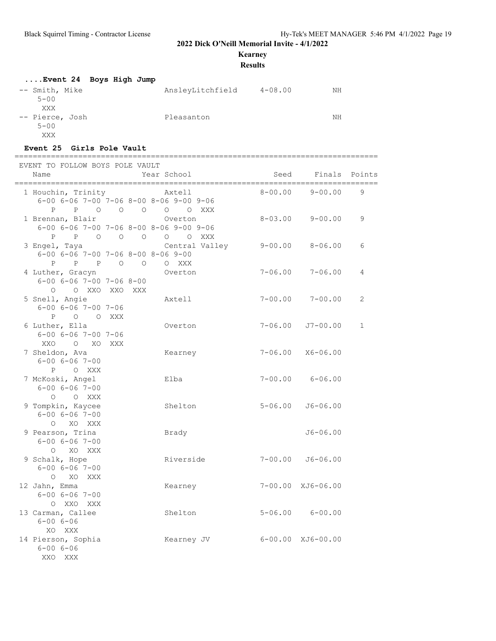**Kearney**

**Results**

| Event 24 Boys High Jump            |                                 |    |
|------------------------------------|---------------------------------|----|
| -- Smith, Mike<br>$5 - 00$<br>XXX  | AnsleyLitchfield<br>$4 - 08.00$ | NΗ |
| -- Pierce, Josh<br>$5 - 00$<br>XXX | Pleasanton                      | NΗ |

#### **Event 25 Girls Pole Vault**

================================================================================

| EVENT TO FOLLOW BOYS POLE VAULT<br>Name                                                      | Year School                 | Seed                      | Finals Points           |                |
|----------------------------------------------------------------------------------------------|-----------------------------|---------------------------|-------------------------|----------------|
| 1 Houchin, Trinity<br>$6-00$ $6-06$ $7-00$ $7-06$ $8-00$ $8-06$ $9-00$ $9-06$                | Axtell<br>P P O O O O O XXX | $8 - 00.00$               | $9 - 00.00$             | 9              |
| 1 Brennan, Blair<br>6-00 6-06 7-00 7-06 8-00 8-06 9-00 9-06<br>$P$ $P$ 0 0 0                 | Overton<br>O O XXX          | $8 - 03.00$               | $9 - 00.00$             | 9              |
| 3 Engel, Taya<br>$6 - 00$ $6 - 06$ $7 - 00$ $7 - 06$ $8 - 00$ $8 - 06$ $9 - 00$<br>P P P O O | Central Valley<br>O XXX     |                           | 9-00.00 8-06.00         | 6              |
| 4 Luther, Gracyn<br>$6 - 00$ $6 - 06$ $7 - 00$ $7 - 06$ $8 - 00$<br>O O XXO XXO XXX          | Overton                     | $7 - 06.00$               | $7 - 06.00$             | 4              |
| 5 Snell, Angie<br>$6 - 00$ $6 - 06$ $7 - 00$ $7 - 06$<br>P O O XXX                           | Axtell                      | $7 - 00.00$               | $7 - 00.00$             | $\overline{2}$ |
| 6 Luther, Ella<br>$6 - 00$ $6 - 06$ $7 - 00$ $7 - 06$<br>XXO O XO XXX                        | Overton                     | $7 - 06.00$               | J7-00.00                | $\mathbf{1}$   |
| 7 Sheldon, Ava<br>$6 - 00$ $6 - 06$ $7 - 00$<br>P O XXX                                      | Kearney                     | 7-06.00                   | $X6 - 06.00$            |                |
| 7 McKoski, Angel<br>$6 - 00$ $6 - 06$ $7 - 00$<br>O O XXX                                    | Elba                        |                           | $7 - 00.00$ $6 - 06.00$ |                |
| 9 Tompkin, Kaycee<br>$6 - 00$ $6 - 06$ $7 - 00$<br>O XO XXX                                  | Shelton                     | $5 - 06.00$               | $J6 - 06.00$            |                |
| 9 Pearson, Trina<br>$6 - 00 6 - 06 7 - 00$<br>O XO XXX                                       | Brady                       |                           | $J6 - 06.00$            |                |
| 9 Schalk, Hope<br>$6 - 00$ $6 - 06$ $7 - 00$<br>O XO XXX                                     | Riverside                   | $7 - 00.00$               | $J6 - 06.00$            |                |
| 12 Jahn, Emma<br>$6 - 00$ $6 - 06$ $7 - 00$<br>O XXO XXX                                     | Kearney                     |                           | 7-00.00 XJ6-06.00       |                |
| 13 Carman, Callee<br>$6 - 00 6 - 06$<br>XO XXX                                               | Shelton                     |                           | $5 - 06.00$ $6 - 00.00$ |                |
| 14 Pierson, Sophia<br>$6 - 00 6 - 06$<br>XXO<br>XXX                                          | Kearney JV                  | $6 - 00.00$ $XJ6 - 00.00$ |                         |                |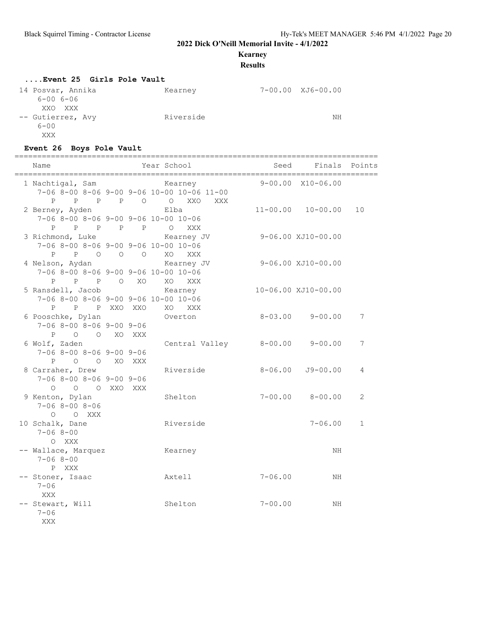### **Kearney**

#### **Results**

#### **....Event 25 Girls Pole Vault**

| 14 Posvar, Annika | Kearney   | 7-00.00 XJ6-00.00 |
|-------------------|-----------|-------------------|
| $6 - 006 - 06$    |           |                   |
| XXO XXX           |           |                   |
| -- Gutierrez, Avy | Riverside | NΗ                |
| $6 - 00$          |           |                   |
| XXX               |           |                   |

## **Event 26 Boys Pole Vault**

| Name                                                                                       | Year School                                           | Seed        | Finals Points             |              |
|--------------------------------------------------------------------------------------------|-------------------------------------------------------|-------------|---------------------------|--------------|
| 1 Nachtigal, Sam                                                                           | Kearney<br>7-06 8-00 8-06 9-00 9-06 10-00 10-06 11-00 |             | $9 - 00.00$ $X10 - 06.00$ |              |
| 2 Berney, Ayden<br>7-06 8-00 8-06 9-00 9-06 10-00 10-06                                    | P P P P O O XXO XXX<br>Elba                           |             | $11 - 00.00$ $10 - 00.00$ | 10           |
| P P P P P O XXX<br>3 Richmond, Luke<br>$7-06$ 8-00 8-06 9-00 9-06 10-00 10-06              | Kearney JV                                            |             | 9-06.00 XJ10-00.00        |              |
| $\mathbf{P}$<br>4 Nelson, Aydan<br>7-06 8-00 8-06 9-00 9-06 10-00 10-06                    | P O O O XO XXX<br>Kearney JV                          |             | 9-06.00 XJ10-00.00        |              |
| P P P O XO<br>5 Ransdell, Jacob<br>$7-06$ 8-00 8-06 9-00 9-06 10-00 10-06<br>P P P XXO XXO | XO XXX<br>Kearney<br>XO XXX                           |             | 10-06.00 XJ10-00.00       |              |
| 6 Pooschke, Dylan<br>$7-06$ 8-00 8-06 9-00 9-06<br>P O O XO XXX                            | Overton                                               |             | $8 - 03.00$ $9 - 00.00$   | 7            |
| 6 Wolf, Zaden<br>$7-06$ 8-00 8-06 9-00 9-06<br>P O O XO XXX                                | Central Valley                                        |             | $8 - 00.00$ $9 - 00.00$   | 7            |
| 8 Carraher, Drew<br>$7-06$ 8-00 8-06 9-00 9-06<br>$\circ$<br>O O XXO XXX                   | Riverside                                             | $8 - 06.00$ | $J9 - 00.00$              | 4            |
| 9 Kenton, Dylan<br>$7 - 068 - 008 - 06$<br>$O$ $O$ XXX                                     | Shelton                                               |             | $7 - 00.00$ $8 - 00.00$   | 2            |
| 10 Schalk, Dane<br>$7 - 068 - 00$<br>O XXX                                                 | Riverside                                             |             | $7 - 06.00$               | $\mathbf{1}$ |
| -- Wallace, Marquez<br>$7 - 068 - 00$<br>P XXX                                             | Kearney                                               |             | NH                        |              |
| -- Stoner, Isaac<br>$7 - 06$<br><b>XXX</b>                                                 | Axtell                                                | $7 - 06.00$ | NH                        |              |
| -- Stewart, Will<br>$7 - 06$<br>XXX                                                        | Shelton                                               | $7 - 00.00$ | ΝH                        |              |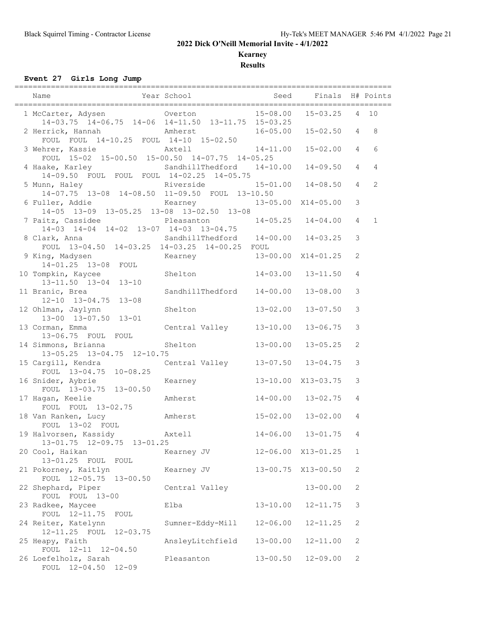**Kearney**

**Results**

**Event 27 Girls Long Jump**

|                                                                        | ============                       |              |                           |                 |              |
|------------------------------------------------------------------------|------------------------------------|--------------|---------------------------|-----------------|--------------|
| Name                                                                   | Year School                        | Seed         | Finals H# Points          |                 |              |
| 14-03.75 14-06.75 14-06 14-11.50 13-11.75 15-03.25                     |                                    | 15-08.00     | $15 - 03.25$              | $4\overline{ }$ | 10           |
| 2 Herrick, Hannah<br>FOUL FOUL 14-10.25 FOUL 14-10 15-02.50            | Amherst                            |              | $16 - 05.00$ $15 - 02.50$ | $\overline{4}$  | 8            |
| 3 Wehrer, Kassie<br>FOUL 15-02 15-00.50 15-00.50 14-07.75 14-05.25     | Axtell                             | $14 - 11.00$ | $15 - 02.00$              | 4               | 6            |
| 4 Haake, Karley<br>14-09.50 FOUL FOUL FOUL 14-02.25 14-05.75           | SandhillThedford 14-10.00          |              | $14 - 09.50$              | $\overline{4}$  | 4            |
| 5 Munn, Haley<br>14-07.75 13-08 14-08.50 11-09.50 FOUL 13-10.50        | Riverside 15-01.00 14-08.50        |              |                           | $\overline{4}$  | 2            |
| 6 Fuller, Addie Kearney 1<br>14-05 13-09 13-05.25 13-08 13-02.50 13-08 |                                    |              | 13-05.00 X14-05.00        | $\mathfrak{Z}$  |              |
| 7 Paitz, Cassidee Pleasanton<br>14-03 14-04 14-02 13-07 14-03 13-04.75 |                                    |              | $14-05.25$ $14-04.00$     | $\overline{4}$  | $\mathbf{1}$ |
| 8 Clark, Anna<br>FOUL 13-04.50 14-03.25 14-03.25 14-00.25 FOUL         | SandhillThedford 14-00.00 14-03.25 |              |                           | 3               |              |
| 9 King, Madysen<br>14-01.25 13-08 FOUL                                 | Kearney 13-00.00 X14-01.25         |              |                           | $\mathbf{2}$    |              |
| 10 Tompkin, Kaycee<br>13-11.50 13-04 13-10                             | Shelton                            | $14 - 03.00$ | $13 - 11.50$              | 4               |              |
| 11 Branic, Brea<br>$12-10$ $13-04.75$ $13-08$                          | SandhillThedford                   | $14 - 00.00$ | $13 - 08.00$              | 3               |              |
| 12 Ohlman, Jaylynn<br>13-00 13-07.50 13-01                             | Shelton                            | $13 - 02.00$ | $13 - 07.50$              | 3               |              |
| 13 Corman, Emma<br>13-06.75 FOUL FOUL                                  | Central Valley                     | $13 - 10.00$ | $13 - 06.75$              | 3               |              |
| 14 Simmons, Brianna<br>13-05.25 13-04.75 12-10.75                      | Shelton                            | $13 - 00.00$ | $13 - 05.25$              | 2               |              |
| 15 Cargill, Kendra<br>FOUL 13-04.75 10-08.25                           | Central Valley 13-07.50 13-04.75   |              |                           | $\mathcal{S}$   |              |
| 16 Snider, Aybrie<br>FOUL 13-03.75 13-00.50                            | Kearney                            |              | 13-10.00 X13-03.75        | 3               |              |
| 17 Hagan, Keelie<br>FOUL FOUL 13-02.75                                 | Amherst                            | $14 - 00.00$ | $13 - 02.75$              | 4               |              |
| Amherst<br>18 Van Ranken, Lucy<br>FOUL 13-02 FOUL                      |                                    | $15 - 02.00$ | $13 - 02.00$              | 4               |              |
| 19 Halvorsen, Kassidy Maxtell<br>13-01.75 12-09.75 13-01.25            |                                    |              | $14 - 06.00$ $13 - 01.75$ | 4               |              |
| 20 Cool, Haikan<br>13-01.25 FOUL<br>FOUL                               | Kearney JV                         | $12 - 06.00$ | X13-01.25                 | 1               |              |
| 21 Pokorney, Kaitlyn<br>FOUL 12-05.75<br>$13 - 00.50$                  | Kearney JV                         | $13 - 00.75$ | $X13 - 00.50$             | $\mathbf{2}$    |              |
| 22 Shephard, Piper<br>FOUL FOUL 13-00                                  | Central Valley                     |              | $13 - 00.00$              | 2               |              |
| 23 Radkee, Maycee<br>FOUL 12-11.75<br>FOUL                             | Elba                               | $13 - 10.00$ | $12 - 11.75$              | 3               |              |
| 24 Reiter, Katelynn<br>12-11.25 FOUL<br>$12 - 03.75$                   | Sumner-Eddy-Mill                   | $12 - 06.00$ | $12 - 11.25$              | $\mathbf{2}$    |              |
| 25 Heapy, Faith<br>12-11 12-04.50<br>FOUL                              | AnsleyLitchfield                   | $13 - 00.00$ | $12 - 11.00$              | $\mathbf{2}$    |              |
| 26 Loefelholz, Sarah<br>FOUL 12-04.50 12-09                            | Pleasanton                         | $13 - 00.50$ | $12 - 09.00$              | 2               |              |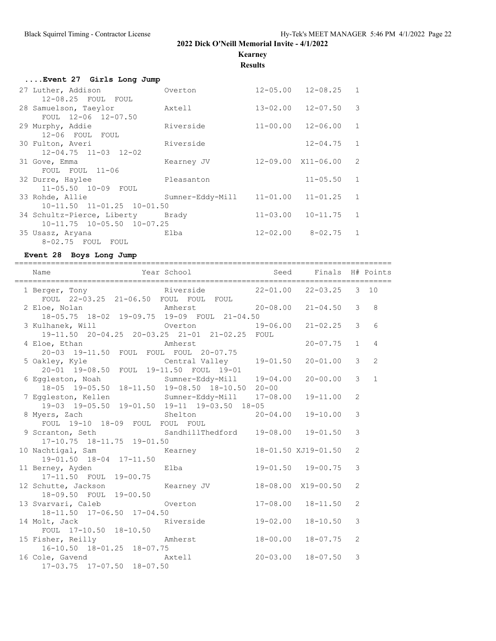**Kearney**

**Results**

| Event 27 Girls Long Jump         |                           |                             |                |
|----------------------------------|---------------------------|-----------------------------|----------------|
| 27 Luther, Addison               | Overton                   | $12 - 05.00$ $12 - 08.25$ 1 |                |
| 12-08.25 FOUL FOUL               |                           |                             |                |
| 28 Samuelson, Taeylor Axtell     |                           | $13 - 02.00$ $12 - 07.50$   | $\mathcal{B}$  |
| FOUL 12-06 12-07.50              |                           |                             |                |
| 29 Murphy, Addie                 | Riverside                 | $11 - 00.00$ $12 - 06.00$   | $\mathbf{1}$   |
| 12-06 FOUL FOUL                  |                           |                             |                |
| 30 Fulton, Averi                 | Riverside                 | $12 - 04.75$                | $\mathbf{1}$   |
| $12 - 04.75$ $11 - 03$ $12 - 02$ |                           |                             |                |
| 31 Gove, Emma                    | Kearney JV                | 12-09.00 X11-06.00          | $\overline{2}$ |
| FOUL FOUL 11-06                  |                           |                             |                |
| 32 Durre, Haylee                 | Pleasanton                | $11 - 05.50$                | $\mathbf{1}$   |
| 11-05.50 10-09 FOUL              |                           |                             |                |
| 33 Rohde, Allie                  | Sumner-Eddy-Mill 11-01.00 | 11-01.25                    | $\mathbf{1}$   |
| $10-11.50$ $11-01.25$ $10-01.50$ |                           |                             |                |
| 34 Schultz-Pierce, Liberty Brady |                           | $11 - 03.00$ $10 - 11.75$   | $\mathbf{1}$   |
| $10-11.75$ $10-05.50$ $10-07.25$ |                           |                             |                |
| 35 Usasz, Aryana                 | Elba                      | $12 - 02.00$ $8 - 02.75$    | 1              |
| 8-02.75 FOUL FOUL                |                           |                             |                |

### **Event 28 Boys Long Jump**

| Year School Seed Finals H# Points<br>Name                                                        |                  |              |                     |                |                |
|--------------------------------------------------------------------------------------------------|------------------|--------------|---------------------|----------------|----------------|
| 1 Berger, Tony<br>FOUL 22-03.25 21-06.50 FOUL FOUL FOUL<br>FOUL 22-03.25 21-06.50 FOUL FOUL FOUL |                  |              |                     |                |                |
| 2 Eloe, Nolan<br>18-05.75 19-09.75 19-09 FOUL 21-04.50<br>20-08.00 21-04.50                      |                  |              |                     | $\mathcal{E}$  | 8              |
| 3 Kulhanek, Will $Overton$ 000 19-06.00<br>19-11.50  20-04.25  20-03.25  21-01  21-02.25  FOUL   |                  |              | $21 - 02.25$        | $\mathcal{E}$  | 6              |
| 4 Eloe, Ethan Mmherst<br>20-03 19-11.50 FOUL FOUL FOUL 20-07.75                                  |                  |              | $20 - 07.75$        | $\mathbf{1}$   | $\overline{4}$ |
|                                                                                                  |                  |              | $20 - 01.00$        | $\mathcal{S}$  | 2              |
| 6 Eggleston, Noah Sumner-Eddy-Mill 19-04.00<br>18-05 19-05.50 18-11.50 19-08.50 18-10.50 20-00   |                  |              | $20 - 00.00$        | $\mathcal{E}$  | $\overline{1}$ |
| 7 Eggleston, Kellen Sumner-Eddy-Mill 17-08.00<br>19-03 19-05.50 19-01.50 19-11 19-03.50 18-05    |                  |              | $19 - 11.00$        | $\overline{c}$ |                |
|                                                                                                  |                  |              |                     | 3              |                |
| 9 Scranton, Seth SandhillThedford 19-08.00 19-01.50<br>$17-10.75$ $18-11.75$ $19-01.50$          |                  |              |                     | 3              |                |
| 10 Nachtigal, Sam Mearney<br>19-01.50 18-04 17-11.50                                             |                  |              | 18-01.50 XJ19-01.50 | $\overline{2}$ |                |
| 11 Berney, Ayden Blba Elba 19-01.50 19-00.75<br>17-11.50 FOUL 19-00.75                           |                  |              |                     | 3              |                |
| 12 Schutte, Jackson Kearney JV<br>18-09.50 FOUL 19-00.50                                         |                  |              | 18-08.00 X19-00.50  | $\overline{2}$ |                |
| 13 Svarvari, Caleb<br>18-11.50 17-06.50 17-04.50                                                 | Overton 17-08.00 |              | $18 - 11.50$        | $\overline{2}$ |                |
| 14 Molt, Jack Riverside 19-02.00<br>FOUL 17-10.50 18-10.50                                       |                  |              | $18 - 10.50$        | 3              |                |
| 15 Fisher, Reilly<br>16-10.50 18-01.25 18-07.75                                                  |                  | 18-00.00     | 18-07.75            | 2              |                |
| 16 Cole, Gavend Axtell<br>17-03.75 17-07.50 18-07.50                                             |                  | $20 - 03.00$ | $18 - 07.50$        | 3              |                |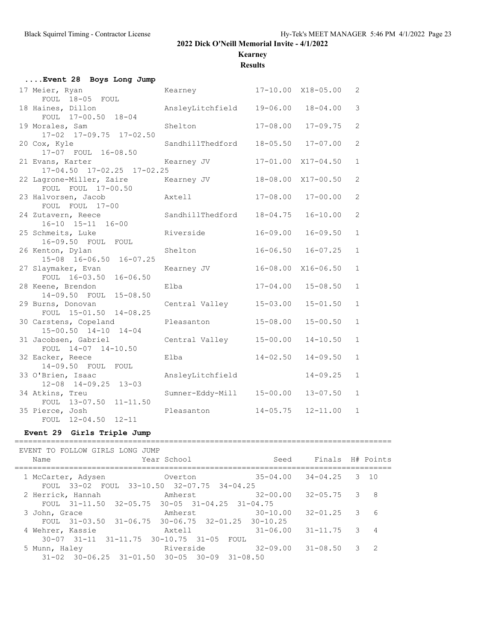# **Kearney**

**Results**

| Event 28 Boys Long Jump                                |                  |              |                    |                |
|--------------------------------------------------------|------------------|--------------|--------------------|----------------|
| 17 Meier, Ryan                                         | Kearney          |              | 17-10.00 X18-05.00 | 2              |
| FOUL 18-05 FOUL                                        |                  | $19 - 06.00$ | $18 - 04.00$       | 3              |
| 18 Haines, Dillon<br>FOUL 17-00.50 18-04               | AnsleyLitchfield |              |                    |                |
| 19 Morales, Sam<br>17-02 17-09.75 17-02.50             | Shelton          | $17 - 08.00$ | $17 - 09.75$       | 2              |
| 20 Cox, Kyle                                           | SandhillThedford | $18 - 05.50$ | $17 - 07.00$       | $\overline{2}$ |
| 17-07 FOUL 16-08.50<br>21 Evans, Karter                | Kearney JV       |              | 17-01.00 X17-04.50 | $\mathbf{1}$   |
| 17-04.50 17-02.25 17-02.25<br>22 Lagrone-Miller, Zaire | Kearney JV       |              | 18-08.00 X17-00.50 | 2              |
| FOUL FOUL 17-00.50                                     |                  |              |                    |                |
| 23 Halvorsen, Jacob                                    | Axtell           | $17 - 08.00$ | $17 - 00.00$       | 2              |
| FOUL FOUL 17-00                                        |                  |              |                    |                |
| 24 Zutavern, Reece<br>16-10 15-11 16-00                | SandhillThedford | $18 - 04.75$ | $16 - 10.00$       | $\overline{2}$ |
| 25 Schmeits, Luke<br>16-09.50 FOUL FOUL                | Riverside        | $16 - 09.00$ | $16 - 09.50$       | $\mathbf{1}$   |
| 26 Kenton, Dylan                                       | Shelton          | $16 - 06.50$ | $16 - 07.25$       | $\mathbf{1}$   |
| 15-08 16-06.50 16-07.25                                |                  |              |                    |                |
| 27 Slaymaker, Evan                                     | Kearney JV       |              | 16-08.00 X16-06.50 | $\mathbf{1}$   |
| FOUL 16-03.50 16-06.50<br>28 Keene, Brendon            | Elba             | $17 - 04.00$ | $15 - 08.50$       | $\mathbf{1}$   |
| 14-09.50 FOUL 15-08.50                                 |                  |              |                    |                |
| 29 Burns, Donovan                                      | Central Valley   | $15 - 03.00$ | $15 - 01.50$       | $\mathbf{1}$   |
| FOUL 15-01.50 14-08.25                                 |                  |              |                    |                |
| 30 Carstens, Copeland<br>15-00.50 14-10 14-04          | Pleasanton       | $15 - 08.00$ | $15 - 00.50$       | $\mathbf{1}$   |
| 31 Jacobsen, Gabriel                                   | Central Valley   | $15 - 00.00$ | $14 - 10.50$       | $\mathbf{1}$   |
| FOUL 14-07 14-10.50                                    |                  |              |                    |                |
| 32 Eacker, Reece                                       | Elba             | $14 - 02.50$ | $14 - 09.50$       | $\mathbf{1}$   |
| 14-09.50 FOUL FOUL<br>33 O'Brien, Isaac                | AnsleyLitchfield |              | $14 - 09.25$       | $\mathbf{1}$   |
| $12 - 08$ $14 - 09.25$ $13 - 03$                       |                  |              |                    |                |
| 34 Atkins, Treu                                        | Sumner-Eddy-Mill | $15 - 00.00$ | $13 - 07.50$       | $\mathbf{1}$   |
| FOUL 13-07.50 11-11.50                                 | Pleasanton       | $14 - 05.75$ | $12 - 11.00$       | $\mathbf{1}$   |
| 35 Pierce, Josh<br>FOUL 12-04.50<br>$12 - 11$          |                  |              |                    |                |
|                                                        |                  |              |                    |                |

### **Event 29 Girls Triple Jump**

| EVENT TO FOLLOW GIRLS LONG JUMP<br>Name                                       | Year School           | Seed                      | Finals H# Points |   |                |
|-------------------------------------------------------------------------------|-----------------------|---------------------------|------------------|---|----------------|
| 1 McCarter, Adysen<br>FOUL 33-02 FOUL 33-10.50 32-07.75 34-04.25              | Overton               | $35 - 04.00$ $34 - 04.25$ |                  | 3 | 10             |
| 2 Herrick, Hannah<br>FOUL $31-11.50$ $32-05.75$ $30-05$ $31-04.25$ $31-04.75$ | Amherst               | $32 - 00.00$              | $32 - 05.75$     | 3 | 8              |
| 3 John, Grace<br>FOUL $31-03.50$ $31-06.75$ $30-06.75$ $32-01.25$ $30-10.25$  | Amherst               | $30 - 10.00$              | $32 - 01.25$     | 3 | 6              |
| 4 Wehrer, Kassie<br>$30-07$ $31-11$ $31-11.75$ $30-10.75$ $31-05$             | Axtell<br>FOUL        | $31 - 06.00$              | $31 - 11.75$     | 3 | $\overline{4}$ |
| 5 Munn, Haley<br>$31-02$ $30-06.25$ $31-01.50$ $30-05$ $30-09$                | Riverside<br>31-08.50 | $32 - 09.00$              | $31 - 08.50$     | 3 | 2              |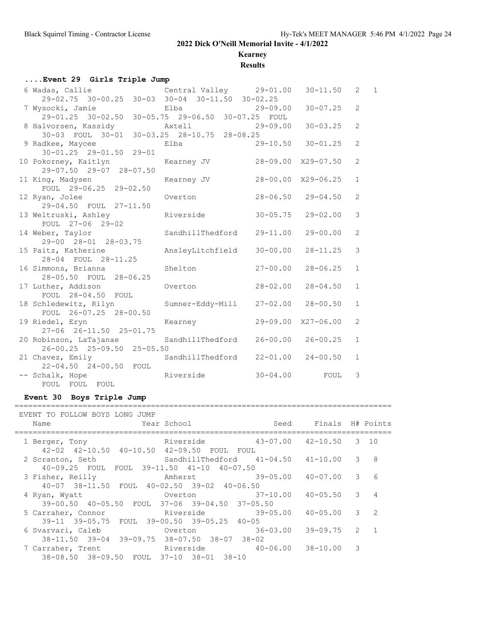# **Kearney**

**Results**

## **....Event 29 Girls Triple Jump**

| 6 Wadas, Callie Central Valley 29-01.00                        |                  |              | $30 - 11.50$              | 2              | $\overline{1}$ |
|----------------------------------------------------------------|------------------|--------------|---------------------------|----------------|----------------|
| 29-02.75 30-00.25 30-03 30-04 30-11.50 30-02.25                |                  |              |                           |                |                |
| 7 Wysocki, Jamie                                               | Elba             | $29 - 09.00$ | $30 - 07.25$              | 2              |                |
|                                                                |                  |              |                           |                |                |
|                                                                |                  |              | $30 - 03.25$              | $\overline{2}$ |                |
|                                                                |                  |              |                           |                |                |
| 9 Radkee, Maycee Blba 29-10.50 30-01.25                        |                  |              |                           | $\overline{2}$ |                |
| $30 - 01.25$ 29-01.50 29-01                                    |                  |              |                           |                |                |
| 10 Pokorney, Kaitlyn Mearney JV                                |                  |              | 28-09.00 X29-07.50        | $\overline{2}$ |                |
| 29-07.50 29-07 28-07.50                                        |                  |              |                           |                |                |
| 11 King, Madysen Manager Stearney JV<br>FOUL 29-06.25 29-02.50 |                  |              | 28-00.00 X29-06.25        | $\mathbf{1}$   |                |
|                                                                |                  |              | $28 - 06.50$ $29 - 04.50$ | 2              |                |
| 12 Ryan, Jolee<br>29-04.50 FOUL 27-11.50                       | Overton          |              |                           |                |                |
| 13 Weltruski, Ashley Manuel Riverside                          |                  | $30 - 05.75$ | $29 - 02.00$              | 3              |                |
| FOUL 27-06 29-02                                               |                  |              |                           |                |                |
| 14 Weber, Taylor SandhillThedford 29-11.00                     |                  |              | $29 - 00.00$              | $\overline{2}$ |                |
| 29-00 28-01 28-03.75                                           |                  |              |                           |                |                |
| 15 Paitz, Katherine                                            | AnsleyLitchfield | $30 - 00.00$ | $28 - 11.25$              | 3              |                |
| 28-04 FOUL 28-11.25                                            |                  |              |                           |                |                |
| 16 Simmons, Brianna and Shelton                                |                  | $27 - 00.00$ | $28 - 06.25$              | $\mathbf{1}$   |                |
| 28-05.50 FOUL 28-06.25                                         |                  |              |                           |                |                |
| 17 Luther, Addison Cverton                                     |                  | $28 - 02.00$ | $28 - 04.50$              | $\mathbf{1}$   |                |
| FOUL 28-04.50 FOUL                                             |                  |              |                           |                |                |
| 18 Schledewitz, Rilyn Sumner-Eddy-Mill                         |                  | $27 - 02.00$ | $28 - 00.50$              | $\mathbf{1}$   |                |
| FOUL 26-07.25 28-00.50                                         |                  |              |                           |                |                |
| 19 Riedel, Eryn Kearney                                        |                  |              | 29-09.00 X27-06.00        | $\overline{2}$ |                |
| 27-06 26-11.50 25-01.75                                        |                  |              |                           |                |                |
| 20 Robinson, LaTajanae SandhillThedford                        |                  |              | $26 - 00.00$ $26 - 00.25$ | $\mathbf{1}$   |                |
| 26-00.25 25-09.50 25-05.50                                     |                  |              |                           |                |                |
| 21 Chavez, Emily                                               | SandhillThedford | $22 - 01.00$ | $24 - 00.50$              | $\mathbf{1}$   |                |
| 22-04.50 24-00.50 FOUL                                         |                  |              |                           |                |                |
| -- Schalk, Hope Riverside                                      |                  |              | $30-04.00$ FOUL           | 3              |                |
| FOUL FOUL FOUL                                                 |                  |              |                           |                |                |

#### **Event 30 Boys Triple Jump**

#### ===================================================================================

| Name               | EVENT TO FOLLOW BOYS LONG JUMP                           | Year School                          |              | Seed         | Finals H# Points          |   |                |
|--------------------|----------------------------------------------------------|--------------------------------------|--------------|--------------|---------------------------|---|----------------|
| 1 Berger, Tony     | $42-02$ $42-10.50$ $40-10.50$ $42-09.50$                 | Riverside                            | FOUL<br>FOUL |              | $43 - 07.00$ $42 - 10.50$ |   | $3 \quad 10$   |
| 2 Scranton, Seth   | 40-09.25 FOUL FOUL 39-11.50 41-10 40-07.50               | $SandhillThedford 41-04.50 41-10.00$ |              |              |                           | 3 | 8              |
| 3 Fisher, Reilly   | $40-07$ $38-11.50$ FOUL $40-02.50$ $39-02$ $40-06.50$    | Amherst 39-05.00                     |              |              | 40-07.00                  | 3 | 6              |
| 4 Ryan, Wyatt      | 39-00.50 40-05.50 FOUL 37-06 39-04.50 37-05.50           | Overton                              |              | $37 - 10.00$ | $40 - 05.50$              | 3 | 4              |
| 5 Carraher, Connor | 39-11 39-05.75 FOUL 39-00.50 39-05.25 40-05              | Riverside 39-05.00                   |              |              | 40-05.00                  | 3 | $\overline{2}$ |
| 6 Svarvari, Caleb  | $38-11.50$ $39-04$ $39-09.75$ $38-07.50$ $38-07$ $38-02$ | Overton                              |              | $36 - 03.00$ | 39-09.75                  | 2 | $\overline{1}$ |
| 7 Carraher, Trent  | 38-08.50 38-09.50 FOUL 37-10 38-01 38-10                 | Riverside 40-06.00 38-10.00          |              |              |                           | 3 |                |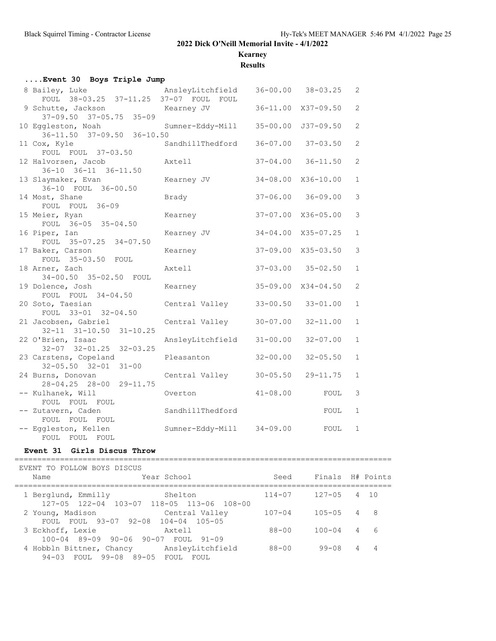# **Kearney**

**Results**

| Event 30 Boys Triple Jump                                    |                           |              |                           |                |
|--------------------------------------------------------------|---------------------------|--------------|---------------------------|----------------|
| 8 Bailey, Luke<br>FOUL 38-03.25 37-11.25 37-07 FOUL FOUL     | AnsleyLitchfield          |              | $36 - 00.00$ $38 - 03.25$ | 2              |
| 9 Schutte, Jackson<br>$37-09.50$ $37-05.75$ $35-09$          | Kearney JV                |              | 36-11.00 X37-09.50        | $\overline{2}$ |
| 10 Eggleston, Noah<br>$36 - 11.50$ $37 - 09.50$ $36 - 10.50$ | Sumner-Eddy-Mill          |              | 35-00.00 J37-09.50        | 2              |
| 11 Cox, Kyle<br>FOUL FOUL 37-03.50                           | SandhillThedford          |              | $36 - 07.00$ $37 - 03.50$ | 2              |
| 12 Halvorsen, Jacob<br>36-10 36-11 36-11.50                  | Axtell                    | $37 - 04.00$ | $36 - 11.50$              | 2              |
| 13 Slaymaker, Evan<br>36-10 FOUL 36-00.50                    | Kearney JV                |              | 34-08.00 X36-10.00        | $\mathbf{1}$   |
| 14 Most, Shane<br>FOUL FOUL 36-09                            | Brady                     |              | $37 - 06.00$ $36 - 09.00$ | 3              |
| 15 Meier, Ryan<br>FOUL $36-05$ $35-04.50$                    | Kearney                   |              | 37-07.00 X36-05.00        | 3              |
| 16 Piper, Ian<br>FOUL 35-07.25 34-07.50                      | Kearney JV                |              | 34-04.00 X35-07.25        | $\mathbf{1}$   |
| 17 Baker, Carson<br>FOUL 35-03.50 FOUL                       | Kearney                   |              | 37-09.00 X35-03.50        | 3              |
| 18 Arner, Zach<br>34-00.50 35-02.50 FOUL                     | Axtell                    |              | $37 - 03.00$ $35 - 02.50$ | $\mathbf{1}$   |
| 19 Dolence, Josh<br>FOUL FOUL 34-04.50                       | Kearney                   |              | 35-09.00 X34-04.50        | $\overline{2}$ |
| 20 Soto, Taesian<br>FOUL 33-01 32-04.50                      | Central Valley            | $33 - 00.50$ | $33 - 01.00$              | $\mathbf{1}$   |
| 21 Jacobsen, Gabriel<br>32-11 31-10.50 31-10.25              | Central Valley            | $30 - 07.00$ | $32 - 11.00$              | $\mathbf{1}$   |
| 22 O'Brien, Isaac<br>32-07 32-01.25 32-03.25                 | AnsleyLitchfield          | $31 - 00.00$ | $32 - 07.00$              | $\mathbf{1}$   |
| 23 Carstens, Copeland<br>$32 - 05.50$ $32 - 01$ $31 - 00$    | Pleasanton                | $32 - 00.00$ | $32 - 05.50$              | $\mathbf{1}$   |
| 24 Burns, Donovan<br>28-04.25 28-00 29-11.75                 | Central Valley            | $30 - 05.50$ | $29 - 11.75$              | $\mathbf{1}$   |
| -- Kulhanek, Will<br>FOUL FOUL FOUL                          | Overton                   | $41 - 08.00$ | FOUL                      | 3              |
| -- Zutavern, Caden<br>FOUL FOUL FOUL                         | SandhillThedford          |              | FOUL                      | $\mathbf{1}$   |
| -- Eqqleston, Kellen<br>FOUL FOUL FOUL                       | Sumner-Eddy-Mill 34-09.00 |              | FOUL                      | $\mathbf{1}$   |

#### **Event 31 Girls Discus Throw**

===================================================================================

| EVENT TO FOLLOW BOYS DISCUS                                                             |            |                  |   |                |
|-----------------------------------------------------------------------------------------|------------|------------------|---|----------------|
| Year School<br>Name                                                                     | Seed       | Finals H# Points |   |                |
| 1 Berglund, Emmilly<br>Shelton<br>127-05 122-04 103-07 118-05 113-06 108-00             | $114 - 07$ | $127 - 05$       |   | 4 10           |
| Central Valley<br>2 Young, Madison<br>FOUL FOUL 93-07 92-08 104-04 105-05               | $107 - 04$ | $105 - 05$       | 4 | 8              |
| 3 Eckhoff, Lexie<br>Axtell<br>100-04 89-09 90-06 90-07 FOUL 91-09                       | $88 - 00$  | $100 - 04$       | 4 | 6              |
| 4 Hobbln Bittner, Chancy AnsleyLitchfield<br>FOUL 99-08 89-05 FOUL<br>$94 - 03$<br>FOUL | $88 - 00$  | $99 - 08$        | 4 | $\overline{4}$ |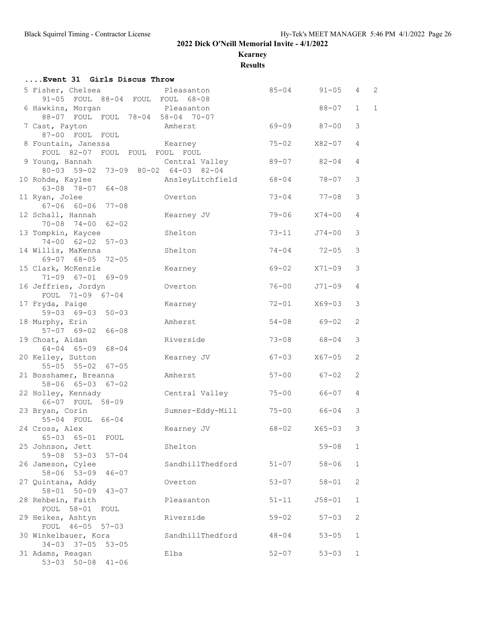**Kearney**

**Results**

| Event 31 Girls Discus Throw                                            |                  |                       |            |                |                |
|------------------------------------------------------------------------|------------------|-----------------------|------------|----------------|----------------|
| 5 Fisher, Chelsea<br>91-05 FOUL 88-04 FOUL FOUL 68-08                  | Pleasanton       | $85 - 04$ $91 - 05$ 4 |            |                | $\overline{c}$ |
| 6 Hawkins, Morgan<br>88-07 FOUL FOUL 78-04 58-04 70-07                 | Pleasanton       |                       | $88 - 07$  | $\mathbf{1}$   | $\mathbf{1}$   |
| 7 Cast, Payton<br>87-00 FOUL FOUL                                      | Amherst          | $69 - 09$ 87-00       |            | 3              |                |
| 8 Fountain, Janessa<br>Kearney<br>FOUL 82-07 FOUL FOUL FOUL FOUL       |                  | $75 - 02$             | X82-07     | 4              |                |
| 9 Young, Hannah<br>80-03 59-02 73-09 80-02 64-03 82-04                 | Central Valley   | 89-07 82-04           |            | 4              |                |
| 10 Rohde, Kaylee<br>$63 - 08$ $78 - 07$ $64 - 08$                      | AnsleyLitchfield | 68-04 78-07           |            | 3              |                |
| 11 Ryan, Jolee<br>$67 - 06$ $60 - 06$ $77 - 08$                        | Overton          | $73 - 04$ $77 - 08$   |            | 3              |                |
| 12 Schall, Hannah<br>$70 - 08$ $74 - 00$ $62 - 02$                     | Kearney JV       | 79-06                 | $X74-00$   | 4              |                |
| 13 Tompkin, Kaycee<br>$74 - 00$ $62 - 02$ $57 - 03$                    | Shelton          | $73 - 11$             | J74-00     | 3              |                |
| 14 Willis, MaKenna<br>69-07 68-05 72-05                                | Shelton          | $74 - 04$ $72 - 05$   |            | 3              |                |
| 15 Clark, McKenzie<br>$71-09$ $67-01$ $69-09$                          | Kearney          | $69 - 02$             | $X71 - 09$ | 3              |                |
| 16 Jeffries, Jordyn<br>FOUL 71-09 67-04                                | Overton          | $76 - 00$             | J71-09     | 4              |                |
| 17 Fryda, Paige<br>59-03 69-03 50-03                                   | Kearney          | 72-01                 | X69-03     | 3              |                |
| 18 Murphy, Erin<br>$57-07$ $69-02$ $66-08$                             | Amherst          | $54 - 08$             | 69-02      | 2              |                |
| 19 Choat, Aidan<br>$64 - 04$ $65 - 09$ $68 - 04$                       | Riverside        | 73-08 68-04           |            | 3              |                |
| 20 Kelley, Sutton<br>55-05 55-02 67-05                                 | Kearney JV       | $67 - 03$             | X67-05     | 2              |                |
| 21 Bosshamer, Breanna<br>58-06 65-03 67-02                             | Amherst          | $57 - 00$ 67-02       |            | $\overline{2}$ |                |
| 22 Holley, Kennady<br>66-07 FOUL 58-09                                 | Central Valley   | 75-00 66-07           |            | 4              |                |
| 23 Bryan, Corin<br>55-04 FOUL 66-04                                    | Sumner-Eddy-Mill | 75-00 66-04           |            | 3              |                |
| 24 Cross, Alex                                                         | Kearney JV       | 68-02 X65-03          |            | 3              |                |
| 65-03 65-01 FOUL<br>25 Johnson, Jett<br>59-08 53-03 57-04              | Shelton          |                       | $59 - 08$  | 1              |                |
| 26 Jameson, Cylee                                                      | SandhillThedford | $51 - 07$             | $58 - 06$  | $\mathbf{1}$   |                |
| $58 - 06$ $53 - 09$<br>$46 - 07$<br>27 Quintana, Addy                  | Overton          | $53 - 07$             | $58 - 01$  | 2              |                |
| 58-01 50-09 43-07<br>28 Rehbein, Faith                                 | Pleasanton       | $51 - 11$             | $J58 - 01$ | $\mathbf{1}$   |                |
| FOUL 58-01 FOUL<br>29 Heikes, Ashtyn                                   | Riverside        | $59 - 02$             | $57 - 03$  | 2              |                |
| FOUL 46-05 57-03<br>30 Winkelbauer, Kora                               | SandhillThedford | $48 - 04$             | $53 - 05$  | $\mathbf{1}$   |                |
| 34-03 37-05 53-05<br>31 Adams, Reagan<br>$53 - 03$ $50 - 08$ $41 - 06$ | Elba             | $52 - 07$             | $53 - 03$  | $\mathbf{1}$   |                |
|                                                                        |                  |                       |            |                |                |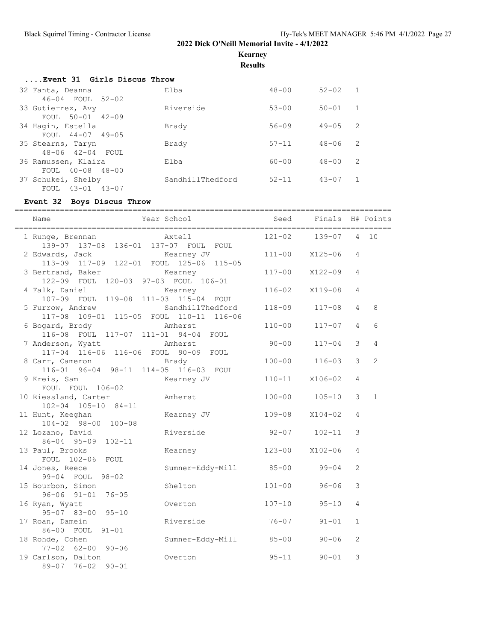**Kearney**

**Results**

| Event 31 Girls Discus Throw |  |  |
|-----------------------------|--|--|
|                             |  |  |

| Elba             | $48 - 00$ | $52 - 02$                   |  |
|------------------|-----------|-----------------------------|--|
|                  |           |                             |  |
| Riverside        | $53 - 00$ | $50 - 01$                   |  |
|                  |           |                             |  |
| Brady            | $56 - 09$ | 2<br>$49 - 05$              |  |
|                  |           |                             |  |
| Brady            | $57 - 11$ | $\overline{2}$<br>$48 - 06$ |  |
|                  |           |                             |  |
| Elba             | $60 - 00$ | 2<br>$48 - 00$              |  |
|                  |           |                             |  |
| SandhillThedford | $52 - 11$ | $43 - 07$                   |  |
|                  |           |                             |  |
|                  |           |                             |  |

## **Event 32 Boys Discus Throw**

|                                           | ===========            |            |                  |                |                |
|-------------------------------------------|------------------------|------------|------------------|----------------|----------------|
| Name<br>_________________________________ | Year School            | Seed       | Finals H# Points |                |                |
| 1 Runge, Brennan                          | Axtell                 | $121 - 02$ | $139 - 07$       | $\overline{4}$ | 10             |
| 139-07 137-08 136-01 137-07 FOUL FOUL     |                        |            |                  |                |                |
| 2 Edwards, Jack                           | Kearney JV             |            | 111-00 X125-06   | 4              |                |
| 113-09 117-09 122-01 FOUL 125-06 115-05   |                        |            |                  |                |                |
| 3 Bertrand, Baker                         | Kearney                | $117 - 00$ | X122-09          | 4              |                |
| 122-09 FOUL 120-03 97-03 FOUL 106-01      |                        |            |                  |                |                |
| 4 Falk, Daniel                            | Kearney                | $116 - 02$ | X119-08          | 4              |                |
| 107-09 FOUL 119-08 111-03 115-04 FOUL     |                        |            |                  |                |                |
| 5 Furrow, Andrew                          | SandhillThedford       | 118-09     | $117 - 08$       | 4              | 8              |
| 117-08 109-01 115-05 FOUL 110-11 116-06   |                        |            |                  |                |                |
| 6 Bogard, Brody                           | Amherst                | $110 - 00$ | $117 - 07$       | 4              | 6              |
| 116-08 FOUL 117-07 111-01 94-04 FOUL      |                        |            |                  |                |                |
| 7 Anderson, Wyatt                         | Amherst                | $90 - 00$  | $117 - 04$       | 3              | $\overline{4}$ |
| 117-04 116-06 116-06 FOUL 90-09 FOUL      |                        |            |                  |                |                |
| 8 Carr, Cameron                           | Brady                  | $100 - 00$ | $116 - 03$       | 3              | $\overline{2}$ |
| 116-01 96-04 98-11 114-05 116-03 FOUL     |                        |            |                  |                |                |
| 9 Kreis, Sam                              | Kearney JV             | $110 - 11$ | X106-02          | 4              |                |
| FOUL FOUL 106-02                          |                        |            |                  |                |                |
| 10 Riessland, Carter                      | Amherst                | $100 - 00$ | $105 - 10$       | 3              | $\mathbf{1}$   |
| 102-04 105-10 84-11                       |                        |            |                  |                |                |
| 11 Hunt, Keeghan                          | Kearney JV             | $109 - 08$ | $X104 - 02$      | 4              |                |
| 104-02 98-00 100-08                       |                        |            |                  |                |                |
| 12 Lozano, David                          | Riverside              | $92 - 07$  | $102 - 11$       | 3              |                |
| 86-04 95-09 102-11                        |                        |            |                  |                |                |
| 13 Paul, Brooks                           | Kearney                | $123 - 00$ | $X102 - 06$      | 4              |                |
| FOUL 102-06 FOUL                          |                        |            |                  |                |                |
| 14 Jones, Reece                           | Sumner-Eddy-Mill 85-00 |            | $99 - 04$        | 2              |                |
| 99-04 FOUL 98-02                          |                        |            |                  |                |                |
| 15 Bourbon, Simon                         | Shelton                | $101 - 00$ | $96 - 06$        | 3              |                |
| $96 - 06$ $91 - 01$<br>$76 - 05$          |                        |            |                  |                |                |
| 16 Ryan, Wyatt                            | Overton                | $107 - 10$ | $95 - 10$        | $\overline{4}$ |                |
| 95-07 83-00 95-10                         |                        |            |                  |                |                |
| 17 Roan, Damein                           | Riverside              | $76 - 07$  | $91 - 01$        | $\mathbf{1}$   |                |
| 86-00 FOUL 91-01                          |                        |            |                  |                |                |
| 18 Rohde, Cohen                           | Sumner-Eddy-Mill       | $85 - 00$  | $90 - 06$        | $\overline{c}$ |                |
| $77 - 02$ 62-00 90-06                     |                        |            |                  |                |                |
| 19 Carlson, Dalton                        | Overton                | $95 - 11$  | $90 - 01$        | 3              |                |
| 89-07 76-02<br>$90 - 01$                  |                        |            |                  |                |                |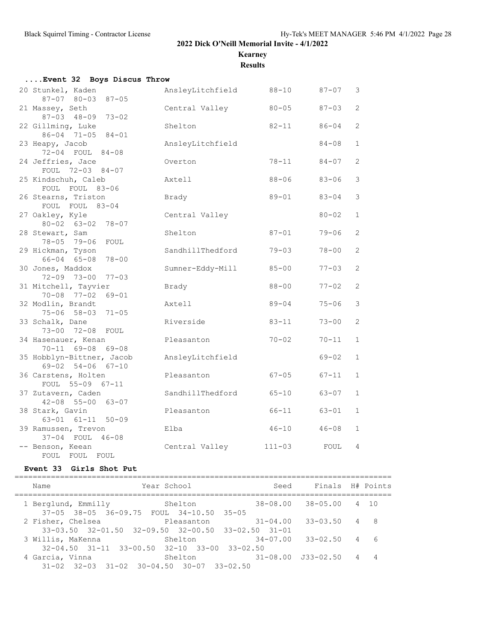**Kearney**

**Results**

| Event 32 Boys Discus Throw                       |                  |            |           |              |
|--------------------------------------------------|------------------|------------|-----------|--------------|
| 20 Stunkel, Kaden<br>87-07 80-03 87-05           | AnsleyLitchfield | $88 - 10$  | 87-07     | 3            |
| 21 Massey, Seth<br>87-03 48-09 73-02             | Central Valley   | $80 - 05$  | $87 - 03$ | 2            |
| 22 Gillming, Luke<br>86-04 71-05 84-01           | Shelton          | $82 - 11$  | $86 - 04$ | 2            |
| 23 Heapy, Jacob<br>72-04 FOUL 84-08              | AnsleyLitchfield |            | $84 - 08$ | $\mathbf{1}$ |
| 24 Jeffries, Jace<br>FOUL 72-03 84-07            | Overton          | $78 - 11$  | $84 - 07$ | 2            |
| 25 Kindschuh, Caleb<br>FOUL FOUL 83-06           | Axtell           | $88 - 06$  | $83 - 06$ | 3            |
| 26 Stearns, Triston<br>FOUL FOUL 83-04           | Brady            | $89 - 01$  | $83 - 04$ | 3            |
| 27 Oakley, Kyle<br>80-02 63-02 78-07             | Central Valley   |            | $80 - 02$ | $\mathbf{1}$ |
| 28 Stewart, Sam<br>78-05 79-06 FOUL              | Shelton          | $87 - 01$  | $79 - 06$ | 2            |
| 29 Hickman, Tyson<br>66-04 65-08 78-00           | SandhillThedford | $79 - 03$  | $78 - 00$ | 2            |
| 30 Jones, Maddox<br>72-09 73-00 77-03            | Sumner-Eddy-Mill | $85 - 00$  | $77 - 03$ | 2            |
| 31 Mitchell, Tayvier<br>70-08 77-02 69-01        | Brady            | $88 - 00$  | $77 - 02$ | 2            |
| 32 Modlin, Brandt<br>75-06 58-03 71-05           | Axtell           | $89 - 04$  | $75 - 06$ | 3            |
| 33 Schalk, Dane<br>73-00 72-08 FOUL              | Riverside        | $83 - 11$  | $73 - 00$ | 2            |
| 34 Hasenauer, Kenan<br>70-11 69-08 69-08         | Pleasanton       | $70 - 02$  | $70 - 11$ | $\mathbf{1}$ |
| 35 Hobblyn-Bittner, Jacob<br>69-02 54-06 67-10   | AnsleyLitchfield |            | $69 - 02$ | $\mathbf{1}$ |
| 36 Carstens, Holten<br>FOUL 55-09 67-11          | Pleasanton       | $67 - 05$  | 67-11     | $\mathbf{1}$ |
| 37 Zutavern, Caden<br>$42 - 08$ 55-00 63-07      | SandhillThedford | $65 - 10$  | $63 - 07$ | $\mathbf{1}$ |
| 38 Stark, Gavin<br>$63 - 01$ $61 - 11$ $50 - 09$ | Pleasanton       | 66-11      | $63 - 01$ | $\mathbf{1}$ |
| 39 Ramussen, Trevon<br>37-04 FOUL 46-08          | Elba             | $46 - 10$  | $46 - 08$ | $\mathbf{1}$ |
| -- Benson, Keean<br>FOUL FOUL<br>FOUL            | Central Valley   | $111 - 03$ | FOUL      | 4            |

#### **Event 33 Girls Shot Put**

=================================================================================== Name The Year School Seed Finals H# Points =================================================================================== 1 Berglund, Emmilly 3helton 37-05 38-05 36-09.75 FOUL 34-10.50 35-05 2 Fisher, Chelsea Pleasanton 31-04.00 33-03.50 4 8 33-03.50 32-01.50 32-09.50 32-00.50 33-02.50 31-01 3 Willis, MaKenna Shelton 34-07.00 33-02.50 4 6 32-04.50 31-11 33-00.50 32-10 33-00 33-02.50 4 Garcia, Vinna Shelton 31-08.00 J33-02.50 4 4 31-02 32-03 31-02 30-04.50 30-07 33-02.50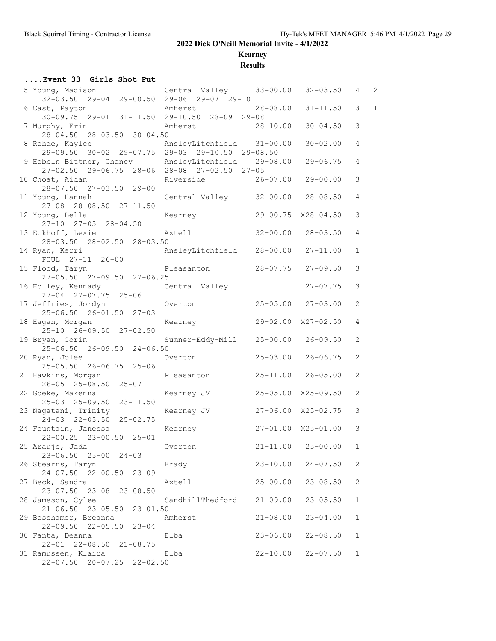**Kearney**

**Results**

#### **....Event 33 Girls Shot Put**

| 5 Young, Madison<br>32-03.50 29-04 29-00.50 29-06 29-07 29-10                                      | Central Valley 33-00.00 32-03.50   |              |                             | 4              | $\overline{c}$ |
|----------------------------------------------------------------------------------------------------|------------------------------------|--------------|-----------------------------|----------------|----------------|
| 6 Cast, Payton<br>$30-09.75$ 29-01 31-11.50 29-10.50 28-09 29-08                                   | Amherst                            | 28-08.00     | $31 - 11.50$                | 3              | $\mathbf{1}$   |
| 7 Murphy, Erin<br>28-04.50 28-03.50 30-04.50                                                       | Amherst                            | $28 - 10.00$ | $30 - 04.50$                | 3              |                |
| 8 Rohde, Kaylee<br>29-09.50 30-02 29-07.75 29-03 29-10.50 29-08.50                                 |                                    |              | $30 - 02.00$                | 4              |                |
| 9 Hobbln Bittner, Chancy MnsleyLitchfield 29-08.00<br>27-02.50 29-06.75 28-06 28-08 27-02.50 27-05 |                                    |              | $29 - 06.75$                | 4              |                |
| 10 Choat, Aidan                                                                                    | Riverside                          |              | $26 - 07.00$ 29-00.00       | 3              |                |
| 28-07.50 27-03.50 29-00<br>11 Young, Hannah                                                        | Central Valley 32-00.00 28-08.50   |              |                             | 4              |                |
| 27-08 28-08.50 27-11.50<br>12 Young, Bella<br>$27-10$ $27-05$ $28-04.50$                           | Kearney                            |              | 29-00.75 X28-04.50          | 3              |                |
| 13 Eckhoff, Lexie Maxtell<br>28-03.50 28-02.50 28-03.50                                            |                                    |              | $32 - 00.00$ $28 - 03.50$   | 4              |                |
| 14 Ryan, Kerri<br>(ai), Nerri<br>FOUL 27-11 26-00<br>Notes AnsleyLitchfield 28-00.00 27-11.00      |                                    |              |                             | $\mathbf{1}$   |                |
| 15 Flood, Taryn<br>27-05.50 27-09.50 27-06.25                                                      | Pleasanton                         |              | $28 - 07.75$ 27-09.50       | 3              |                |
| 16 Holley, Kennady<br>27-04 27-07.75 25-06                                                         | Central Valley                     |              | $27 - 07.75$                | 3              |                |
| 17 Jeffries, Jordyn<br>$25 - 06.50$ $26 - 01.50$ $27 - 03$                                         | Overton  25-05.00  27-03.00        |              |                             | 2              |                |
| 18 Hagan, Morgan<br>25-10 26-09.50 27-02.50                                                        | Kearney                            |              | 29-02.00 X27-02.50          | 4              |                |
| 19 Bryan, Corin<br>25-06.50 26-09.50 24-06.50                                                      | Sumner-Eddy-Mill 25-00.00 26-09.50 |              |                             | $\overline{2}$ |                |
| 20 Ryan, Jolee Coverton<br>25-05.50 26-06.75 25-06                                                 |                                    |              | $25 - 03.00$ 26-06.75       | 2              |                |
| 21 Hawkins, Morgan Pleasanton<br>$26 - 05$ $25 - 08.50$ $25 - 07$                                  |                                    |              | $25 - 11.00$ $26 - 05.00$   | 2              |                |
| 22 Goeke, Makenna Kearney JV<br>25-03 25-09.50 23-11.50                                            |                                    |              | 25-05.00 X25-09.50          | 2              |                |
| 23 Nagatani, Trinity<br>24-03 22-05.50 25-02.75                                                    | Kearney JV                         |              | 27-06.00 X25-02.75          | $\mathcal{S}$  |                |
| 24 Fountain, Janessa<br>$22 - 00.25$ $23 - 00.50$ $25 - 01$                                        | Kearney                            |              | 27-01.00 X25-01.00          | 3              |                |
| 25 Araujo, Jada book overton<br>23-06.50 25-00 24-03                                               |                                    |              | $21 - 11.00$ $25 - 00.00$ 1 |                |                |
| 26 Stearns, Taryn<br>24-07.50 22-00.50 23-09                                                       | Brady                              |              | $23 - 10.00$ $24 - 07.50$   | 2              |                |
| 27 Beck, Sandra<br>23-07.50 23-08 23-08.50                                                         | Axtell                             | $25 - 00.00$ | $23 - 08.50$                | 2              |                |
| 28 Jameson, Cylee<br>21-06.50 23-05.50 23-01.50                                                    | SandhillThedford                   | $21 - 09.00$ | $23 - 05.50$                | $\mathbf{1}$   |                |
| 29 Bosshamer, Breanna<br>22-09.50 22-05.50 23-04                                                   | Amherst                            | $21 - 08.00$ | $23 - 04.00$                | 1              |                |
| 30 Fanta, Deanna<br>22-01 22-08.50 21-08.75                                                        | Elba                               | $23 - 06.00$ | $22 - 08.50$                | 1              |                |
| 31 Ramussen, Klaira<br>22-07.50 20-07.25 22-02.50                                                  | Elba                               | $22 - 10.00$ | $22 - 07.50$                | $\mathbf{1}$   |                |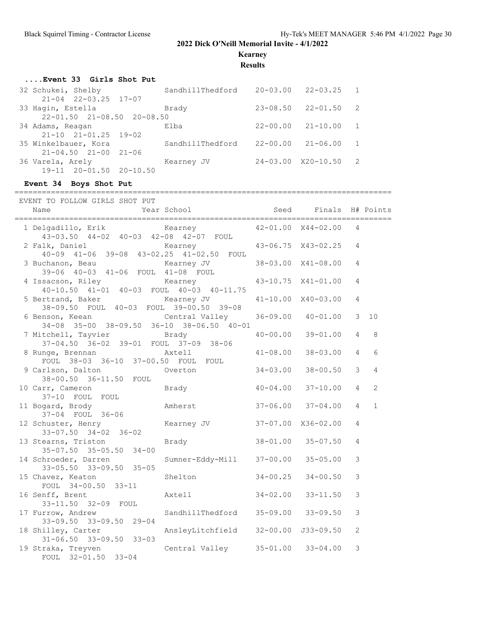**Kearney**

**Results**

#### **....Event 33 Girls Shot Put**

| $\overline{2}$<br>$\overline{1}$<br>$\overline{1}$<br>$\overline{2}$ |
|----------------------------------------------------------------------|

## **Event 34 Boys Shot Put**

===================================================================================

| EVENT TO FOLLOW GIRLS SHOT PUT                                                         | Year School Seed Finals H# Points   |              |                    |                |                |
|----------------------------------------------------------------------------------------|-------------------------------------|--------------|--------------------|----------------|----------------|
| Name                                                                                   |                                     |              |                    |                |                |
| 1 Delgadillo, Erik Kearney 42-01.00 X44-02.00<br>43-03.50 44-02 40-03 42-08 42-07 FOUL |                                     |              |                    | 4              |                |
| 2 Falk, Daniel<br>$40-09$ $41-06$ $39-08$ $43-02.25$ $41-02.50$ FOUL                   | Kearney 43-06.75 X43-02.25          |              |                    | 4              |                |
| 3 Buchanon, Beau<br>39-06 40-03 41-06 FOUL 41-08 FOUL                                  | Kearney JV                          |              | 38-03.00 X41-08.00 | 4              |                |
| 4 Issacson, Riley<br>40-10.50 41-01 40-03 FOUL 40-03 40-11.75                          | Kearney                             |              | 43-10.75 X41-01.00 | 4              |                |
| 5 Bertrand, Baker<br>38-09.50 FOUL 40-03 FOUL 39-00.50 39-08                           | Kearney JV                          |              | 41-10.00 X40-03.00 | 4              |                |
| 6 Benson, Keean<br>34-08 35-00 38-09.50 36-10 38-06.50 40-01                           | Central Valley                      | $36 - 09.00$ | $40 - 01.00$       | 3              | 10             |
| 7 Mitchell, Tayvier Brady<br>37-04.50 36-02 39-01 FOUL 37-09 38-06                     |                                     | $40 - 00.00$ | $39 - 01.00$       | $\overline{4}$ | 8              |
| 8 Runge, Brennan Mxtell<br>FOUL 38-03 36-10 37-00.50 FOUL FOUL                         |                                     | $41 - 08.00$ | $38 - 03.00$       | $\overline{4}$ | 6              |
| 9 Carlson, Dalton<br>38-00.50 36-11.50 FOUL                                            | Overton                             | $34 - 03.00$ | $38 - 00.50$       | 3              | $\overline{4}$ |
| 10 Carr, Cameron<br>37-10 FOUL FOUL                                                    | <b>Brady</b>                        | $40 - 04.00$ | $37 - 10.00$       | $\overline{4}$ | 2              |
| 11 Bogard, Brody<br>37-04 FOUL 36-06                                                   | Amherst                             | $37 - 06.00$ | $37 - 04.00$       | $\overline{4}$ | $\mathbf{1}$   |
| 12 Schuster, Henry<br>$33 - 07.50$ $34 - 02$ $36 - 02$                                 | Kearney JV 37-07.00 X36-02.00       |              |                    | 4              |                |
| 13 Stearns, Triston<br>35-07.50 35-05.50 34-00                                         | Brady                               |              | 38-01.00 35-07.50  | 4              |                |
| 14 Schroeder, Darren<br>33-05.50 33-09.50 35-05                                        | Sumner-Eddy-Mill 37-00.00           |              | $35 - 05.00$       | 3              |                |
| 15 Chavez, Keaton<br>FOUL 34-00.50 33-11                                               | Shelton                             | $34 - 00.25$ | $34 - 00.50$       | 3              |                |
| 16 Senff, Brent<br>33-11.50 32-09 FOUL                                                 | Axtell                              | $34 - 02.00$ | $33 - 11.50$       | 3              |                |
| 17 Furrow, Andrew<br>33-09.50 33-09.50 29-04                                           | SandhillThedford 35-09.00 33-09.50  |              |                    | 3              |                |
| 18 Shilley, Carter<br>$31 - 06.50$ $33 - 09.50$ $33 - 03$                              | AnsleyLitchfield 32-00.00 J33-09.50 |              |                    | $\overline{c}$ |                |
| 19 Straka, Treyven<br>FOUL 32-01.50 33-04                                              | Central Valley 35-01.00 33-04.00    |              |                    | 3              |                |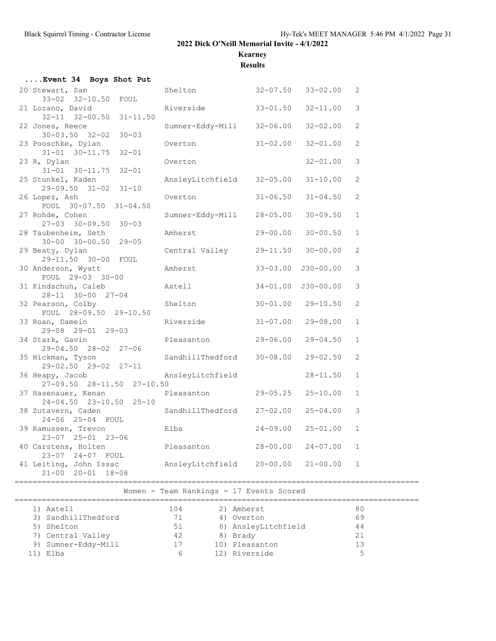**Kearney**

**Results**

| Event 34 Boys Shot Put                                    |                                  |              |                       |              |
|-----------------------------------------------------------|----------------------------------|--------------|-----------------------|--------------|
| 20 Stewart, Sam                                           | Shelton 32-07.50 33-02.00        |              |                       | 2            |
| 33-02 32-10.50 FOUL                                       |                                  |              |                       |              |
| 21 Lozano, David<br>32-11 32-00.50 31-11.50               | Riverside 33-01.50               |              | $32 - 11.00$          | 3            |
| 22 Jones, Reece                                           | Sumner-Eddy-Mill 32-06.00        |              | $32 - 02.00$          | 2            |
| $30 - 03.50$ $32 - 02$ $30 - 03$                          |                                  |              |                       |              |
| 23 Pooschke, Dylan                                        | Overton                          | $31 - 02.00$ | $32 - 01.00$          | 2            |
| $31 - 01$ $30 - 11.75$ $32 - 01$                          |                                  |              |                       |              |
| 23 R, Dylan                                               | Overton                          |              | $32 - 01.00$          | 3            |
| $31-01$ $30-11.75$ $32-01$                                | AnsleyLitchfield 32-05.00        |              | $31 - 10.00$          | 2            |
| 25 Stunkel, Kaden<br>29-09.50 31-02 31-10                 |                                  |              |                       |              |
| 26 Lopez, Ash                                             | Overton                          | $31 - 06.50$ | $31 - 04.50$          | 2            |
| FOUL 30-07.50 31-04.50                                    |                                  |              |                       |              |
| 27 Rohde, Cohen                                           | Sumner-Eddy-Mill 28-05.00        |              | $30 - 09.50$          | $\mathbf{1}$ |
| $27-03$ $30-09.50$ $30-03$                                |                                  |              |                       |              |
| 28 Taubenheim, Seth                                       | Amherst                          | $29 - 00.00$ | $30 - 00.50$          | $\mathbf{1}$ |
| $30 - 00$ $30 - 00.50$ $29 - 05$<br>29 Beaty, Dylan       | Central Valley 29-11.50 30-00.00 |              |                       | 2            |
| 29-11.50 30-00 FOUL                                       |                                  |              |                       |              |
| 30 Anderson, Wyatt                                        | Amherst 33-03.00 J30-00.00       |              |                       | 3            |
| FOUL 29-03 30-00                                          |                                  |              |                       |              |
| 31 Kindschuh, Caleb                                       | Axtell                           |              |                       | 3            |
| 28-11 30-00 27-04                                         |                                  |              |                       |              |
| 32 Pearson, Colby<br>FOUL 28-09.50 29-10.50               | Shelton                          |              | $30 - 01.00$ 29-10.50 | 2            |
| 33 Roan, Damein                                           | Riverside 31-07.00               |              | $29 - 08.00$          | $\mathbf{1}$ |
| 29-08 29-01 29-03                                         |                                  |              |                       |              |
| 34 Stark, Gavin                                           | Pleasanton 29-06.00              |              | $29 - 04.50$          | $\mathbf{1}$ |
| 29-04.50 28-02 27-06                                      |                                  |              |                       |              |
| 35 Hickman, Tyson                                         | SandhillThedford 30-08.00        |              | 29-02.50              | 2            |
| 29-02.50 29-02 27-11<br>36 Heapy, Jacob                   | AnsleyLitchfield                 |              | $28 - 11.50$          | $\mathbf{1}$ |
| $27-09.50$ $28-11.50$ $27-10.50$                          |                                  |              |                       |              |
| 37 Hasenauer, Kenan                                       | Pleasanton 29-05.25              |              | $25 - 10.00$          | $\mathbf{1}$ |
| $24 - 04.50$ $23 - 10.50$ $25 - 10$                       |                                  |              |                       |              |
| 38 Zutavern, Caden                                        | SandhillThedford 27-02.00        |              | $25 - 04.00$          | 3            |
| 24-06 25-04 FOUL                                          |                                  |              |                       |              |
| 39 Ramussen, Trevon                                       | Elba                             | 24-09.00     | $25 - 01.00$          | $\mathbf{1}$ |
| 23-07 25-01 23-06<br>40 Carstens, Holten                  | Pleasanton                       | 28-00.00     | $24 - 07.00$          | $\mathbf{1}$ |
| 23-07 24-07 FOUL                                          |                                  |              |                       |              |
| 41 Leiting, John Issac MnsleyLitchfield 20-00.00 21-00.00 |                                  |              |                       | $\mathbf{1}$ |
| $21 - 00$ $20 - 01$ $18 - 08$                             |                                  |              |                       |              |
|                                                           |                                  |              |                       |              |

Women - Team Rankings - 17 Events Scored

#### =========================================================================================

| 1) Axtell           | 104 | 2) Amherst          | 80                       |
|---------------------|-----|---------------------|--------------------------|
| 3) SandhillThedford | 71  | 4) Overton          | 69                       |
| 5) Shelton          | 51  | 6) AnsleyLitchfield | 44                       |
| 7) Central Valley   | 42  | 8) Brady            | 21                       |
| 9) Sumner-Eddy-Mill | 17  | 10) Pleasanton      |                          |
| l1) Elba            | b   | 12) Riverside       | $\overline{\phantom{a}}$ |